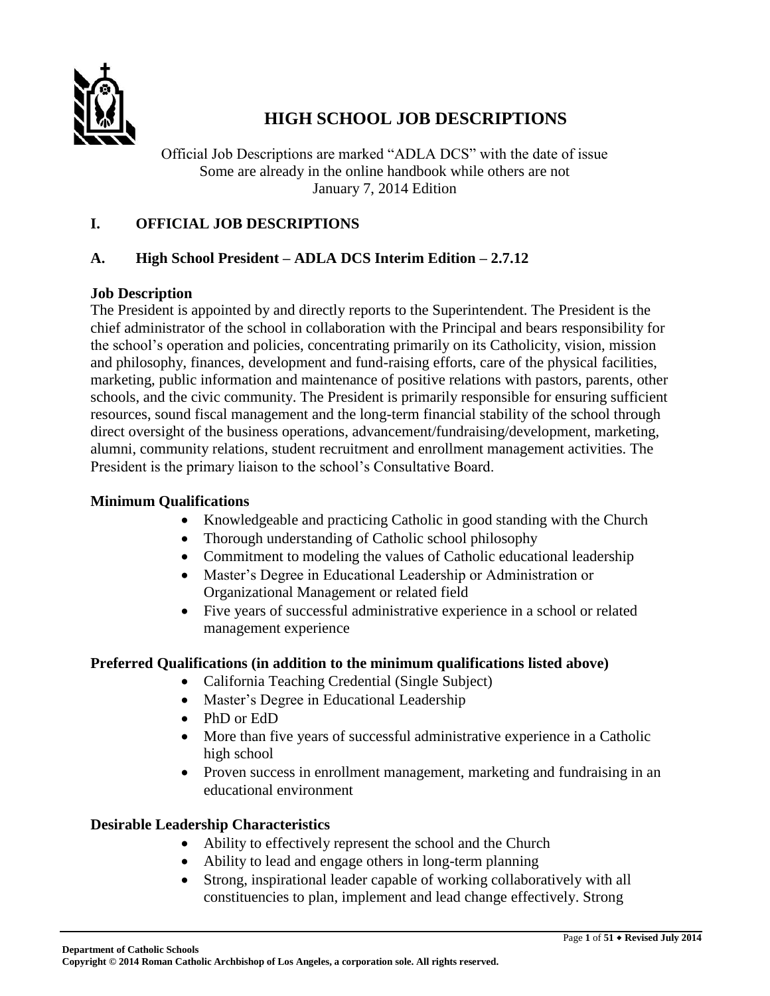

# **HIGH SCHOOL JOB DESCRIPTIONS**

Official Job Descriptions are marked "ADLA DCS" with the date of issue Some are already in the online handbook while others are not January 7, 2014 Edition

# **I. OFFICIAL JOB DESCRIPTIONS**

### **A. High School President – ADLA DCS Interim Edition – 2.7.12**

### **Job Description**

The President is appointed by and directly reports to the Superintendent. The President is the chief administrator of the school in collaboration with the Principal and bears responsibility for the school's operation and policies, concentrating primarily on its Catholicity, vision, mission and philosophy, finances, development and fund-raising efforts, care of the physical facilities, marketing, public information and maintenance of positive relations with pastors, parents, other schools, and the civic community. The President is primarily responsible for ensuring sufficient resources, sound fiscal management and the long-term financial stability of the school through direct oversight of the business operations, advancement/fundraising/development, marketing, alumni, community relations, student recruitment and enrollment management activities. The President is the primary liaison to the school's Consultative Board.

#### **Minimum Qualifications**

- Knowledgeable and practicing Catholic in good standing with the Church
- Thorough understanding of Catholic school philosophy
- Commitment to modeling the values of Catholic educational leadership
- Master's Degree in Educational Leadership or Administration or Organizational Management or related field
- Five years of successful administrative experience in a school or related management experience

### **Preferred Qualifications (in addition to the minimum qualifications listed above)**

- California Teaching Credential (Single Subject)
- Master's Degree in Educational Leadership
- PhD or EdD
- More than five years of successful administrative experience in a Catholic high school
- Proven success in enrollment management, marketing and fundraising in an educational environment

### **Desirable Leadership Characteristics**

- Ability to effectively represent the school and the Church
- Ability to lead and engage others in long-term planning
- Strong, inspirational leader capable of working collaboratively with all constituencies to plan, implement and lead change effectively. Strong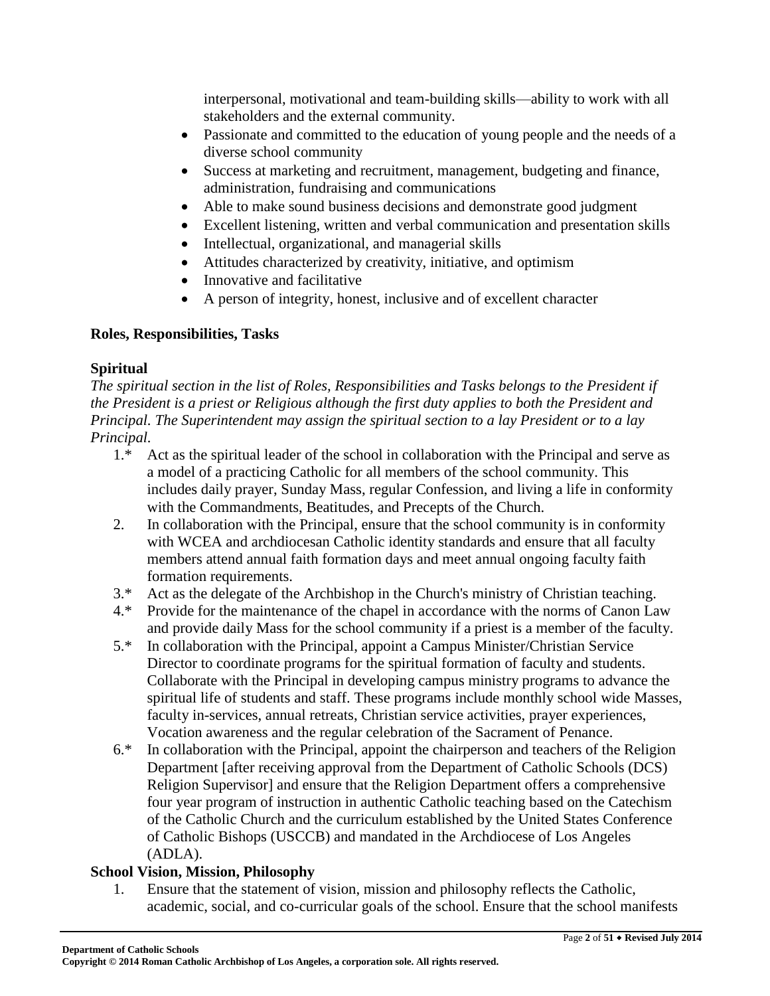interpersonal, motivational and team-building skills—ability to work with all stakeholders and the external community.

- Passionate and committed to the education of young people and the needs of a diverse school community
- Success at marketing and recruitment, management, budgeting and finance, administration, fundraising and communications
- Able to make sound business decisions and demonstrate good judgment
- Excellent listening, written and verbal communication and presentation skills
- Intellectual, organizational, and managerial skills
- Attitudes characterized by creativity, initiative, and optimism
- Innovative and facilitative
- A person of integrity, honest, inclusive and of excellent character

# **Roles, Responsibilities, Tasks**

# **Spiritual**

*The spiritual section in the list of Roles, Responsibilities and Tasks belongs to the President if the President is a priest or Religious although the first duty applies to both the President and Principal. The Superintendent may assign the spiritual section to a lay President or to a lay Principal.*

- 1.\* Act as the spiritual leader of the school in collaboration with the Principal and serve as a model of a practicing Catholic for all members of the school community. This includes daily prayer, Sunday Mass, regular Confession, and living a life in conformity with the Commandments, Beatitudes, and Precepts of the Church.
- 2. In collaboration with the Principal, ensure that the school community is in conformity with WCEA and archdiocesan Catholic identity standards and ensure that all faculty members attend annual faith formation days and meet annual ongoing faculty faith formation requirements.
- 3.\* Act as the delegate of the Archbishop in the Church's ministry of Christian teaching.
- 4.\* Provide for the maintenance of the chapel in accordance with the norms of Canon Law and provide daily Mass for the school community if a priest is a member of the faculty.
- 5.\* In collaboration with the Principal, appoint a Campus Minister/Christian Service Director to coordinate programs for the spiritual formation of faculty and students. Collaborate with the Principal in developing campus ministry programs to advance the spiritual life of students and staff. These programs include monthly school wide Masses, faculty in-services, annual retreats, Christian service activities, prayer experiences, Vocation awareness and the regular celebration of the Sacrament of Penance.
- 6.\* In collaboration with the Principal, appoint the chairperson and teachers of the Religion Department [after receiving approval from the Department of Catholic Schools (DCS) Religion Supervisor] and ensure that the Religion Department offers a comprehensive four year program of instruction in authentic Catholic teaching based on the Catechism of the Catholic Church and the curriculum established by the United States Conference of Catholic Bishops (USCCB) and mandated in the Archdiocese of Los Angeles (ADLA).

# **School Vision, Mission, Philosophy**

1. Ensure that the statement of vision, mission and philosophy reflects the Catholic, academic, social, and co-curricular goals of the school. Ensure that the school manifests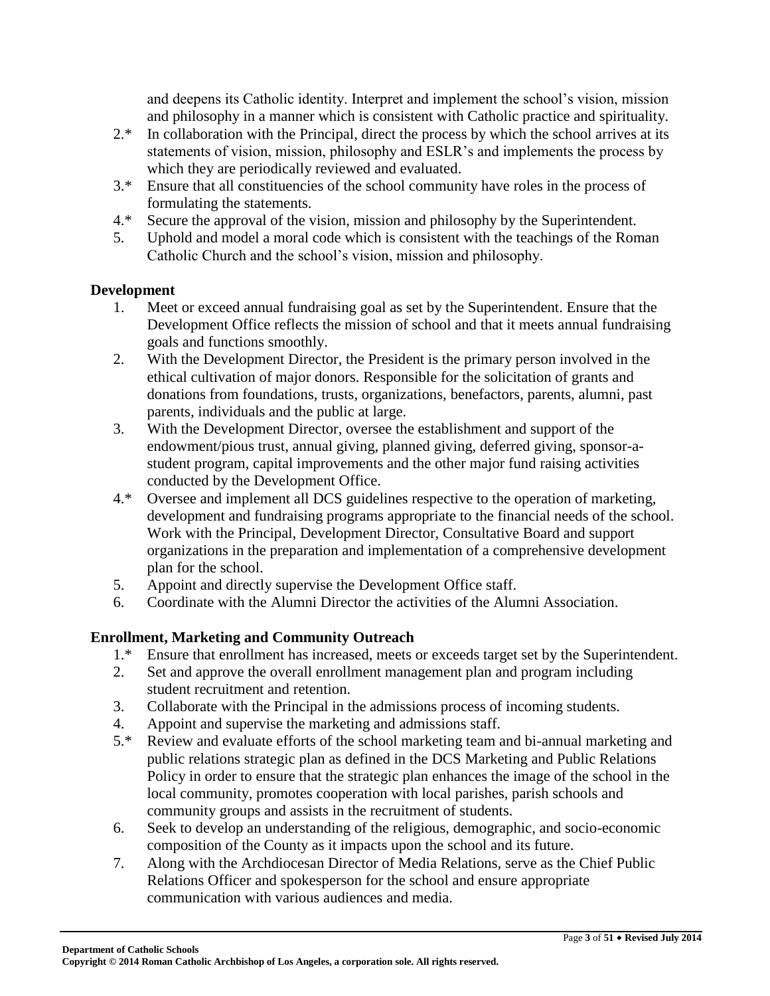and deepens its Catholic identity. Interpret and implement the school's vision, mission and philosophy in a manner which is consistent with Catholic practice and spirituality.

- 2.\* In collaboration with the Principal, direct the process by which the school arrives at its statements of vision, mission, philosophy and ESLR's and implements the process by which they are periodically reviewed and evaluated.
- 3.\* Ensure that all constituencies of the school community have roles in the process of formulating the statements.
- 4.\* Secure the approval of the vision, mission and philosophy by the Superintendent.
- 5. Uphold and model a moral code which is consistent with the teachings of the Roman Catholic Church and the school's vision, mission and philosophy.

# **Development**

- 1. Meet or exceed annual fundraising goal as set by the Superintendent. Ensure that the Development Office reflects the mission of school and that it meets annual fundraising goals and functions smoothly.
- 2. With the Development Director, the President is the primary person involved in the ethical cultivation of major donors. Responsible for the solicitation of grants and donations from foundations, trusts, organizations, benefactors, parents, alumni, past parents, individuals and the public at large.
- 3. With the Development Director, oversee the establishment and support of the endowment/pious trust, annual giving, planned giving, deferred giving, sponsor-astudent program, capital improvements and the other major fund raising activities conducted by the Development Office.
- 4.\* Oversee and implement all DCS guidelines respective to the operation of marketing, development and fundraising programs appropriate to the financial needs of the school. Work with the Principal, Development Director, Consultative Board and support organizations in the preparation and implementation of a comprehensive development plan for the school.
- 5. Appoint and directly supervise the Development Office staff.
- 6. Coordinate with the Alumni Director the activities of the Alumni Association.

# **Enrollment, Marketing and Community Outreach**

- 1.\* Ensure that enrollment has increased, meets or exceeds target set by the Superintendent.
- 2. Set and approve the overall enrollment management plan and program including student recruitment and retention.
- 3. Collaborate with the Principal in the admissions process of incoming students.
- 4. Appoint and supervise the marketing and admissions staff.<br>5.\* Review and evaluate efforts of the school marketing team a
- Review and evaluate efforts of the school marketing team and bi-annual marketing and public relations strategic plan as defined in the DCS Marketing and Public Relations Policy in order to ensure that the strategic plan enhances the image of the school in the local community, promotes cooperation with local parishes, parish schools and community groups and assists in the recruitment of students.
- 6. Seek to develop an understanding of the religious, demographic, and socio-economic composition of the County as it impacts upon the school and its future.
- 7. Along with the Archdiocesan Director of Media Relations, serve as the Chief Public Relations Officer and spokesperson for the school and ensure appropriate communication with various audiences and media.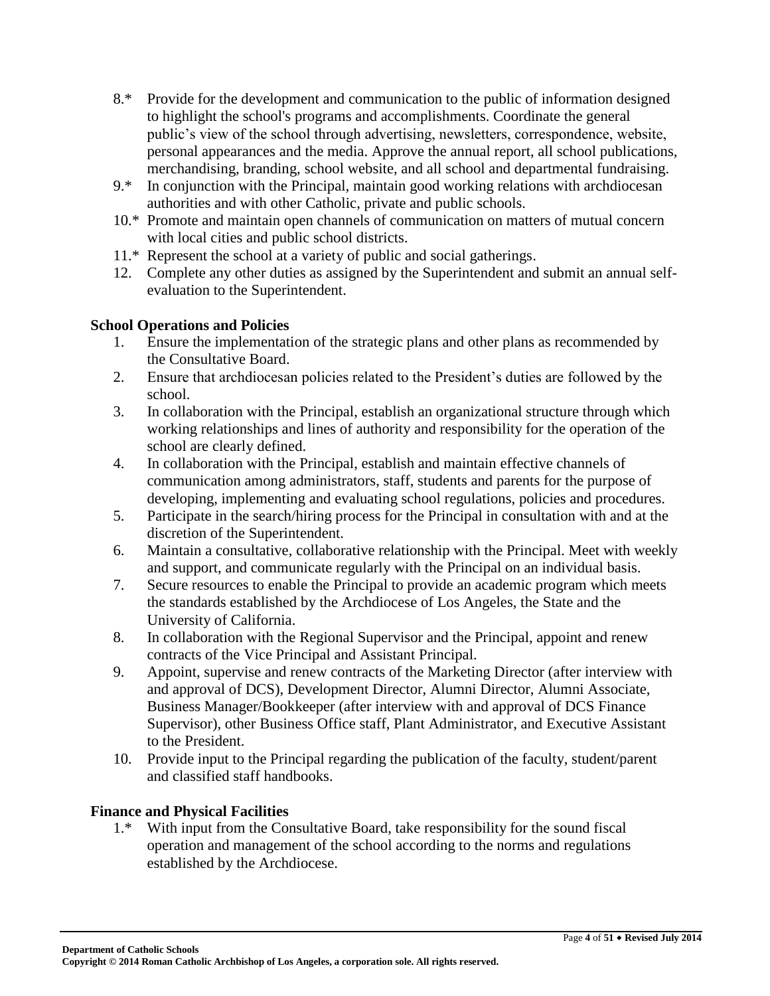- 8.\* Provide for the development and communication to the public of information designed to highlight the school's programs and accomplishments. Coordinate the general public's view of the school through advertising, newsletters, correspondence, website, personal appearances and the media. Approve the annual report, all school publications, merchandising, branding, school website, and all school and departmental fundraising.
- 9.\* In conjunction with the Principal, maintain good working relations with archdiocesan authorities and with other Catholic, private and public schools.
- 10.\* Promote and maintain open channels of communication on matters of mutual concern with local cities and public school districts.
- 11.\* Represent the school at a variety of public and social gatherings.
- 12. Complete any other duties as assigned by the Superintendent and submit an annual selfevaluation to the Superintendent.

### **School Operations and Policies**

- 1. Ensure the implementation of the strategic plans and other plans as recommended by the Consultative Board.
- 2. Ensure that archdiocesan policies related to the President's duties are followed by the school.
- 3. In collaboration with the Principal, establish an organizational structure through which working relationships and lines of authority and responsibility for the operation of the school are clearly defined.
- 4. In collaboration with the Principal, establish and maintain effective channels of communication among administrators, staff, students and parents for the purpose of developing, implementing and evaluating school regulations, policies and procedures.
- 5. Participate in the search/hiring process for the Principal in consultation with and at the discretion of the Superintendent.
- 6. Maintain a consultative, collaborative relationship with the Principal. Meet with weekly and support, and communicate regularly with the Principal on an individual basis.
- 7. Secure resources to enable the Principal to provide an academic program which meets the standards established by the Archdiocese of Los Angeles, the State and the University of California.
- 8. In collaboration with the Regional Supervisor and the Principal, appoint and renew contracts of the Vice Principal and Assistant Principal.
- 9. Appoint, supervise and renew contracts of the Marketing Director (after interview with and approval of DCS), Development Director, Alumni Director, Alumni Associate, Business Manager/Bookkeeper (after interview with and approval of DCS Finance Supervisor), other Business Office staff, Plant Administrator, and Executive Assistant to the President.
- 10. Provide input to the Principal regarding the publication of the faculty, student/parent and classified staff handbooks.

### **Finance and Physical Facilities**

1.\* With input from the Consultative Board, take responsibility for the sound fiscal operation and management of the school according to the norms and regulations established by the Archdiocese.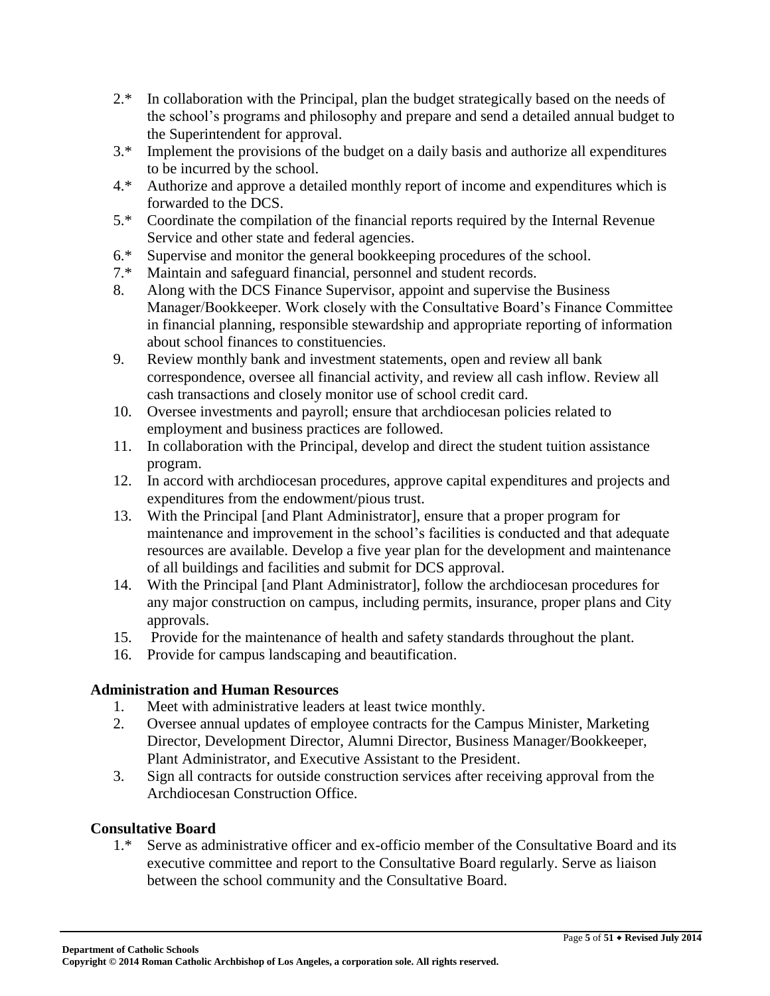- 2.\* In collaboration with the Principal, plan the budget strategically based on the needs of the school's programs and philosophy and prepare and send a detailed annual budget to the Superintendent for approval.
- 3.\* Implement the provisions of the budget on a daily basis and authorize all expenditures to be incurred by the school.
- 4.\* Authorize and approve a detailed monthly report of income and expenditures which is forwarded to the DCS.
- 5.\* Coordinate the compilation of the financial reports required by the Internal Revenue Service and other state and federal agencies.
- 6.\* Supervise and monitor the general bookkeeping procedures of the school.
- 7.\* Maintain and safeguard financial, personnel and student records.
- 8. Along with the DCS Finance Supervisor, appoint and supervise the Business Manager/Bookkeeper. Work closely with the Consultative Board's Finance Committee in financial planning, responsible stewardship and appropriate reporting of information about school finances to constituencies.
- 9. Review monthly bank and investment statements, open and review all bank correspondence, oversee all financial activity, and review all cash inflow. Review all cash transactions and closely monitor use of school credit card.
- 10. Oversee investments and payroll; ensure that archdiocesan policies related to employment and business practices are followed.
- 11. In collaboration with the Principal, develop and direct the student tuition assistance program.
- 12. In accord with archdiocesan procedures, approve capital expenditures and projects and expenditures from the endowment/pious trust.
- 13. With the Principal [and Plant Administrator], ensure that a proper program for maintenance and improvement in the school's facilities is conducted and that adequate resources are available. Develop a five year plan for the development and maintenance of all buildings and facilities and submit for DCS approval.
- 14. With the Principal [and Plant Administrator], follow the archdiocesan procedures for any major construction on campus, including permits, insurance, proper plans and City approvals.
- 15. Provide for the maintenance of health and safety standards throughout the plant.
- 16. Provide for campus landscaping and beautification.

# **Administration and Human Resources**

- 1. Meet with administrative leaders at least twice monthly.
- 2. Oversee annual updates of employee contracts for the Campus Minister, Marketing Director, Development Director, Alumni Director, Business Manager/Bookkeeper, Plant Administrator, and Executive Assistant to the President.
- 3. Sign all contracts for outside construction services after receiving approval from the Archdiocesan Construction Office.

### **Consultative Board**

1.\* Serve as administrative officer and ex-officio member of the Consultative Board and its executive committee and report to the Consultative Board regularly. Serve as liaison between the school community and the Consultative Board.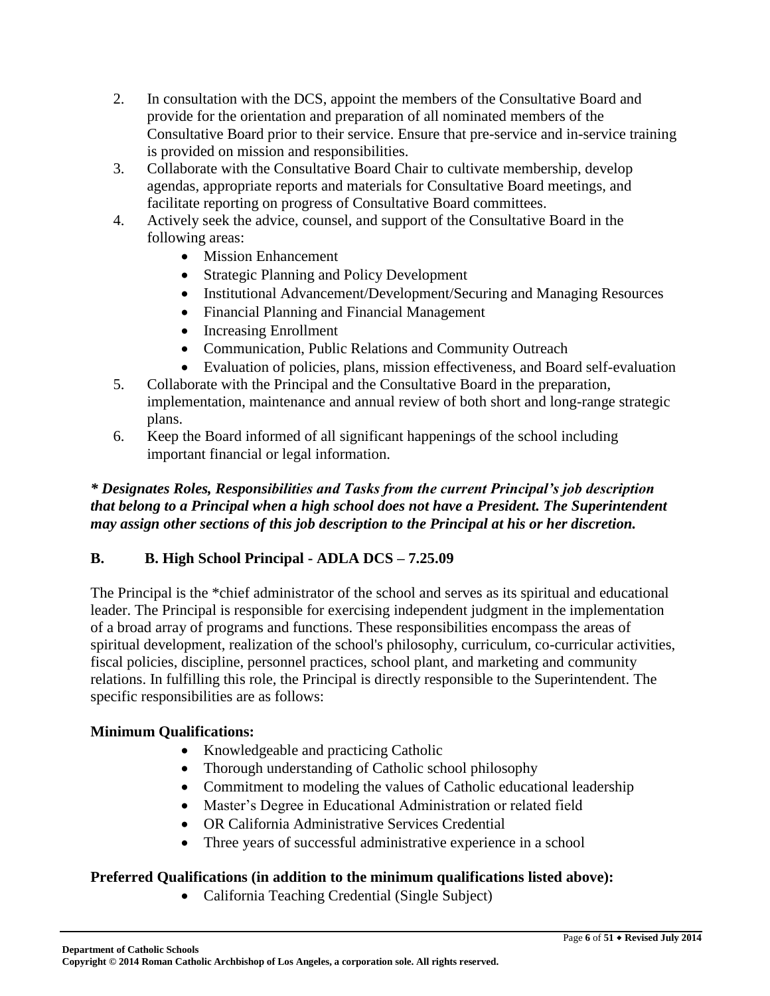- 2. In consultation with the DCS, appoint the members of the Consultative Board and provide for the orientation and preparation of all nominated members of the Consultative Board prior to their service. Ensure that pre-service and in-service training is provided on mission and responsibilities.
- 3. Collaborate with the Consultative Board Chair to cultivate membership, develop agendas, appropriate reports and materials for Consultative Board meetings, and facilitate reporting on progress of Consultative Board committees.
- 4. Actively seek the advice, counsel, and support of the Consultative Board in the following areas:
	- Mission Enhancement
	- Strategic Planning and Policy Development
	- Institutional Advancement/Development/Securing and Managing Resources
	- Financial Planning and Financial Management
	- Increasing Enrollment
	- Communication, Public Relations and Community Outreach
	- Evaluation of policies, plans, mission effectiveness, and Board self-evaluation
- 5. Collaborate with the Principal and the Consultative Board in the preparation, implementation, maintenance and annual review of both short and long-range strategic plans.
- 6. Keep the Board informed of all significant happenings of the school including important financial or legal information.

### *\* Designates Roles, Responsibilities and Tasks from the current Principal's job description that belong to a Principal when a high school does not have a President. The Superintendent may assign other sections of this job description to the Principal at his or her discretion.*

# **B. B. High School Principal - ADLA DCS – 7.25.09**

The Principal is the \*chief administrator of the school and serves as its spiritual and educational leader. The Principal is responsible for exercising independent judgment in the implementation of a broad array of programs and functions. These responsibilities encompass the areas of spiritual development, realization of the school's philosophy, curriculum, co-curricular activities, fiscal policies, discipline, personnel practices, school plant, and marketing and community relations. In fulfilling this role, the Principal is directly responsible to the Superintendent. The specific responsibilities are as follows:

# **Minimum Qualifications:**

- Knowledgeable and practicing Catholic
- Thorough understanding of Catholic school philosophy
- Commitment to modeling the values of Catholic educational leadership
- Master's Degree in Educational Administration or related field
- OR California Administrative Services Credential
- Three years of successful administrative experience in a school

# **Preferred Qualifications (in addition to the minimum qualifications listed above):**

California Teaching Credential (Single Subject)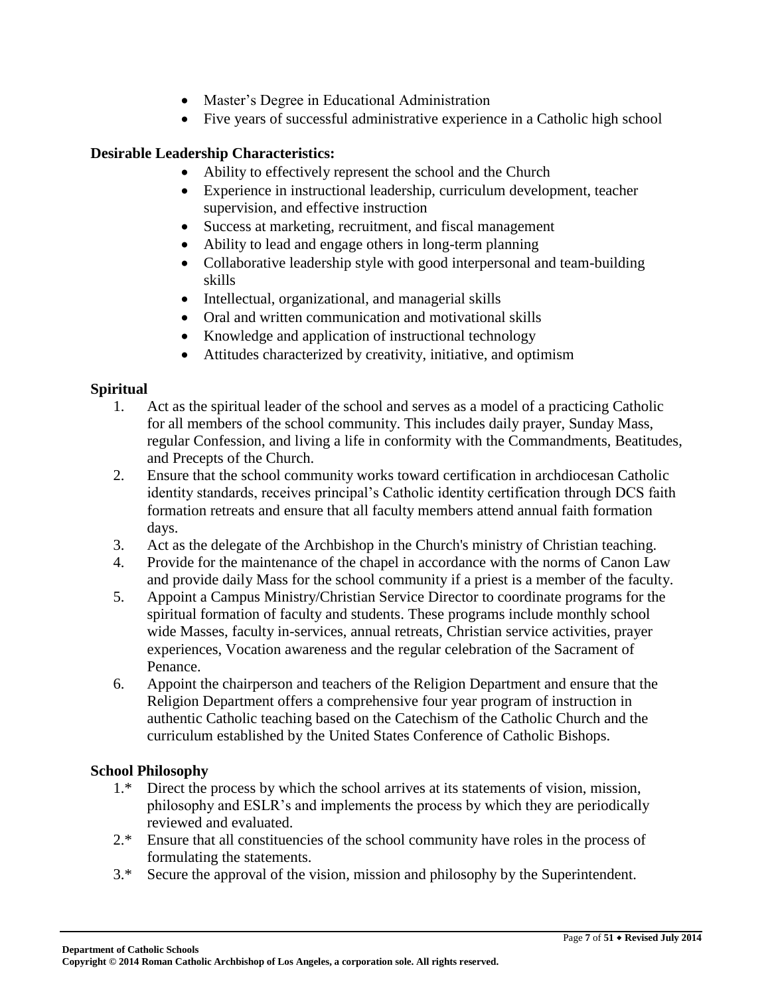- Master's Degree in Educational Administration
- Five years of successful administrative experience in a Catholic high school

### **Desirable Leadership Characteristics:**

- Ability to effectively represent the school and the Church
- Experience in instructional leadership, curriculum development, teacher supervision, and effective instruction
- Success at marketing, recruitment, and fiscal management
- Ability to lead and engage others in long-term planning
- Collaborative leadership style with good interpersonal and team-building skills
- Intellectual, organizational, and managerial skills
- Oral and written communication and motivational skills
- Knowledge and application of instructional technology
- Attitudes characterized by creativity, initiative, and optimism

### **Spiritual**

- 1. Act as the spiritual leader of the school and serves as a model of a practicing Catholic for all members of the school community. This includes daily prayer, Sunday Mass, regular Confession, and living a life in conformity with the Commandments, Beatitudes, and Precepts of the Church.
- 2. Ensure that the school community works toward certification in archdiocesan Catholic identity standards, receives principal's Catholic identity certification through DCS faith formation retreats and ensure that all faculty members attend annual faith formation days.
- 3. Act as the delegate of the Archbishop in the Church's ministry of Christian teaching.
- 4. Provide for the maintenance of the chapel in accordance with the norms of Canon Law and provide daily Mass for the school community if a priest is a member of the faculty.
- 5. Appoint a Campus Ministry/Christian Service Director to coordinate programs for the spiritual formation of faculty and students. These programs include monthly school wide Masses, faculty in-services, annual retreats, Christian service activities, prayer experiences, Vocation awareness and the regular celebration of the Sacrament of Penance.
- 6. Appoint the chairperson and teachers of the Religion Department and ensure that the Religion Department offers a comprehensive four year program of instruction in authentic Catholic teaching based on the Catechism of the Catholic Church and the curriculum established by the United States Conference of Catholic Bishops.

### **School Philosophy**

- 1.\* Direct the process by which the school arrives at its statements of vision, mission, philosophy and ESLR's and implements the process by which they are periodically reviewed and evaluated.
- 2.\* Ensure that all constituencies of the school community have roles in the process of formulating the statements.
- 3.\* Secure the approval of the vision, mission and philosophy by the Superintendent.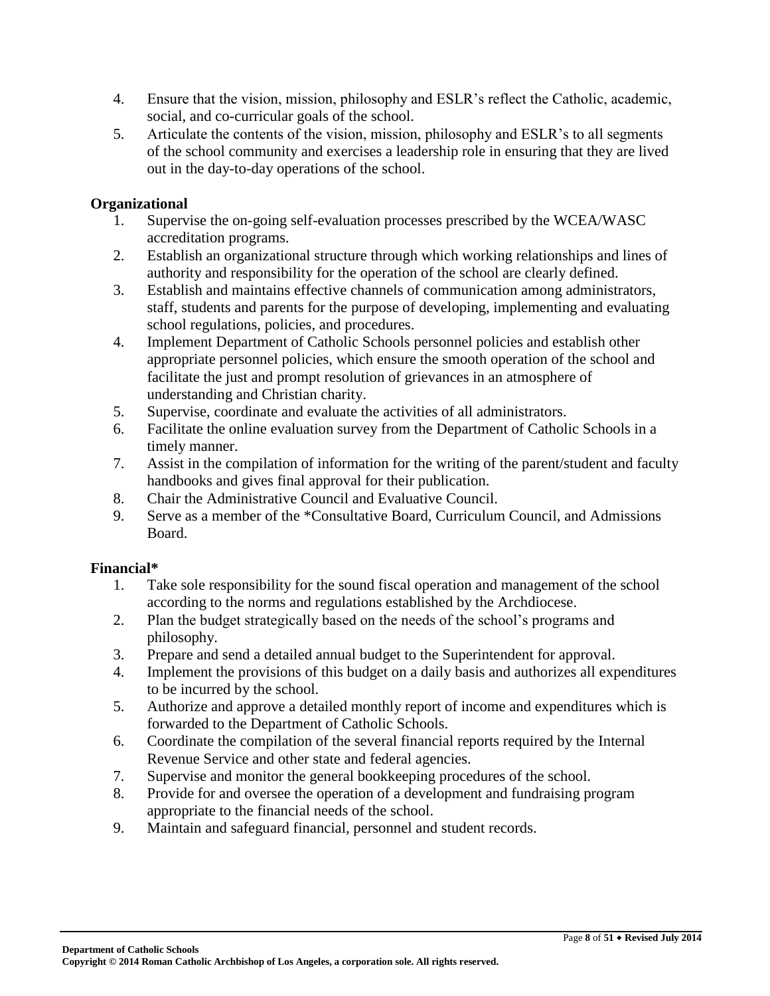- 4. Ensure that the vision, mission, philosophy and ESLR's reflect the Catholic, academic, social, and co-curricular goals of the school.
- 5. Articulate the contents of the vision, mission, philosophy and ESLR's to all segments of the school community and exercises a leadership role in ensuring that they are lived out in the day-to-day operations of the school.

# **Organizational**

- 1. Supervise the on-going self-evaluation processes prescribed by the WCEA/WASC accreditation programs.
- 2. Establish an organizational structure through which working relationships and lines of authority and responsibility for the operation of the school are clearly defined.
- 3. Establish and maintains effective channels of communication among administrators, staff, students and parents for the purpose of developing, implementing and evaluating school regulations, policies, and procedures.
- 4. Implement Department of Catholic Schools personnel policies and establish other appropriate personnel policies, which ensure the smooth operation of the school and facilitate the just and prompt resolution of grievances in an atmosphere of understanding and Christian charity.
- 5. Supervise, coordinate and evaluate the activities of all administrators.
- 6. Facilitate the online evaluation survey from the Department of Catholic Schools in a timely manner.
- 7. Assist in the compilation of information for the writing of the parent/student and faculty handbooks and gives final approval for their publication.
- 8. Chair the Administrative Council and Evaluative Council.
- 9. Serve as a member of the \*Consultative Board, Curriculum Council, and Admissions Board.

# **Financial\***

- 1. Take sole responsibility for the sound fiscal operation and management of the school according to the norms and regulations established by the Archdiocese.
- 2. Plan the budget strategically based on the needs of the school's programs and philosophy.
- 3. Prepare and send a detailed annual budget to the Superintendent for approval.
- 4. Implement the provisions of this budget on a daily basis and authorizes all expenditures to be incurred by the school.
- 5. Authorize and approve a detailed monthly report of income and expenditures which is forwarded to the Department of Catholic Schools.
- 6. Coordinate the compilation of the several financial reports required by the Internal Revenue Service and other state and federal agencies.
- 7. Supervise and monitor the general bookkeeping procedures of the school.
- 8. Provide for and oversee the operation of a development and fundraising program appropriate to the financial needs of the school.
- 9. Maintain and safeguard financial, personnel and student records.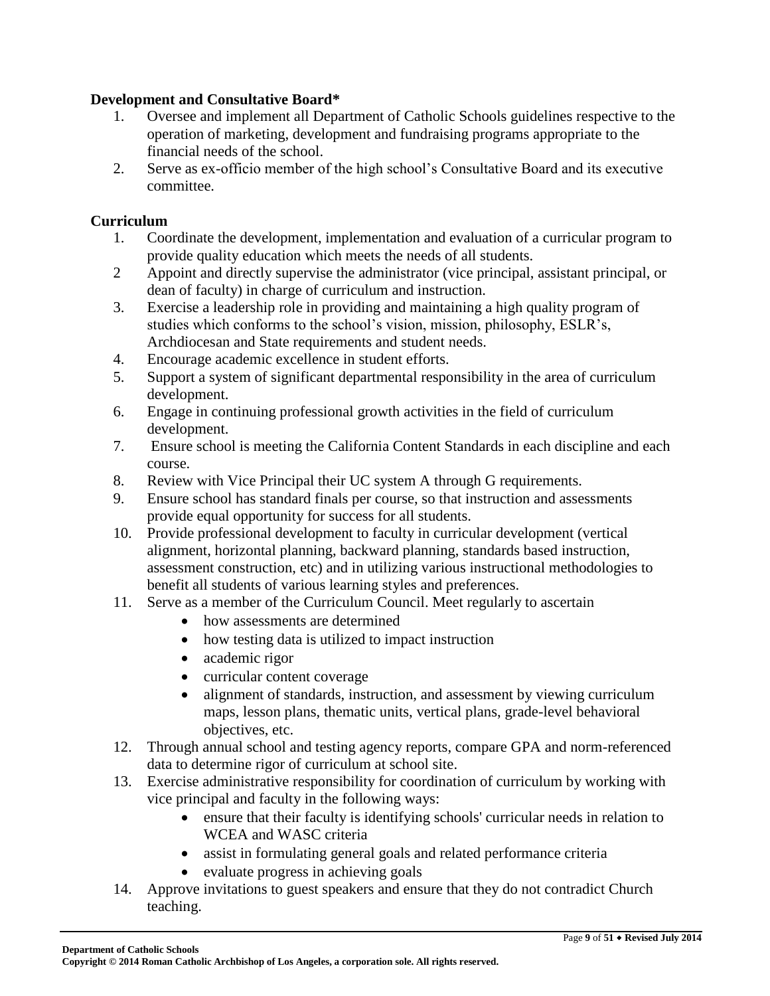### **Development and Consultative Board\***

- 1. Oversee and implement all Department of Catholic Schools guidelines respective to the operation of marketing, development and fundraising programs appropriate to the financial needs of the school.
- 2. Serve as ex-officio member of the high school's Consultative Board and its executive committee.

#### **Curriculum**

- 1. Coordinate the development, implementation and evaluation of a curricular program to provide quality education which meets the needs of all students.
- 2 Appoint and directly supervise the administrator (vice principal, assistant principal, or dean of faculty) in charge of curriculum and instruction.
- 3. Exercise a leadership role in providing and maintaining a high quality program of studies which conforms to the school's vision, mission, philosophy, ESLR's, Archdiocesan and State requirements and student needs.
- 4. Encourage academic excellence in student efforts.
- 5. Support a system of significant departmental responsibility in the area of curriculum development.
- 6. Engage in continuing professional growth activities in the field of curriculum development.
- 7. Ensure school is meeting the California Content Standards in each discipline and each course.
- 8. Review with Vice Principal their UC system A through G requirements.
- 9. Ensure school has standard finals per course, so that instruction and assessments provide equal opportunity for success for all students.
- 10. Provide professional development to faculty in curricular development (vertical alignment, horizontal planning, backward planning, standards based instruction, assessment construction, etc) and in utilizing various instructional methodologies to benefit all students of various learning styles and preferences.
- 11. Serve as a member of the Curriculum Council. Meet regularly to ascertain
	- how assessments are determined
	- how testing data is utilized to impact instruction
	- academic rigor
	- curricular content coverage
	- alignment of standards, instruction, and assessment by viewing curriculum maps, lesson plans, thematic units, vertical plans, grade-level behavioral objectives, etc.
- 12. Through annual school and testing agency reports, compare GPA and norm-referenced data to determine rigor of curriculum at school site.
- 13. Exercise administrative responsibility for coordination of curriculum by working with vice principal and faculty in the following ways:
	- ensure that their faculty is identifying schools' curricular needs in relation to WCEA and WASC criteria
	- assist in formulating general goals and related performance criteria
	- evaluate progress in achieving goals
- 14. Approve invitations to guest speakers and ensure that they do not contradict Church teaching.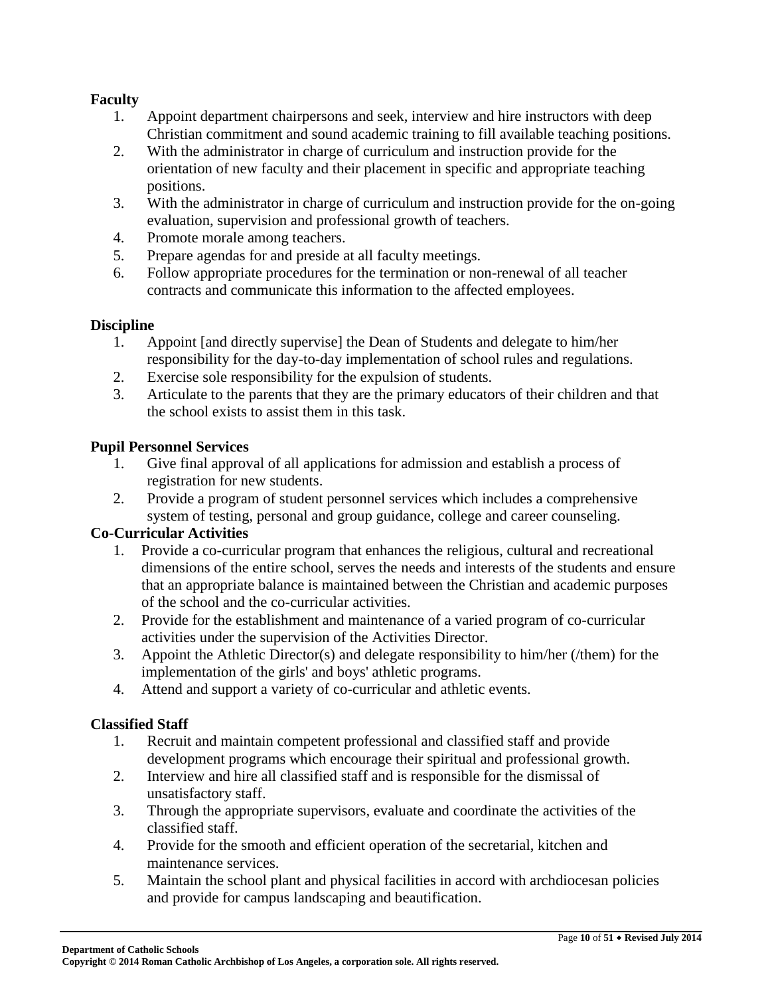### **Faculty**

- 1. Appoint department chairpersons and seek, interview and hire instructors with deep Christian commitment and sound academic training to fill available teaching positions.
- 2. With the administrator in charge of curriculum and instruction provide for the orientation of new faculty and their placement in specific and appropriate teaching positions.
- 3. With the administrator in charge of curriculum and instruction provide for the on-going evaluation, supervision and professional growth of teachers.
- 4. Promote morale among teachers.
- 5. Prepare agendas for and preside at all faculty meetings.
- 6. Follow appropriate procedures for the termination or non-renewal of all teacher contracts and communicate this information to the affected employees.

#### **Discipline**

- 1. Appoint [and directly supervise] the Dean of Students and delegate to him/her responsibility for the day-to-day implementation of school rules and regulations.
- 2. Exercise sole responsibility for the expulsion of students.
- 3. Articulate to the parents that they are the primary educators of their children and that the school exists to assist them in this task.

### **Pupil Personnel Services**

- 1. Give final approval of all applications for admission and establish a process of registration for new students.
- 2. Provide a program of student personnel services which includes a comprehensive system of testing, personal and group guidance, college and career counseling.

### **Co-Curricular Activities**

- 1. Provide a co-curricular program that enhances the religious, cultural and recreational dimensions of the entire school, serves the needs and interests of the students and ensure that an appropriate balance is maintained between the Christian and academic purposes of the school and the co-curricular activities.
- 2. Provide for the establishment and maintenance of a varied program of co-curricular activities under the supervision of the Activities Director.
- 3. Appoint the Athletic Director(s) and delegate responsibility to him/her (/them) for the implementation of the girls' and boys' athletic programs.
- 4. Attend and support a variety of co-curricular and athletic events.

### **Classified Staff**

- 1. Recruit and maintain competent professional and classified staff and provide development programs which encourage their spiritual and professional growth.
- 2. Interview and hire all classified staff and is responsible for the dismissal of unsatisfactory staff.
- 3. Through the appropriate supervisors, evaluate and coordinate the activities of the classified staff.
- 4. Provide for the smooth and efficient operation of the secretarial, kitchen and maintenance services.
- 5. Maintain the school plant and physical facilities in accord with archdiocesan policies and provide for campus landscaping and beautification.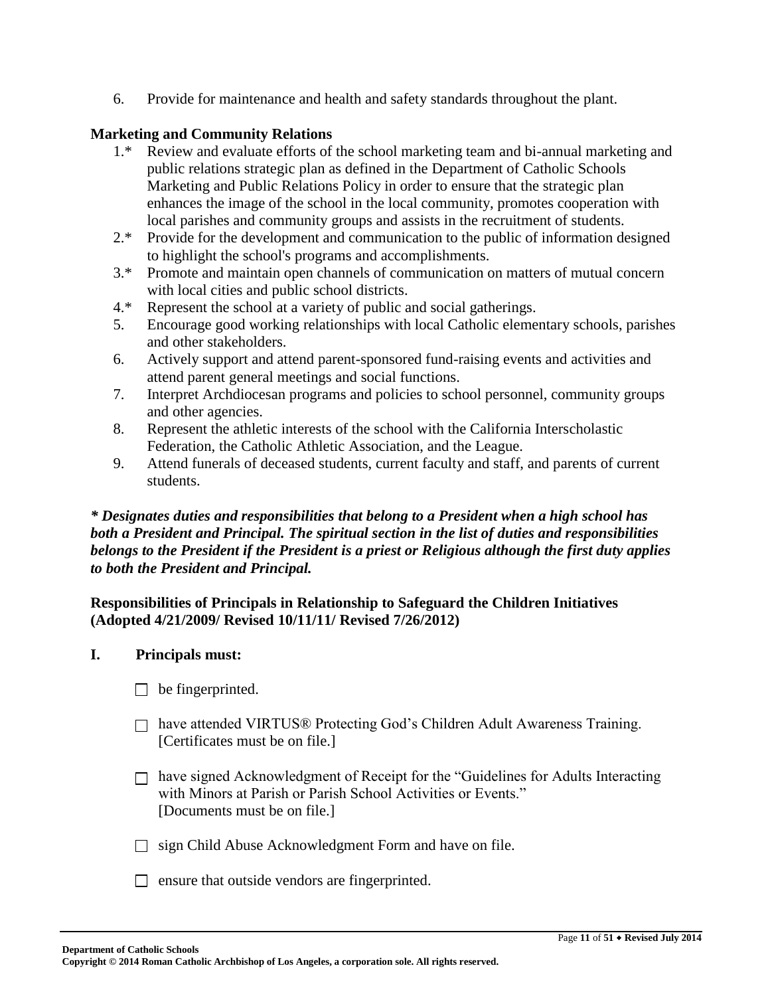6. Provide for maintenance and health and safety standards throughout the plant.

#### **Marketing and Community Relations**

- 1.\* Review and evaluate efforts of the school marketing team and bi-annual marketing and public relations strategic plan as defined in the Department of Catholic Schools Marketing and Public Relations Policy in order to ensure that the strategic plan enhances the image of the school in the local community, promotes cooperation with local parishes and community groups and assists in the recruitment of students.
- 2.\* Provide for the development and communication to the public of information designed to highlight the school's programs and accomplishments.
- 3.\* Promote and maintain open channels of communication on matters of mutual concern with local cities and public school districts.
- 4.\* Represent the school at a variety of public and social gatherings.
- 5. Encourage good working relationships with local Catholic elementary schools, parishes and other stakeholders.
- 6. Actively support and attend parent-sponsored fund-raising events and activities and attend parent general meetings and social functions.
- 7. Interpret Archdiocesan programs and policies to school personnel, community groups and other agencies.
- 8. Represent the athletic interests of the school with the California Interscholastic Federation, the Catholic Athletic Association, and the League.
- 9. Attend funerals of deceased students, current faculty and staff, and parents of current students.

### *\* Designates duties and responsibilities that belong to a President when a high school has both a President and Principal. The spiritual section in the list of duties and responsibilities belongs to the President if the President is a priest or Religious although the first duty applies to both the President and Principal.*

### **Responsibilities of Principals in Relationship to Safeguard the Children Initiatives (Adopted 4/21/2009/ Revised 10/11/11/ Revised 7/26/2012)**

#### **I. Principals must:**

- $\Box$  be fingerprinted.
- □ have attended VIRTUS® Protecting God's Children Adult Awareness Training. [Certificates must be on file.]
- $\Box$  have signed Acknowledgment of Receipt for the "Guidelines for Adults Interacting" with Minors at Parish or Parish School Activities or Events." [Documents must be on file.]
- $\Box$  sign Child Abuse Acknowledgment Form and have on file.
- $\Box$  ensure that outside vendors are fingerprinted.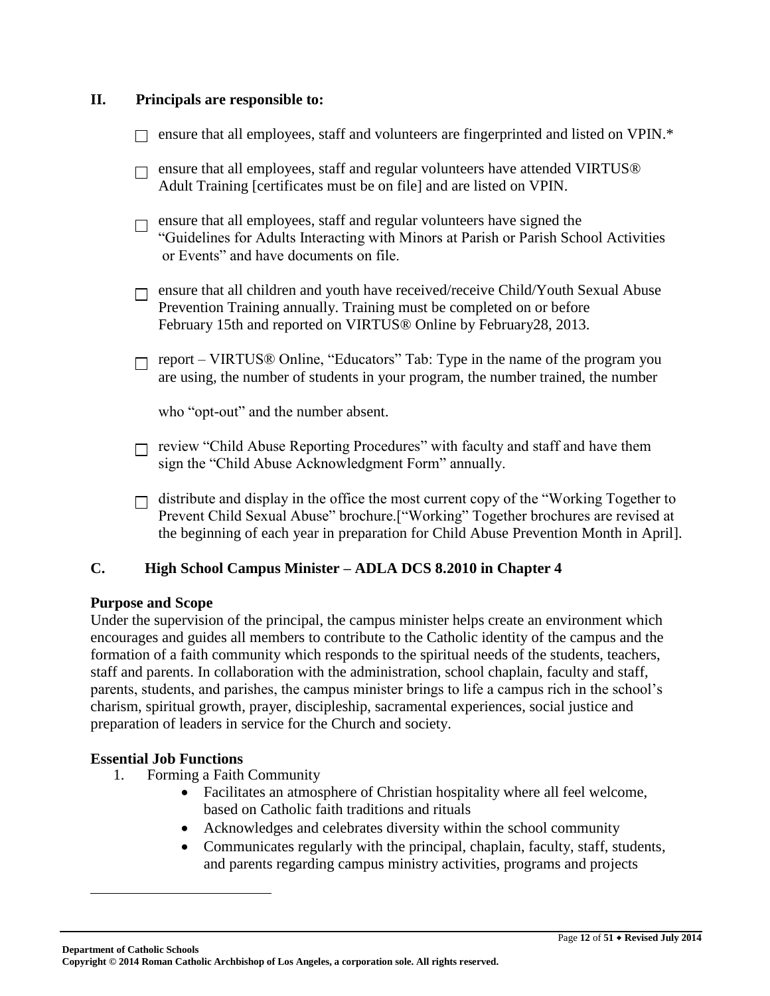#### **II. Principals are responsible to:**

- $\Box$  ensure that all employees, staff and volunteers are fingerprinted and listed on VPIN.\*
- $\Box$  ensure that all employees, staff and regular volunteers have attended VIRTUS® Adult Training [certificates must be on file] and are listed on VPIN.
- $\Box$  ensure that all employees, staff and regular volunteers have signed the "Guidelines for Adults Interacting with Minors at Parish or Parish School Activities or Events" and have documents on file.
- $\Box$  ensure that all children and youth have received/receive Child/Youth Sexual Abuse Prevention Training annually. Training must be completed on or before February 15th and reported on VIRTUS® Online by February28, 2013.
- $\Box$  report VIRTUS® Online, "Educators" Tab: Type in the name of the program you are using, the number of students in your program, the number trained, the number

who "opt-out" and the number absent.

- $\Box$  review "Child Abuse Reporting Procedures" with faculty and staff and have them sign the "Child Abuse Acknowledgment Form" annually.
- $\Box$  distribute and display in the office the most current copy of the "Working Together to" Prevent Child Sexual Abuse" brochure.["Working" Together brochures are revised at the beginning of each year in preparation for Child Abuse Prevention Month in April].

### **C. High School Campus Minister – ADLA DCS 8.2010 in Chapter 4**

#### **Purpose and Scope**

Under the supervision of the principal, the campus minister helps create an environment which encourages and guides all members to contribute to the Catholic identity of the campus and the formation of a faith community which responds to the spiritual needs of the students, teachers, staff and parents. In collaboration with the administration, school chaplain, faculty and staff, parents, students, and parishes, the campus minister brings to life a campus rich in the school's charism, spiritual growth, prayer, discipleship, sacramental experiences, social justice and preparation of leaders in service for the Church and society.

#### **Essential Job Functions**

 $\overline{a}$ 

- 1. Forming a Faith Community
	- Facilitates an atmosphere of Christian hospitality where all feel welcome, based on Catholic faith traditions and rituals
	- Acknowledges and celebrates diversity within the school community
	- Communicates regularly with the principal, chaplain, faculty, staff, students, and parents regarding campus ministry activities, programs and projects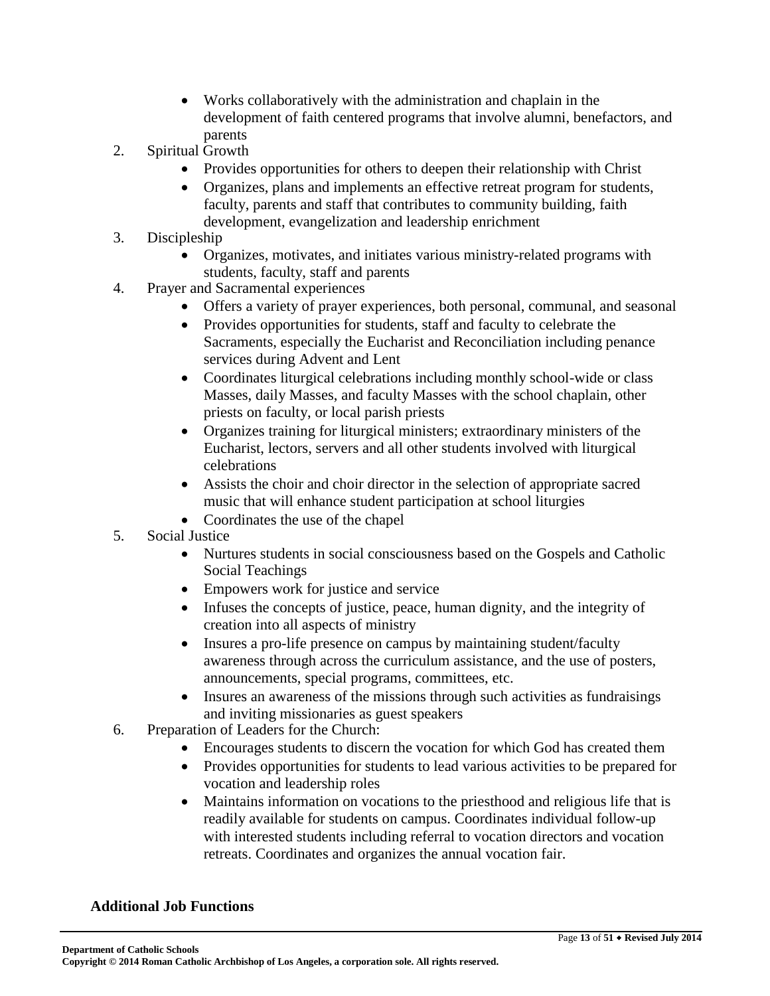- Works collaboratively with the administration and chaplain in the development of faith centered programs that involve alumni, benefactors, and parents
- 2. Spiritual Growth
	- Provides opportunities for others to deepen their relationship with Christ
	- Organizes, plans and implements an effective retreat program for students, faculty, parents and staff that contributes to community building, faith development, evangelization and leadership enrichment
- 3. Discipleship
	- Organizes, motivates, and initiates various ministry-related programs with students, faculty, staff and parents
- 4. Prayer and Sacramental experiences
	- Offers a variety of prayer experiences, both personal, communal, and seasonal
	- Provides opportunities for students, staff and faculty to celebrate the Sacraments, especially the Eucharist and Reconciliation including penance services during Advent and Lent
	- Coordinates liturgical celebrations including monthly school-wide or class Masses, daily Masses, and faculty Masses with the school chaplain, other priests on faculty, or local parish priests
	- Organizes training for liturgical ministers; extraordinary ministers of the Eucharist, lectors, servers and all other students involved with liturgical celebrations
	- Assists the choir and choir director in the selection of appropriate sacred music that will enhance student participation at school liturgies
	- Coordinates the use of the chapel
- 5. Social Justice
	- Nurtures students in social consciousness based on the Gospels and Catholic Social Teachings
	- Empowers work for justice and service
	- Infuses the concepts of justice, peace, human dignity, and the integrity of creation into all aspects of ministry
	- Insures a pro-life presence on campus by maintaining student/faculty awareness through across the curriculum assistance, and the use of posters, announcements, special programs, committees, etc.
	- Insures an awareness of the missions through such activities as fundraisings and inviting missionaries as guest speakers
- 6. Preparation of Leaders for the Church:
	- Encourages students to discern the vocation for which God has created them
	- Provides opportunities for students to lead various activities to be prepared for vocation and leadership roles
	- Maintains information on vocations to the priesthood and religious life that is readily available for students on campus. Coordinates individual follow-up with interested students including referral to vocation directors and vocation retreats. Coordinates and organizes the annual vocation fair.

### **Additional Job Functions**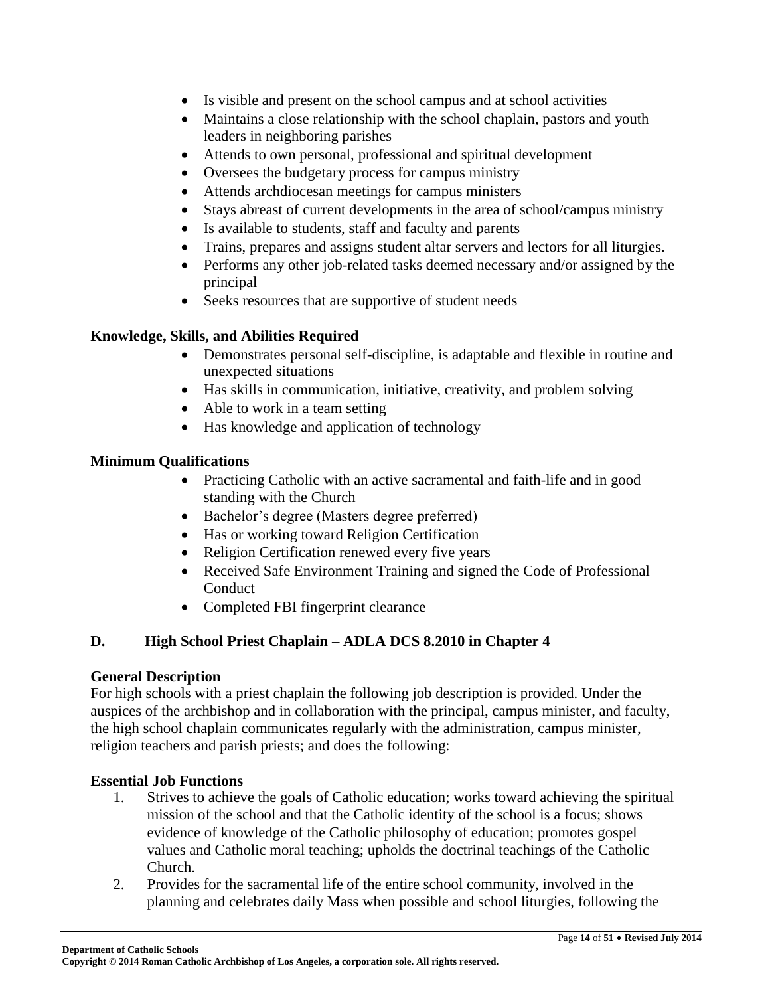- Is visible and present on the school campus and at school activities
- Maintains a close relationship with the school chaplain, pastors and youth leaders in neighboring parishes
- Attends to own personal, professional and spiritual development
- Oversees the budgetary process for campus ministry
- Attends archdiocesan meetings for campus ministers
- Stays abreast of current developments in the area of school/campus ministry
- Is available to students, staff and faculty and parents
- Trains, prepares and assigns student altar servers and lectors for all liturgies.
- Performs any other job-related tasks deemed necessary and/or assigned by the principal
- Seeks resources that are supportive of student needs

### **Knowledge, Skills, and Abilities Required**

- Demonstrates personal self-discipline, is adaptable and flexible in routine and unexpected situations
- Has skills in communication, initiative, creativity, and problem solving
- Able to work in a team setting
- Has knowledge and application of technology

### **Minimum Qualifications**

- Practicing Catholic with an active sacramental and faith-life and in good standing with the Church
- Bachelor's degree (Masters degree preferred)
- Has or working toward Religion Certification
- Religion Certification renewed every five years
- Received Safe Environment Training and signed the Code of Professional Conduct
- Completed FBI fingerprint clearance

# **D. High School Priest Chaplain – ADLA DCS 8.2010 in Chapter 4**

### **General Description**

For high schools with a priest chaplain the following job description is provided. Under the auspices of the archbishop and in collaboration with the principal, campus minister, and faculty, the high school chaplain communicates regularly with the administration, campus minister, religion teachers and parish priests; and does the following:

### **Essential Job Functions**

- 1. Strives to achieve the goals of Catholic education; works toward achieving the spiritual mission of the school and that the Catholic identity of the school is a focus; shows evidence of knowledge of the Catholic philosophy of education; promotes gospel values and Catholic moral teaching; upholds the doctrinal teachings of the Catholic Church.
- 2. Provides for the sacramental life of the entire school community, involved in the planning and celebrates daily Mass when possible and school liturgies, following the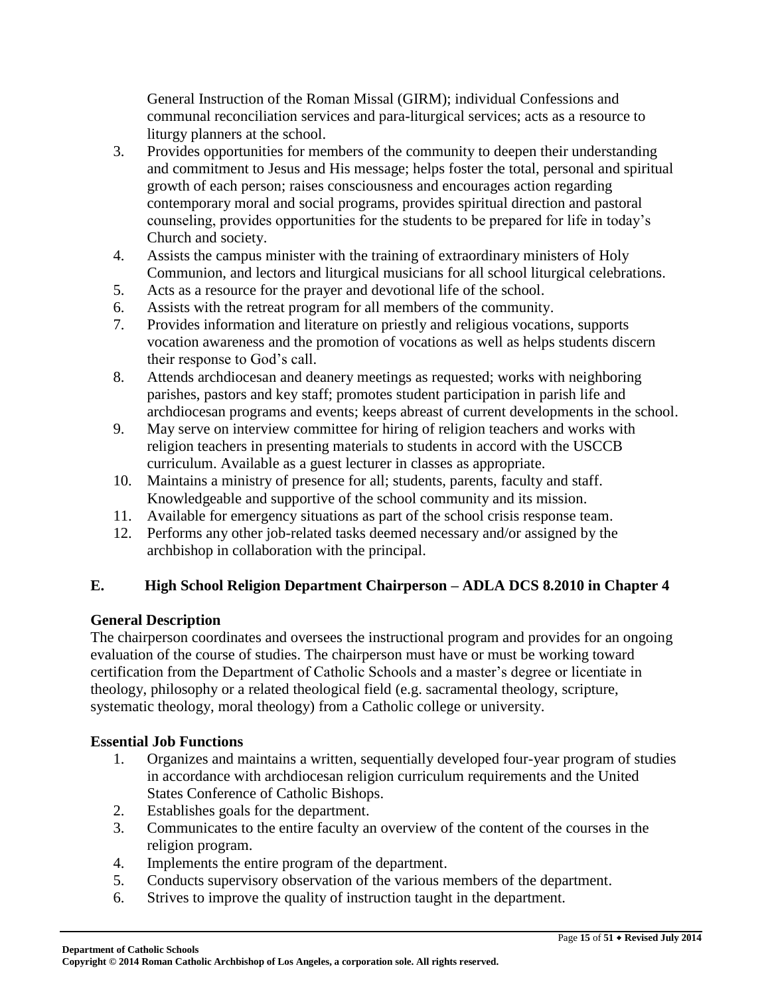General Instruction of the Roman Missal (GIRM); individual Confessions and communal reconciliation services and para-liturgical services; acts as a resource to liturgy planners at the school.

- 3. Provides opportunities for members of the community to deepen their understanding and commitment to Jesus and His message; helps foster the total, personal and spiritual growth of each person; raises consciousness and encourages action regarding contemporary moral and social programs, provides spiritual direction and pastoral counseling, provides opportunities for the students to be prepared for life in today's Church and society.
- 4. Assists the campus minister with the training of extraordinary ministers of Holy Communion, and lectors and liturgical musicians for all school liturgical celebrations.
- 5. Acts as a resource for the prayer and devotional life of the school.
- 6. Assists with the retreat program for all members of the community.
- 7. Provides information and literature on priestly and religious vocations, supports vocation awareness and the promotion of vocations as well as helps students discern their response to God's call.
- 8. Attends archdiocesan and deanery meetings as requested; works with neighboring parishes, pastors and key staff; promotes student participation in parish life and archdiocesan programs and events; keeps abreast of current developments in the school.
- 9. May serve on interview committee for hiring of religion teachers and works with religion teachers in presenting materials to students in accord with the USCCB curriculum. Available as a guest lecturer in classes as appropriate.
- 10. Maintains a ministry of presence for all; students, parents, faculty and staff. Knowledgeable and supportive of the school community and its mission.
- 11. Available for emergency situations as part of the school crisis response team.
- 12. Performs any other job-related tasks deemed necessary and/or assigned by the archbishop in collaboration with the principal.

# **E. High School Religion Department Chairperson – ADLA DCS 8.2010 in Chapter 4**

### **General Description**

The chairperson coordinates and oversees the instructional program and provides for an ongoing evaluation of the course of studies. The chairperson must have or must be working toward certification from the Department of Catholic Schools and a master's degree or licentiate in theology, philosophy or a related theological field (e.g. sacramental theology, scripture, systematic theology, moral theology) from a Catholic college or university.

### **Essential Job Functions**

- 1. Organizes and maintains a written, sequentially developed four-year program of studies in accordance with archdiocesan religion curriculum requirements and the United States Conference of Catholic Bishops.
- 2. Establishes goals for the department.
- 3. Communicates to the entire faculty an overview of the content of the courses in the religion program.
- 4. Implements the entire program of the department.
- 5. Conducts supervisory observation of the various members of the department.
- 6. Strives to improve the quality of instruction taught in the department.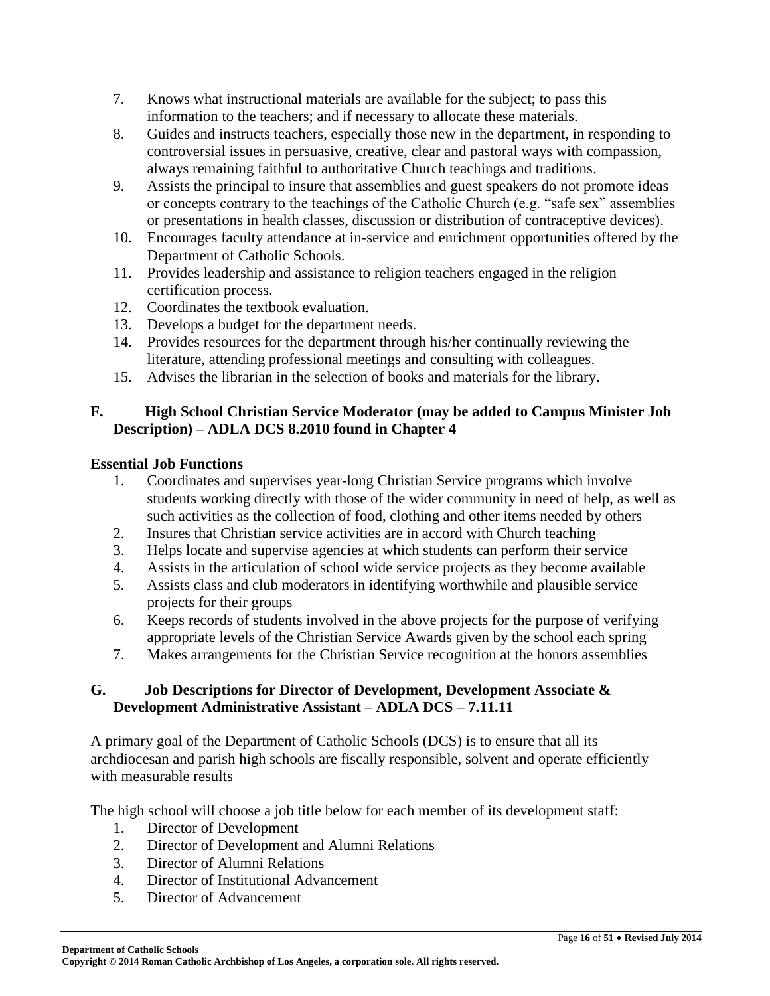- 7. Knows what instructional materials are available for the subject; to pass this information to the teachers; and if necessary to allocate these materials.
- 8. Guides and instructs teachers, especially those new in the department, in responding to controversial issues in persuasive, creative, clear and pastoral ways with compassion, always remaining faithful to authoritative Church teachings and traditions.
- 9. Assists the principal to insure that assemblies and guest speakers do not promote ideas or concepts contrary to the teachings of the Catholic Church (e.g. "safe sex" assemblies or presentations in health classes, discussion or distribution of contraceptive devices).
- 10. Encourages faculty attendance at in-service and enrichment opportunities offered by the Department of Catholic Schools.
- 11. Provides leadership and assistance to religion teachers engaged in the religion certification process.
- 12. Coordinates the textbook evaluation.
- 13. Develops a budget for the department needs.
- 14. Provides resources for the department through his/her continually reviewing the literature, attending professional meetings and consulting with colleagues.
- 15. Advises the librarian in the selection of books and materials for the library.

### **F. High School Christian Service Moderator (may be added to Campus Minister Job Description) – ADLA DCS 8.2010 found in Chapter 4**

### **Essential Job Functions**

- 1. Coordinates and supervises year-long Christian Service programs which involve students working directly with those of the wider community in need of help, as well as such activities as the collection of food, clothing and other items needed by others
- 2. Insures that Christian service activities are in accord with Church teaching
- 3. Helps locate and supervise agencies at which students can perform their service
- 4. Assists in the articulation of school wide service projects as they become available
- 5. Assists class and club moderators in identifying worthwhile and plausible service projects for their groups
- 6. Keeps records of students involved in the above projects for the purpose of verifying appropriate levels of the Christian Service Awards given by the school each spring
- 7. Makes arrangements for the Christian Service recognition at the honors assemblies

### **G. Job Descriptions for Director of Development, Development Associate & Development Administrative Assistant – ADLA DCS – 7.11.11**

A primary goal of the Department of Catholic Schools (DCS) is to ensure that all its archdiocesan and parish high schools are fiscally responsible, solvent and operate efficiently with measurable results

The high school will choose a job title below for each member of its development staff:

- 1. Director of Development
- 2. Director of Development and Alumni Relations
- 3. Director of Alumni Relations
- 4. Director of Institutional Advancement
- 5. Director of Advancement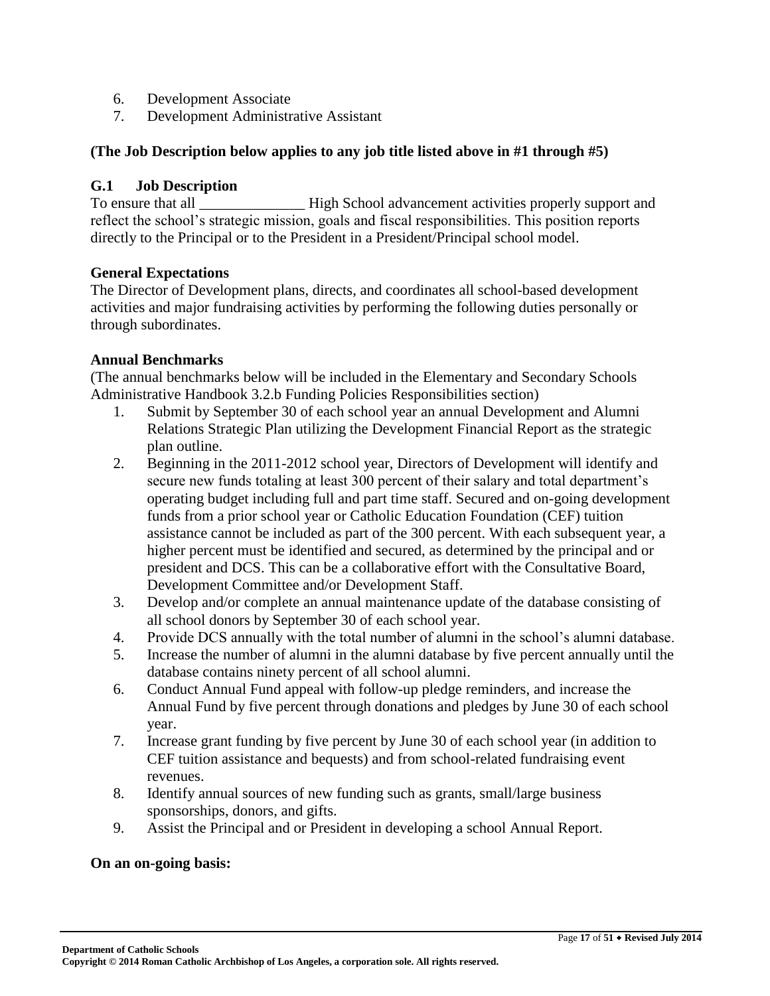- 6. Development Associate
- 7. Development Administrative Assistant

#### **(The Job Description below applies to any job title listed above in #1 through #5)**

#### **G.1 Job Description**

To ensure that all **Example 3** High School advancement activities properly support and reflect the school's strategic mission, goals and fiscal responsibilities. This position reports directly to the Principal or to the President in a President/Principal school model.

#### **General Expectations**

The Director of Development plans, directs, and coordinates all school-based development activities and major fundraising activities by performing the following duties personally or through subordinates.

#### **Annual Benchmarks**

(The annual benchmarks below will be included in the Elementary and Secondary Schools Administrative Handbook 3.2.b Funding Policies Responsibilities section)

- 1. Submit by September 30 of each school year an annual Development and Alumni Relations Strategic Plan utilizing the Development Financial Report as the strategic plan outline.
- 2. Beginning in the 2011-2012 school year, Directors of Development will identify and secure new funds totaling at least 300 percent of their salary and total department's operating budget including full and part time staff. Secured and on-going development funds from a prior school year or Catholic Education Foundation (CEF) tuition assistance cannot be included as part of the 300 percent. With each subsequent year, a higher percent must be identified and secured, as determined by the principal and or president and DCS. This can be a collaborative effort with the Consultative Board, Development Committee and/or Development Staff.
- 3. Develop and/or complete an annual maintenance update of the database consisting of all school donors by September 30 of each school year.
- 4. Provide DCS annually with the total number of alumni in the school's alumni database.
- 5. Increase the number of alumni in the alumni database by five percent annually until the database contains ninety percent of all school alumni.
- 6. Conduct Annual Fund appeal with follow-up pledge reminders, and increase the Annual Fund by five percent through donations and pledges by June 30 of each school year.
- 7. Increase grant funding by five percent by June 30 of each school year (in addition to CEF tuition assistance and bequests) and from school-related fundraising event revenues.
- 8. Identify annual sources of new funding such as grants, small/large business sponsorships, donors, and gifts.
- 9. Assist the Principal and or President in developing a school Annual Report.

#### **On an on-going basis:**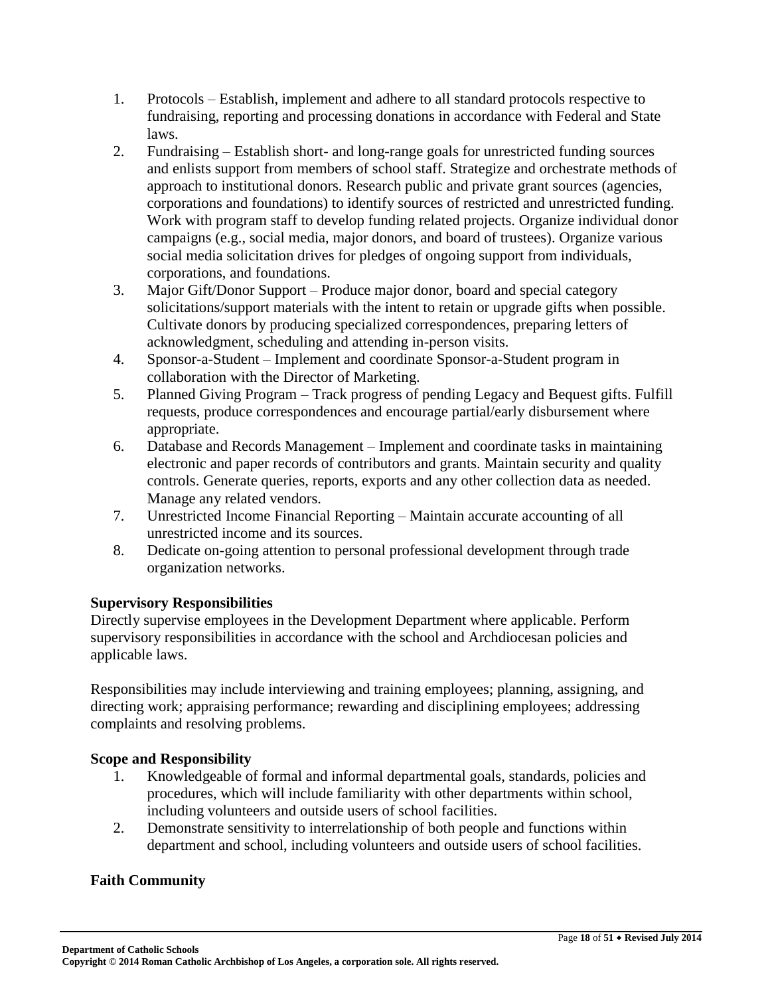- 1. Protocols Establish, implement and adhere to all standard protocols respective to fundraising, reporting and processing donations in accordance with Federal and State laws.
- 2. Fundraising Establish short- and long-range goals for unrestricted funding sources and enlists support from members of school staff. Strategize and orchestrate methods of approach to institutional donors. Research public and private grant sources (agencies, corporations and foundations) to identify sources of restricted and unrestricted funding. Work with program staff to develop funding related projects. Organize individual donor campaigns (e.g., social media, major donors, and board of trustees). Organize various social media solicitation drives for pledges of ongoing support from individuals, corporations, and foundations.
- 3. Major Gift/Donor Support Produce major donor, board and special category solicitations/support materials with the intent to retain or upgrade gifts when possible. Cultivate donors by producing specialized correspondences, preparing letters of acknowledgment, scheduling and attending in-person visits.
- 4. Sponsor-a-Student Implement and coordinate Sponsor-a-Student program in collaboration with the Director of Marketing.
- 5. Planned Giving Program Track progress of pending Legacy and Bequest gifts. Fulfill requests, produce correspondences and encourage partial/early disbursement where appropriate.
- 6. Database and Records Management Implement and coordinate tasks in maintaining electronic and paper records of contributors and grants. Maintain security and quality controls. Generate queries, reports, exports and any other collection data as needed. Manage any related vendors.
- 7. Unrestricted Income Financial Reporting Maintain accurate accounting of all unrestricted income and its sources.
- 8. Dedicate on-going attention to personal professional development through trade organization networks.

# **Supervisory Responsibilities**

Directly supervise employees in the Development Department where applicable. Perform supervisory responsibilities in accordance with the school and Archdiocesan policies and applicable laws.

Responsibilities may include interviewing and training employees; planning, assigning, and directing work; appraising performance; rewarding and disciplining employees; addressing complaints and resolving problems.

### **Scope and Responsibility**

- 1. Knowledgeable of formal and informal departmental goals, standards, policies and procedures, which will include familiarity with other departments within school, including volunteers and outside users of school facilities.
- 2. Demonstrate sensitivity to interrelationship of both people and functions within department and school, including volunteers and outside users of school facilities.

# **Faith Community**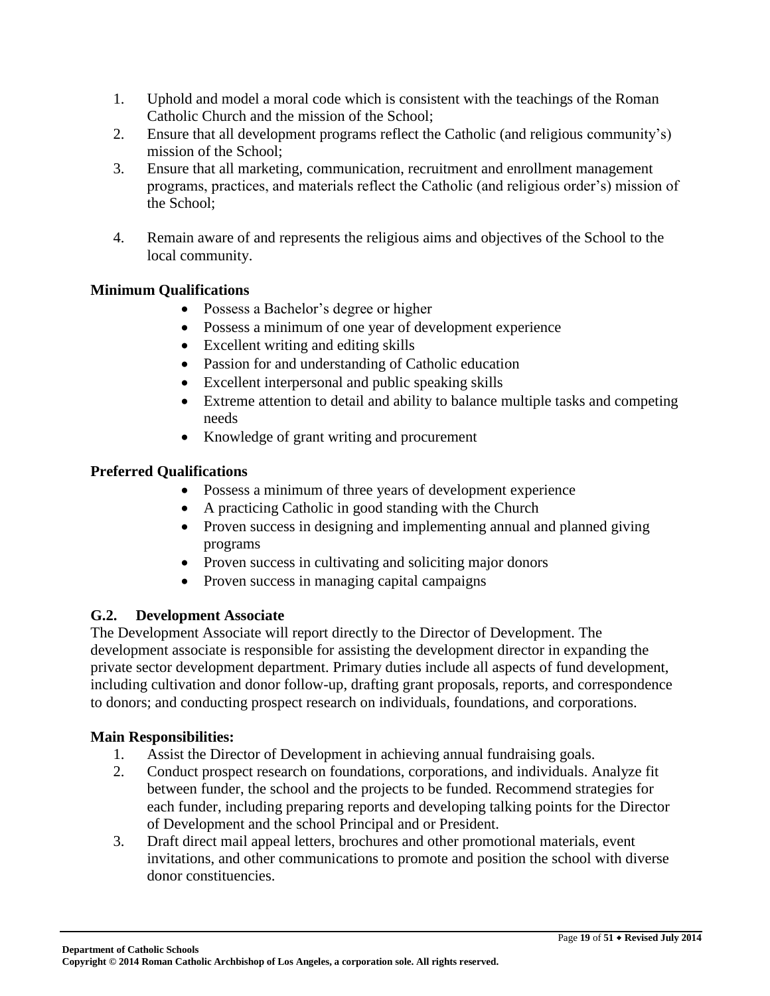- 1. Uphold and model a moral code which is consistent with the teachings of the Roman Catholic Church and the mission of the School;
- 2. Ensure that all development programs reflect the Catholic (and religious community's) mission of the School;
- 3. Ensure that all marketing, communication, recruitment and enrollment management programs, practices, and materials reflect the Catholic (and religious order's) mission of the School;
- 4. Remain aware of and represents the religious aims and objectives of the School to the local community.

# **Minimum Qualifications**

- Possess a Bachelor's degree or higher
- Possess a minimum of one year of development experience
- Excellent writing and editing skills
- Passion for and understanding of Catholic education
- Excellent interpersonal and public speaking skills
- Extreme attention to detail and ability to balance multiple tasks and competing needs
- Knowledge of grant writing and procurement

# **Preferred Qualifications**

- Possess a minimum of three years of development experience
- A practicing Catholic in good standing with the Church
- Proven success in designing and implementing annual and planned giving programs
- Proven success in cultivating and soliciting major donors
- Proven success in managing capital campaigns

# **G.2. Development Associate**

The Development Associate will report directly to the Director of Development. The development associate is responsible for assisting the development director in expanding the private sector development department. Primary duties include all aspects of fund development, including cultivation and donor follow-up, drafting grant proposals, reports, and correspondence to donors; and conducting prospect research on individuals, foundations, and corporations.

# **Main Responsibilities:**

- 1. Assist the Director of Development in achieving annual fundraising goals.
- 2. Conduct prospect research on foundations, corporations, and individuals. Analyze fit between funder, the school and the projects to be funded. Recommend strategies for each funder, including preparing reports and developing talking points for the Director of Development and the school Principal and or President.
- 3. Draft direct mail appeal letters, brochures and other promotional materials, event invitations, and other communications to promote and position the school with diverse donor constituencies.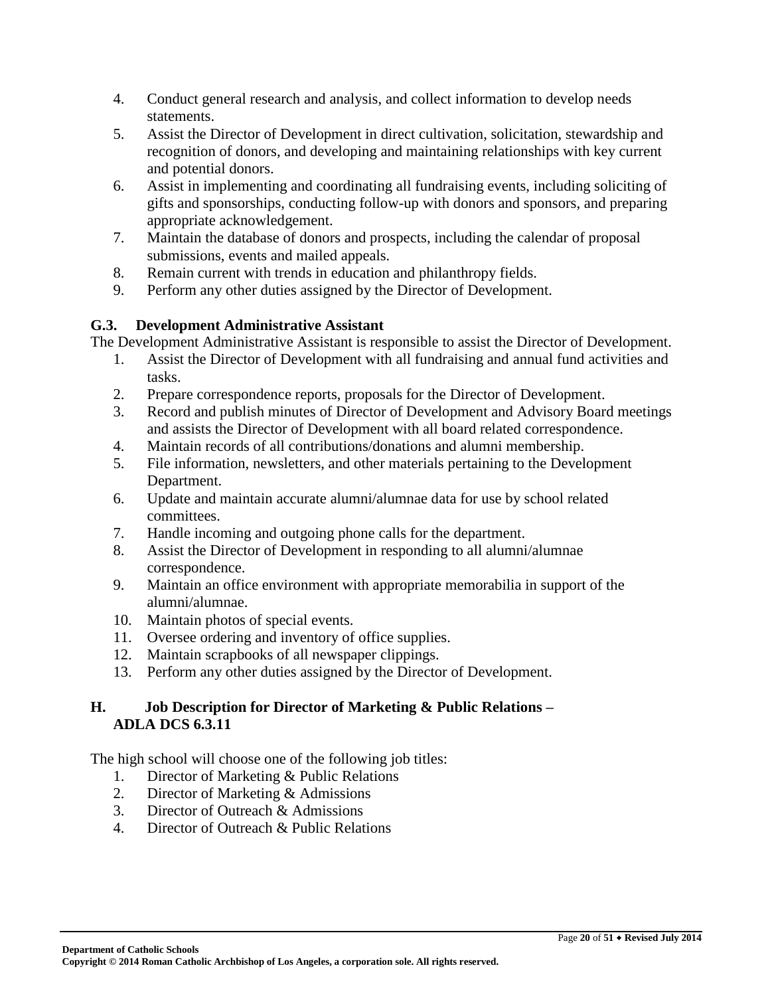- 4. Conduct general research and analysis, and collect information to develop needs statements.
- 5. Assist the Director of Development in direct cultivation, solicitation, stewardship and recognition of donors, and developing and maintaining relationships with key current and potential donors.
- 6. Assist in implementing and coordinating all fundraising events, including soliciting of gifts and sponsorships, conducting follow-up with donors and sponsors, and preparing appropriate acknowledgement.
- 7. Maintain the database of donors and prospects, including the calendar of proposal submissions, events and mailed appeals.
- 8. Remain current with trends in education and philanthropy fields.
- 9. Perform any other duties assigned by the Director of Development.

### **G.3. Development Administrative Assistant**

The Development Administrative Assistant is responsible to assist the Director of Development.

- 1. Assist the Director of Development with all fundraising and annual fund activities and tasks.
- 2. Prepare correspondence reports, proposals for the Director of Development.
- 3. Record and publish minutes of Director of Development and Advisory Board meetings and assists the Director of Development with all board related correspondence.
- 4. Maintain records of all contributions/donations and alumni membership.
- 5. File information, newsletters, and other materials pertaining to the Development Department.
- 6. Update and maintain accurate alumni/alumnae data for use by school related committees.
- 7. Handle incoming and outgoing phone calls for the department.
- 8. Assist the Director of Development in responding to all alumni/alumnae correspondence.
- 9. Maintain an office environment with appropriate memorabilia in support of the alumni/alumnae.
- 10. Maintain photos of special events.
- 11. Oversee ordering and inventory of office supplies.
- 12. Maintain scrapbooks of all newspaper clippings.
- 13. Perform any other duties assigned by the Director of Development.

### **H. Job Description for Director of Marketing & Public Relations – ADLA DCS 6.3.11**

The high school will choose one of the following job titles:

- 1. Director of Marketing & Public Relations
- 2. Director of Marketing & Admissions
- 3. Director of Outreach & Admissions
- 4. Director of Outreach & Public Relations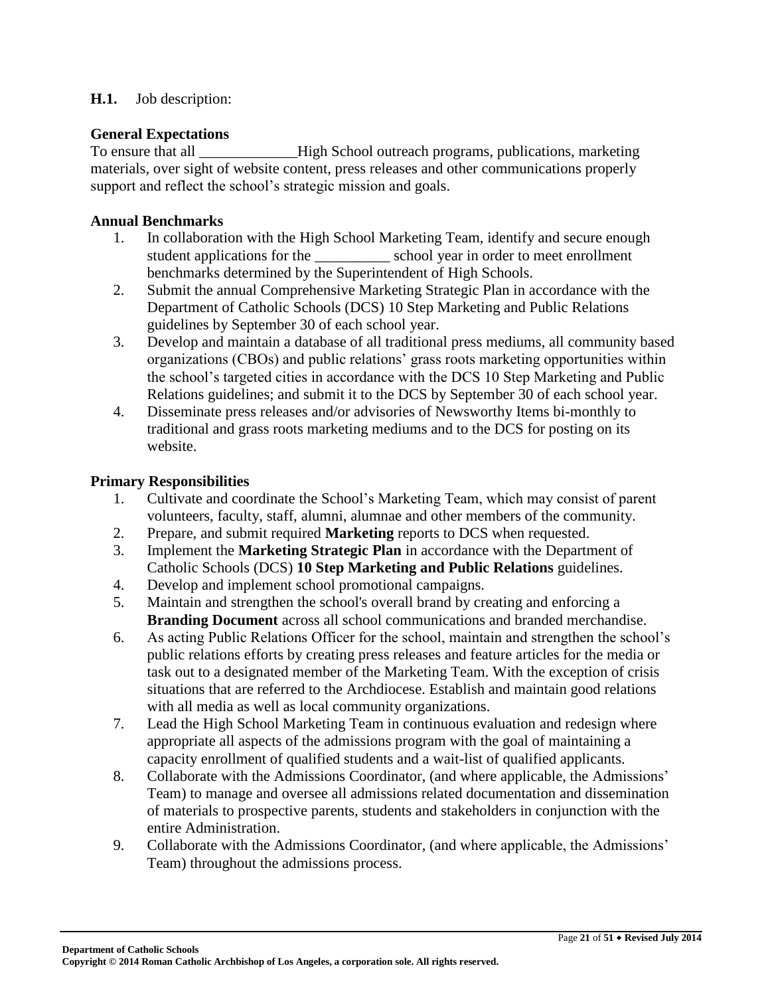#### **H.1.** Job description:

#### **General Expectations**

To ensure that all \_\_\_\_\_\_\_\_\_\_\_\_\_High School outreach programs, publications, marketing materials, over sight of website content, press releases and other communications properly support and reflect the school's strategic mission and goals.

#### **Annual Benchmarks**

- 1. In collaboration with the High School Marketing Team, identify and secure enough student applications for the school year in order to meet enrollment benchmarks determined by the Superintendent of High Schools.
- 2. Submit the annual Comprehensive Marketing Strategic Plan in accordance with the Department of Catholic Schools (DCS) 10 Step Marketing and Public Relations guidelines by September 30 of each school year.
- 3. Develop and maintain a database of all traditional press mediums, all community based organizations (CBOs) and public relations' grass roots marketing opportunities within the school's targeted cities in accordance with the DCS 10 Step Marketing and Public Relations guidelines; and submit it to the DCS by September 30 of each school year.
- 4. Disseminate press releases and/or advisories of Newsworthy Items bi-monthly to traditional and grass roots marketing mediums and to the DCS for posting on its website.

#### **Primary Responsibilities**

- 1. Cultivate and coordinate the School's Marketing Team, which may consist of parent volunteers, faculty, staff, alumni, alumnae and other members of the community.
- 2. Prepare, and submit required **Marketing** reports to DCS when requested.
- 3. Implement the **Marketing Strategic Plan** in accordance with the Department of Catholic Schools (DCS) **10 Step Marketing and Public Relations** guidelines.
- 4. Develop and implement school promotional campaigns.
- 5. Maintain and strengthen the school's overall brand by creating and enforcing a **Branding Document** across all school communications and branded merchandise.
- 6. As acting Public Relations Officer for the school, maintain and strengthen the school's public relations efforts by creating press releases and feature articles for the media or task out to a designated member of the Marketing Team. With the exception of crisis situations that are referred to the Archdiocese. Establish and maintain good relations with all media as well as local community organizations.
- 7. Lead the High School Marketing Team in continuous evaluation and redesign where appropriate all aspects of the admissions program with the goal of maintaining a capacity enrollment of qualified students and a wait-list of qualified applicants.
- 8. Collaborate with the Admissions Coordinator, (and where applicable, the Admissions' Team) to manage and oversee all admissions related documentation and dissemination of materials to prospective parents, students and stakeholders in conjunction with the entire Administration.
- 9. Collaborate with the Admissions Coordinator, (and where applicable, the Admissions' Team) throughout the admissions process.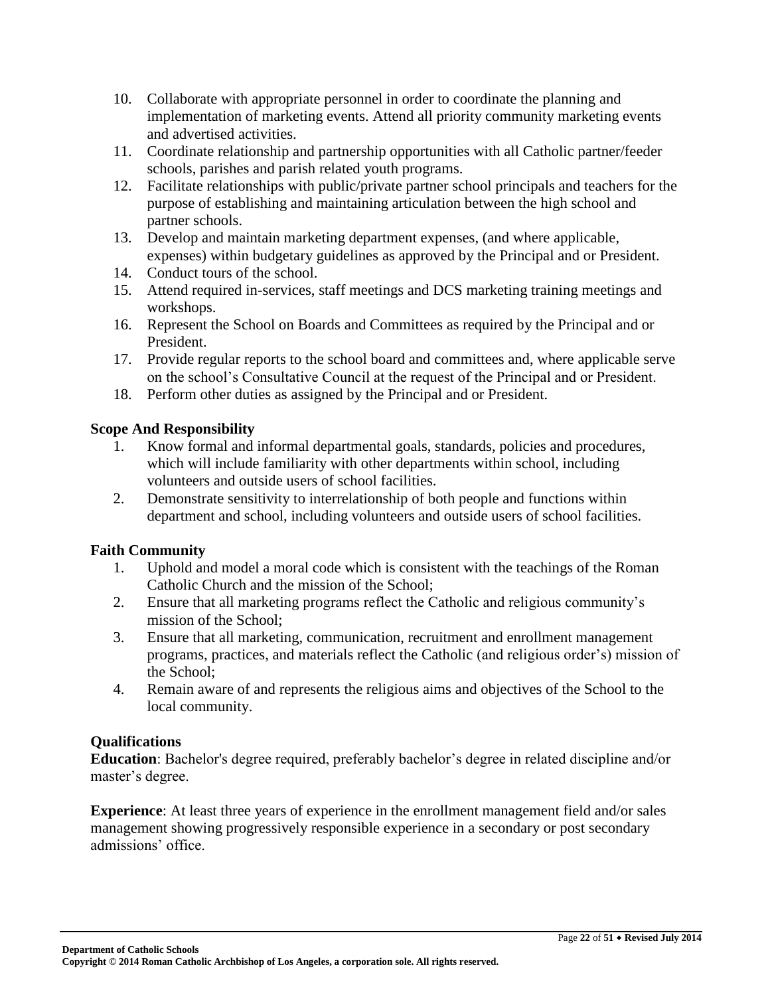- 10. Collaborate with appropriate personnel in order to coordinate the planning and implementation of marketing events. Attend all priority community marketing events and advertised activities.
- 11. Coordinate relationship and partnership opportunities with all Catholic partner/feeder schools, parishes and parish related youth programs.
- 12. Facilitate relationships with public/private partner school principals and teachers for the purpose of establishing and maintaining articulation between the high school and partner schools.
- 13. Develop and maintain marketing department expenses, (and where applicable, expenses) within budgetary guidelines as approved by the Principal and or President.
- 14. Conduct tours of the school.
- 15. Attend required in-services, staff meetings and DCS marketing training meetings and workshops.
- 16. Represent the School on Boards and Committees as required by the Principal and or President.
- 17. Provide regular reports to the school board and committees and, where applicable serve on the school's Consultative Council at the request of the Principal and or President.
- 18. Perform other duties as assigned by the Principal and or President.

### **Scope And Responsibility**

- 1. Know formal and informal departmental goals, standards, policies and procedures, which will include familiarity with other departments within school, including volunteers and outside users of school facilities.
- 2. Demonstrate sensitivity to interrelationship of both people and functions within department and school, including volunteers and outside users of school facilities.

# **Faith Community**

- 1. Uphold and model a moral code which is consistent with the teachings of the Roman Catholic Church and the mission of the School;
- 2. Ensure that all marketing programs reflect the Catholic and religious community's mission of the School;
- 3. Ensure that all marketing, communication, recruitment and enrollment management programs, practices, and materials reflect the Catholic (and religious order's) mission of the School;
- 4. Remain aware of and represents the religious aims and objectives of the School to the local community.

### **Qualifications**

**Education**: Bachelor's degree required, preferably bachelor's degree in related discipline and/or master's degree.

**Experience**: At least three years of experience in the enrollment management field and/or sales management showing progressively responsible experience in a secondary or post secondary admissions' office.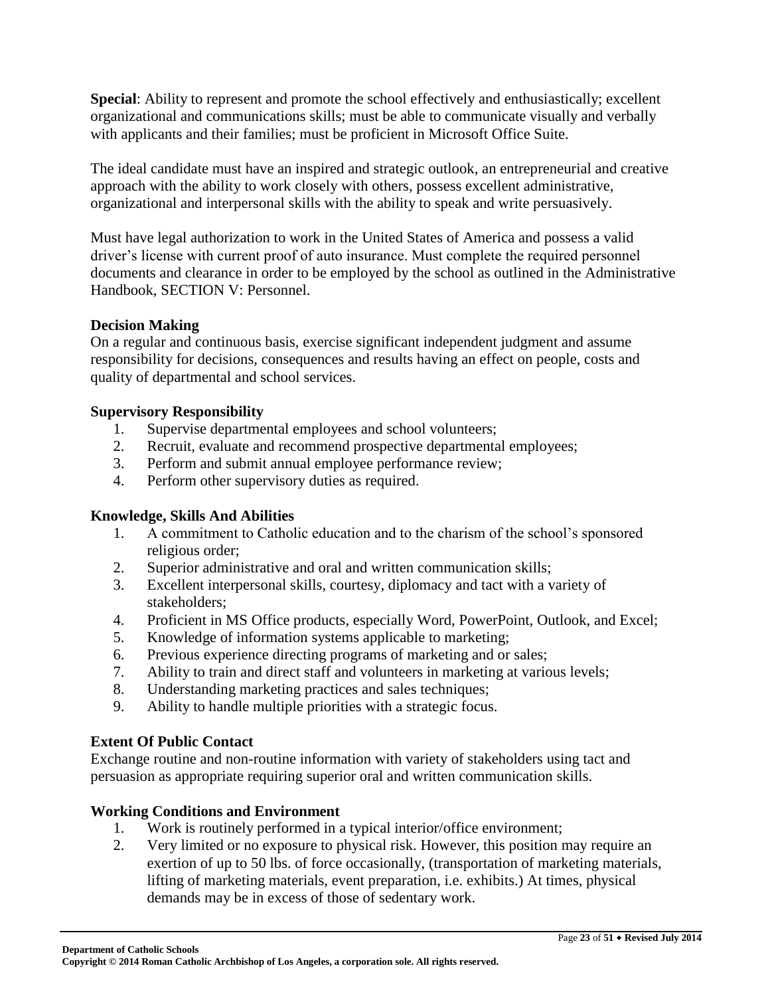**Special**: Ability to represent and promote the school effectively and enthusiastically; excellent organizational and communications skills; must be able to communicate visually and verbally with applicants and their families; must be proficient in Microsoft Office Suite.

The ideal candidate must have an inspired and strategic outlook, an entrepreneurial and creative approach with the ability to work closely with others, possess excellent administrative, organizational and interpersonal skills with the ability to speak and write persuasively.

Must have legal authorization to work in the United States of America and possess a valid driver's license with current proof of auto insurance. Must complete the required personnel documents and clearance in order to be employed by the school as outlined in the Administrative Handbook, SECTION V: Personnel.

### **Decision Making**

On a regular and continuous basis, exercise significant independent judgment and assume responsibility for decisions, consequences and results having an effect on people, costs and quality of departmental and school services.

### **Supervisory Responsibility**

- 1. Supervise departmental employees and school volunteers;
- 2. Recruit, evaluate and recommend prospective departmental employees;
- 3. Perform and submit annual employee performance review;
- 4. Perform other supervisory duties as required.

# **Knowledge, Skills And Abilities**

- 1. A commitment to Catholic education and to the charism of the school's sponsored religious order;
- 2. Superior administrative and oral and written communication skills;
- 3. Excellent interpersonal skills, courtesy, diplomacy and tact with a variety of stakeholders;
- 4. Proficient in MS Office products, especially Word, PowerPoint, Outlook, and Excel;
- 5. Knowledge of information systems applicable to marketing;
- 6. Previous experience directing programs of marketing and or sales;
- 7. Ability to train and direct staff and volunteers in marketing at various levels;
- 8. Understanding marketing practices and sales techniques;
- 9. Ability to handle multiple priorities with a strategic focus.

### **Extent Of Public Contact**

Exchange routine and non-routine information with variety of stakeholders using tact and persuasion as appropriate requiring superior oral and written communication skills.

### **Working Conditions and Environment**

- 1. Work is routinely performed in a typical interior/office environment;
- 2. Very limited or no exposure to physical risk. However, this position may require an exertion of up to 50 lbs. of force occasionally, (transportation of marketing materials, lifting of marketing materials, event preparation, i.e. exhibits.) At times, physical demands may be in excess of those of sedentary work.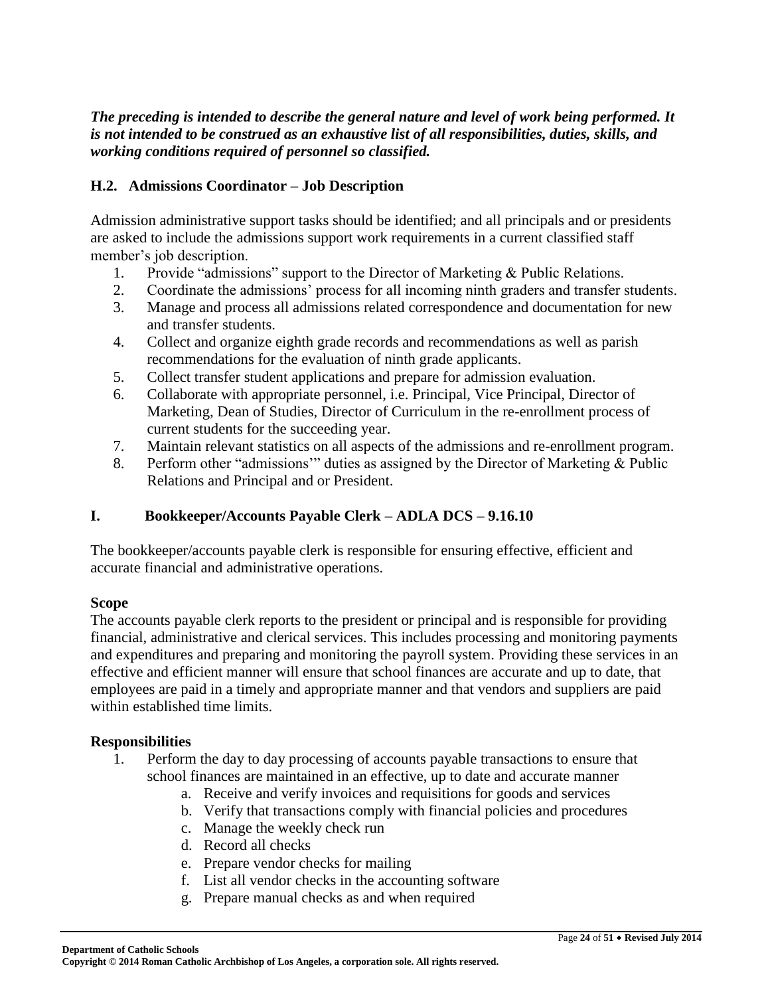### *The preceding is intended to describe the general nature and level of work being performed. It is not intended to be construed as an exhaustive list of all responsibilities, duties, skills, and working conditions required of personnel so classified.*

### **H.2. Admissions Coordinator – Job Description**

Admission administrative support tasks should be identified; and all principals and or presidents are asked to include the admissions support work requirements in a current classified staff member's job description.

- 1. Provide "admissions" support to the Director of Marketing & Public Relations.
- 2. Coordinate the admissions' process for all incoming ninth graders and transfer students.
- 3. Manage and process all admissions related correspondence and documentation for new and transfer students.
- 4. Collect and organize eighth grade records and recommendations as well as parish recommendations for the evaluation of ninth grade applicants.
- 5. Collect transfer student applications and prepare for admission evaluation.
- 6. Collaborate with appropriate personnel, i.e. Principal, Vice Principal, Director of Marketing, Dean of Studies, Director of Curriculum in the re-enrollment process of current students for the succeeding year.
- 7. Maintain relevant statistics on all aspects of the admissions and re-enrollment program.
- 8. Perform other "admissions'" duties as assigned by the Director of Marketing & Public Relations and Principal and or President.

# **I. Bookkeeper/Accounts Payable Clerk – ADLA DCS – 9.16.10**

The bookkeeper/accounts payable clerk is responsible for ensuring effective, efficient and accurate financial and administrative operations.

### **Scope**

The accounts payable clerk reports to the president or principal and is responsible for providing financial, administrative and clerical services. This includes processing and monitoring payments and expenditures and preparing and monitoring the payroll system. Providing these services in an effective and efficient manner will ensure that school finances are accurate and up to date, that employees are paid in a timely and appropriate manner and that vendors and suppliers are paid within established time limits.

### **Responsibilities**

- 1. Perform the day to day processing of accounts payable transactions to ensure that school finances are maintained in an effective, up to date and accurate manner
	- a. Receive and verify invoices and requisitions for goods and services
	- b. Verify that transactions comply with financial policies and procedures
	- c. Manage the weekly check run
	- d. Record all checks
	- e. Prepare vendor checks for mailing
	- f. List all vendor checks in the accounting software
	- g. Prepare manual checks as and when required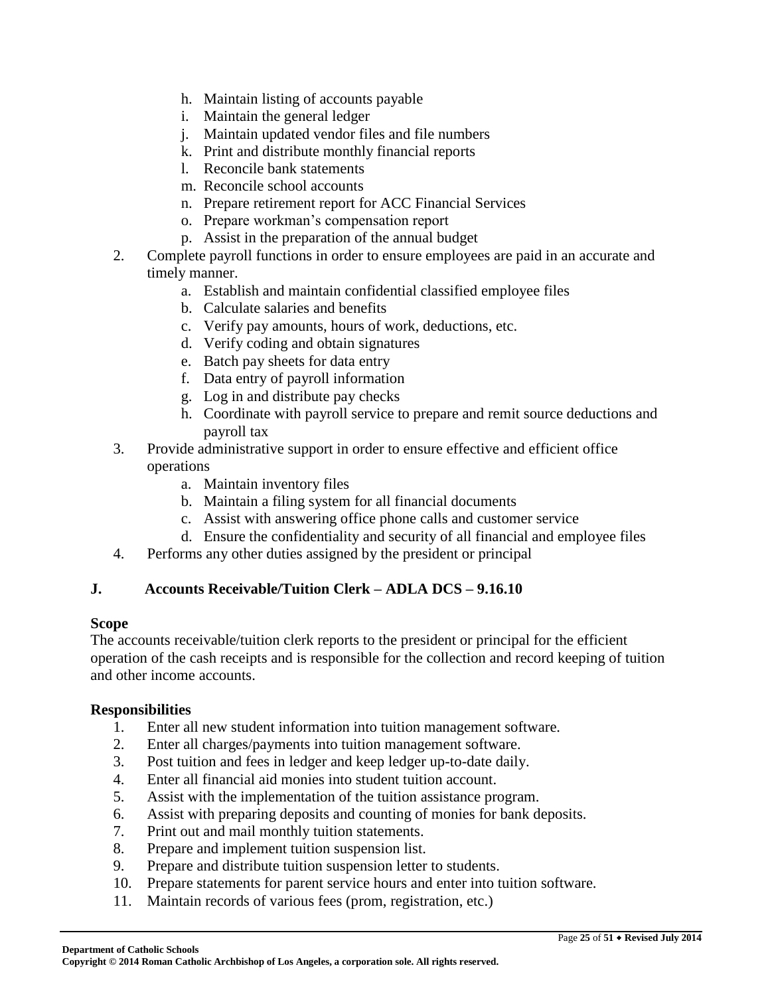- h. Maintain listing of accounts payable
- i. Maintain the general ledger
- j. Maintain updated vendor files and file numbers
- k. Print and distribute monthly financial reports
- l. Reconcile bank statements
- m. Reconcile school accounts
- n. Prepare retirement report for ACC Financial Services
- o. Prepare workman's compensation report
- p. Assist in the preparation of the annual budget
- 2. Complete payroll functions in order to ensure employees are paid in an accurate and timely manner.
	- a. Establish and maintain confidential classified employee files
	- b. Calculate salaries and benefits
	- c. Verify pay amounts, hours of work, deductions, etc.
	- d. Verify coding and obtain signatures
	- e. Batch pay sheets for data entry
	- f. Data entry of payroll information
	- g. Log in and distribute pay checks
	- h. Coordinate with payroll service to prepare and remit source deductions and payroll tax
- 3. Provide administrative support in order to ensure effective and efficient office operations
	- a. Maintain inventory files
	- b. Maintain a filing system for all financial documents
	- c. Assist with answering office phone calls and customer service
	- d. Ensure the confidentiality and security of all financial and employee files
- 4. Performs any other duties assigned by the president or principal

# **J. Accounts Receivable/Tuition Clerk – ADLA DCS – 9.16.10**

### **Scope**

The accounts receivable/tuition clerk reports to the president or principal for the efficient operation of the cash receipts and is responsible for the collection and record keeping of tuition and other income accounts.

# **Responsibilities**

- 1. Enter all new student information into tuition management software.
- 2. Enter all charges/payments into tuition management software.
- 3. Post tuition and fees in ledger and keep ledger up-to-date daily.
- 4. Enter all financial aid monies into student tuition account.
- 5. Assist with the implementation of the tuition assistance program.
- 6. Assist with preparing deposits and counting of monies for bank deposits.
- 7. Print out and mail monthly tuition statements.
- 8. Prepare and implement tuition suspension list.
- 9. Prepare and distribute tuition suspension letter to students.
- 10. Prepare statements for parent service hours and enter into tuition software.
- 11. Maintain records of various fees (prom, registration, etc.)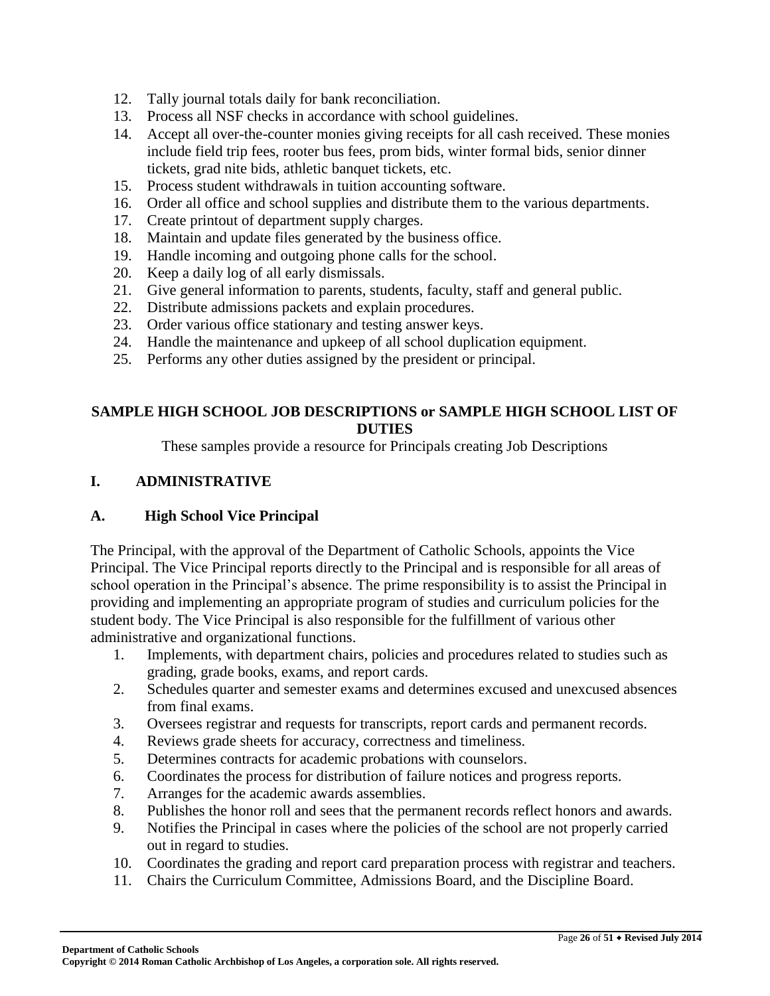- 12. Tally journal totals daily for bank reconciliation.
- 13. Process all NSF checks in accordance with school guidelines.
- 14. Accept all over-the-counter monies giving receipts for all cash received. These monies include field trip fees, rooter bus fees, prom bids, winter formal bids, senior dinner tickets, grad nite bids, athletic banquet tickets, etc.
- 15. Process student withdrawals in tuition accounting software.
- 16. Order all office and school supplies and distribute them to the various departments.
- 17. Create printout of department supply charges.
- 18. Maintain and update files generated by the business office.
- 19. Handle incoming and outgoing phone calls for the school.
- 20. Keep a daily log of all early dismissals.
- 21. Give general information to parents, students, faculty, staff and general public.
- 22. Distribute admissions packets and explain procedures.
- 23. Order various office stationary and testing answer keys.
- 24. Handle the maintenance and upkeep of all school duplication equipment.
- 25. Performs any other duties assigned by the president or principal.

### **SAMPLE HIGH SCHOOL JOB DESCRIPTIONS or SAMPLE HIGH SCHOOL LIST OF DUTIES**

These samples provide a resource for Principals creating Job Descriptions

### **I. ADMINISTRATIVE**

### **A. High School Vice Principal**

The Principal, with the approval of the Department of Catholic Schools, appoints the Vice Principal. The Vice Principal reports directly to the Principal and is responsible for all areas of school operation in the Principal's absence. The prime responsibility is to assist the Principal in providing and implementing an appropriate program of studies and curriculum policies for the student body. The Vice Principal is also responsible for the fulfillment of various other administrative and organizational functions.

- 1. Implements, with department chairs, policies and procedures related to studies such as grading, grade books, exams, and report cards.
- 2. Schedules quarter and semester exams and determines excused and unexcused absences from final exams.
- 3. Oversees registrar and requests for transcripts, report cards and permanent records.
- 4. Reviews grade sheets for accuracy, correctness and timeliness.
- 5. Determines contracts for academic probations with counselors.
- 6. Coordinates the process for distribution of failure notices and progress reports.
- 7. Arranges for the academic awards assemblies.
- 8. Publishes the honor roll and sees that the permanent records reflect honors and awards.
- 9. Notifies the Principal in cases where the policies of the school are not properly carried out in regard to studies.
- 10. Coordinates the grading and report card preparation process with registrar and teachers.
- 11. Chairs the Curriculum Committee, Admissions Board, and the Discipline Board.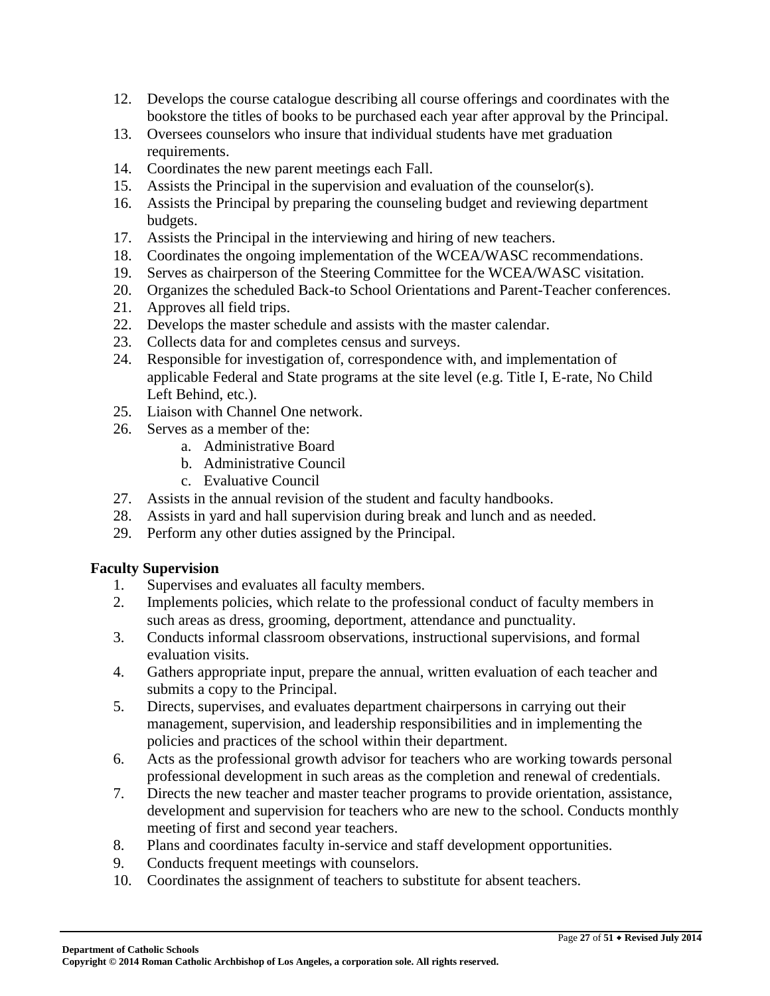- 12. Develops the course catalogue describing all course offerings and coordinates with the bookstore the titles of books to be purchased each year after approval by the Principal.
- 13. Oversees counselors who insure that individual students have met graduation requirements.
- 14. Coordinates the new parent meetings each Fall.
- 15. Assists the Principal in the supervision and evaluation of the counselor(s).
- 16. Assists the Principal by preparing the counseling budget and reviewing department budgets.
- 17. Assists the Principal in the interviewing and hiring of new teachers.
- 18. Coordinates the ongoing implementation of the WCEA/WASC recommendations.
- 19. Serves as chairperson of the Steering Committee for the WCEA/WASC visitation.
- 20. Organizes the scheduled Back-to School Orientations and Parent-Teacher conferences.
- 21. Approves all field trips.
- 22. Develops the master schedule and assists with the master calendar.
- 23. Collects data for and completes census and surveys.
- 24. Responsible for investigation of, correspondence with, and implementation of applicable Federal and State programs at the site level (e.g. Title I, E-rate, No Child Left Behind, etc.).
- 25. Liaison with Channel One network.
- 26. Serves as a member of the:
	- a. Administrative Board
	- b. Administrative Council
	- c. Evaluative Council
- 27. Assists in the annual revision of the student and faculty handbooks.
- 28. Assists in yard and hall supervision during break and lunch and as needed.
- 29. Perform any other duties assigned by the Principal.

# **Faculty Supervision**

- 1. Supervises and evaluates all faculty members.
- 2. Implements policies, which relate to the professional conduct of faculty members in such areas as dress, grooming, deportment, attendance and punctuality.
- 3. Conducts informal classroom observations, instructional supervisions, and formal evaluation visits.
- 4. Gathers appropriate input, prepare the annual, written evaluation of each teacher and submits a copy to the Principal.
- 5. Directs, supervises, and evaluates department chairpersons in carrying out their management, supervision, and leadership responsibilities and in implementing the policies and practices of the school within their department.
- 6. Acts as the professional growth advisor for teachers who are working towards personal professional development in such areas as the completion and renewal of credentials.
- 7. Directs the new teacher and master teacher programs to provide orientation, assistance, development and supervision for teachers who are new to the school. Conducts monthly meeting of first and second year teachers.
- 8. Plans and coordinates faculty in-service and staff development opportunities.
- 9. Conducts frequent meetings with counselors.
- 10. Coordinates the assignment of teachers to substitute for absent teachers.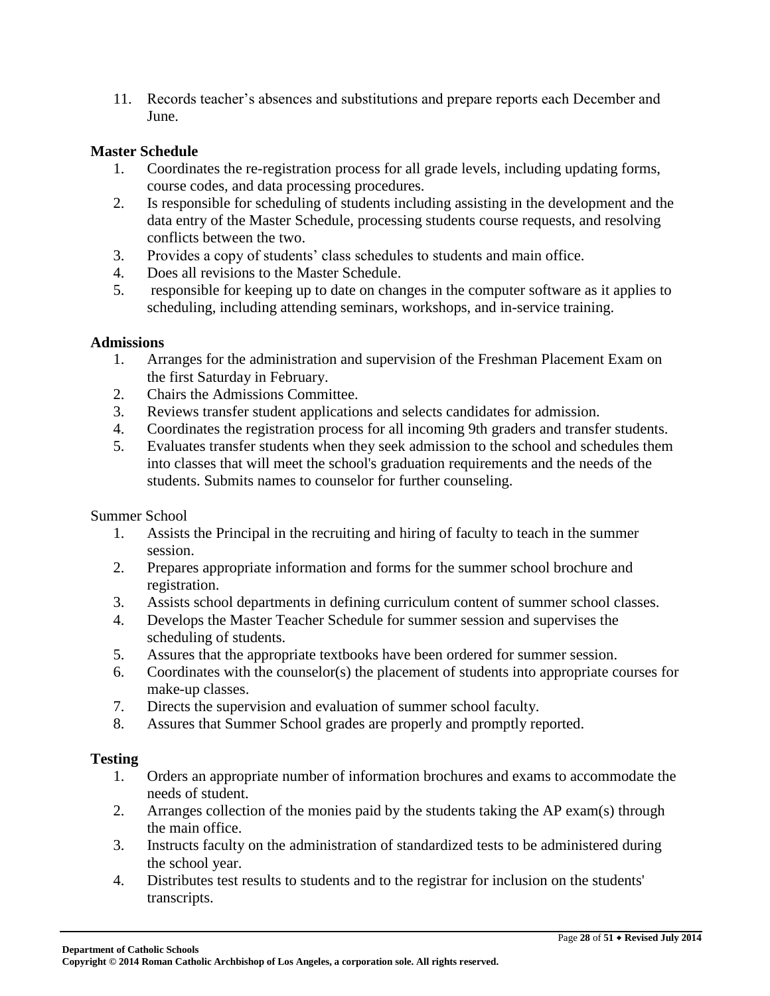11. Records teacher's absences and substitutions and prepare reports each December and June.

#### **Master Schedule**

- 1. Coordinates the re-registration process for all grade levels, including updating forms, course codes, and data processing procedures.
- 2. Is responsible for scheduling of students including assisting in the development and the data entry of the Master Schedule, processing students course requests, and resolving conflicts between the two.
- 3. Provides a copy of students' class schedules to students and main office.
- 4. Does all revisions to the Master Schedule.
- 5. responsible for keeping up to date on changes in the computer software as it applies to scheduling, including attending seminars, workshops, and in-service training.

#### **Admissions**

- 1. Arranges for the administration and supervision of the Freshman Placement Exam on the first Saturday in February.
- 2. Chairs the Admissions Committee.
- 3. Reviews transfer student applications and selects candidates for admission.
- 4. Coordinates the registration process for all incoming 9th graders and transfer students.
- 5. Evaluates transfer students when they seek admission to the school and schedules them into classes that will meet the school's graduation requirements and the needs of the students. Submits names to counselor for further counseling.

Summer School

- 1. Assists the Principal in the recruiting and hiring of faculty to teach in the summer session.
- 2. Prepares appropriate information and forms for the summer school brochure and registration.
- 3. Assists school departments in defining curriculum content of summer school classes.
- 4. Develops the Master Teacher Schedule for summer session and supervises the scheduling of students.
- 5. Assures that the appropriate textbooks have been ordered for summer session.
- 6. Coordinates with the counselor(s) the placement of students into appropriate courses for make-up classes.
- 7. Directs the supervision and evaluation of summer school faculty.
- 8. Assures that Summer School grades are properly and promptly reported.

#### **Testing**

- 1. Orders an appropriate number of information brochures and exams to accommodate the needs of student.
- 2. Arranges collection of the monies paid by the students taking the AP exam(s) through the main office.
- 3. Instructs faculty on the administration of standardized tests to be administered during the school year.
- 4. Distributes test results to students and to the registrar for inclusion on the students' transcripts.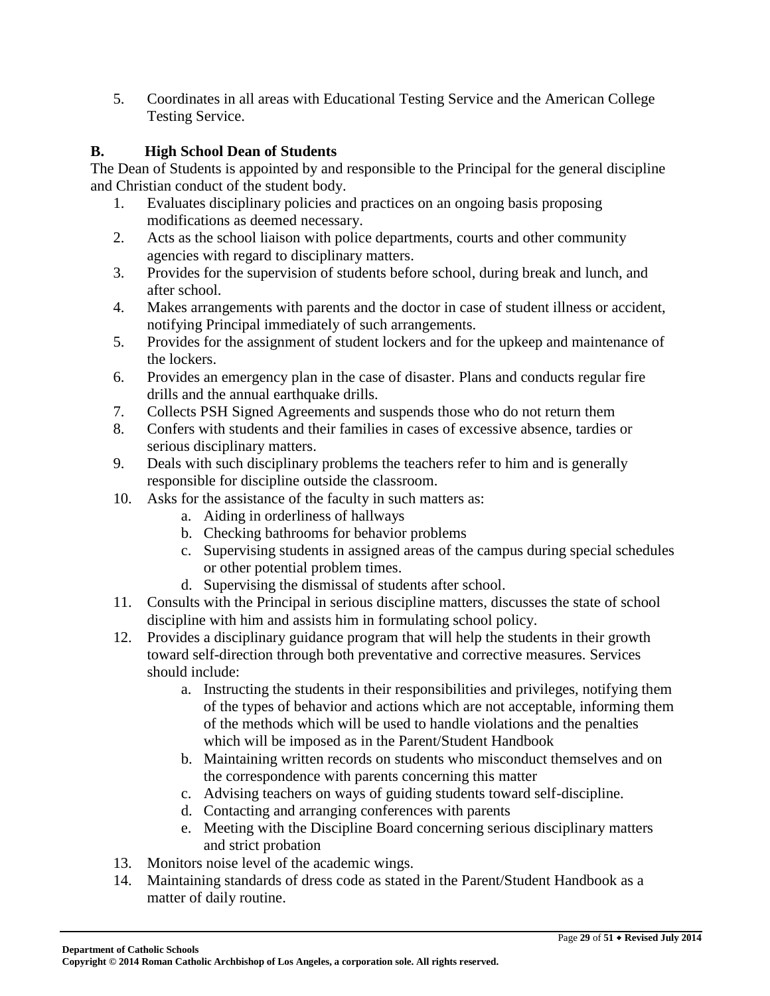5. Coordinates in all areas with Educational Testing Service and the American College Testing Service.

# **B. High School Dean of Students**

The Dean of Students is appointed by and responsible to the Principal for the general discipline and Christian conduct of the student body.

- 1. Evaluates disciplinary policies and practices on an ongoing basis proposing modifications as deemed necessary.
- 2. Acts as the school liaison with police departments, courts and other community agencies with regard to disciplinary matters.
- 3. Provides for the supervision of students before school, during break and lunch, and after school.
- 4. Makes arrangements with parents and the doctor in case of student illness or accident, notifying Principal immediately of such arrangements.
- 5. Provides for the assignment of student lockers and for the upkeep and maintenance of the lockers.
- 6. Provides an emergency plan in the case of disaster. Plans and conducts regular fire drills and the annual earthquake drills.
- 7. Collects PSH Signed Agreements and suspends those who do not return them
- 8. Confers with students and their families in cases of excessive absence, tardies or serious disciplinary matters.
- 9. Deals with such disciplinary problems the teachers refer to him and is generally responsible for discipline outside the classroom.
- 10. Asks for the assistance of the faculty in such matters as:
	- a. Aiding in orderliness of hallways
	- b. Checking bathrooms for behavior problems
	- c. Supervising students in assigned areas of the campus during special schedules or other potential problem times.
	- d. Supervising the dismissal of students after school.
- 11. Consults with the Principal in serious discipline matters, discusses the state of school discipline with him and assists him in formulating school policy.
- 12. Provides a disciplinary guidance program that will help the students in their growth toward self-direction through both preventative and corrective measures. Services should include:
	- a. Instructing the students in their responsibilities and privileges, notifying them of the types of behavior and actions which are not acceptable, informing them of the methods which will be used to handle violations and the penalties which will be imposed as in the Parent/Student Handbook
	- b. Maintaining written records on students who misconduct themselves and on the correspondence with parents concerning this matter
	- c. Advising teachers on ways of guiding students toward self-discipline.
	- d. Contacting and arranging conferences with parents
	- e. Meeting with the Discipline Board concerning serious disciplinary matters and strict probation
- 13. Monitors noise level of the academic wings.
- 14. Maintaining standards of dress code as stated in the Parent/Student Handbook as a matter of daily routine.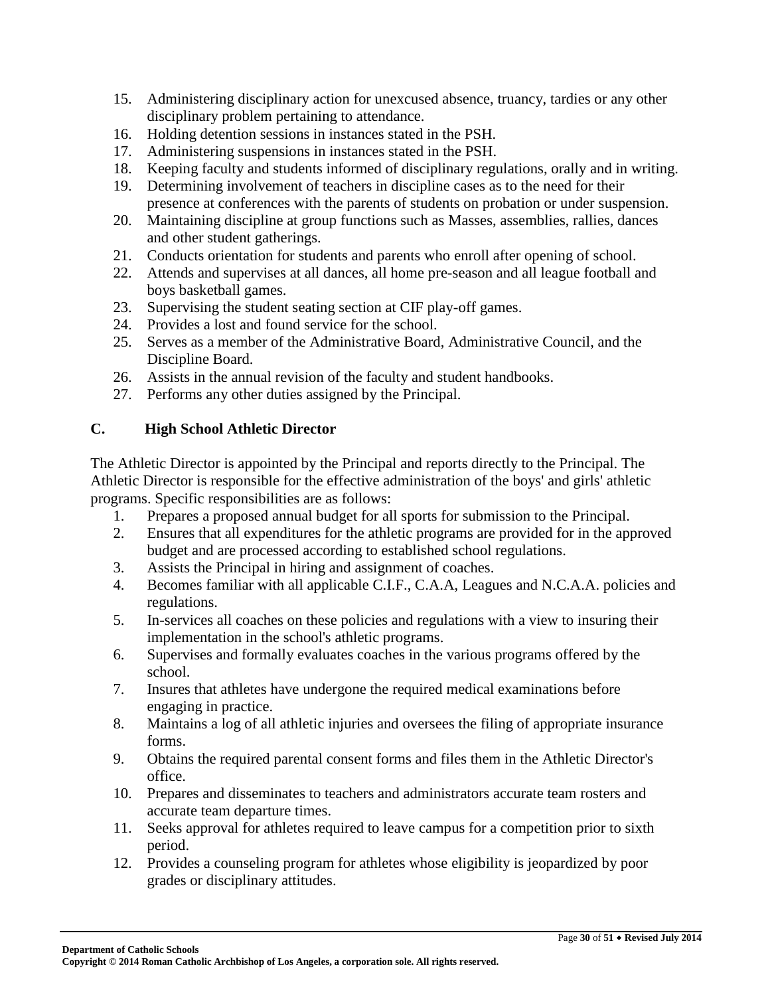- 15. Administering disciplinary action for unexcused absence, truancy, tardies or any other disciplinary problem pertaining to attendance.
- 16. Holding detention sessions in instances stated in the PSH.
- 17. Administering suspensions in instances stated in the PSH.
- 18. Keeping faculty and students informed of disciplinary regulations, orally and in writing.
- 19. Determining involvement of teachers in discipline cases as to the need for their presence at conferences with the parents of students on probation or under suspension.
- 20. Maintaining discipline at group functions such as Masses, assemblies, rallies, dances and other student gatherings.
- 21. Conducts orientation for students and parents who enroll after opening of school.
- 22. Attends and supervises at all dances, all home pre-season and all league football and boys basketball games.
- 23. Supervising the student seating section at CIF play-off games.
- 24. Provides a lost and found service for the school.
- 25. Serves as a member of the Administrative Board, Administrative Council, and the Discipline Board.
- 26. Assists in the annual revision of the faculty and student handbooks.
- 27. Performs any other duties assigned by the Principal.

# **C. High School Athletic Director**

The Athletic Director is appointed by the Principal and reports directly to the Principal. The Athletic Director is responsible for the effective administration of the boys' and girls' athletic programs. Specific responsibilities are as follows:

- 1. Prepares a proposed annual budget for all sports for submission to the Principal.
- 2. Ensures that all expenditures for the athletic programs are provided for in the approved budget and are processed according to established school regulations.
- 3. Assists the Principal in hiring and assignment of coaches.
- 4. Becomes familiar with all applicable C.I.F., C.A.A, Leagues and N.C.A.A. policies and regulations.
- 5. In-services all coaches on these policies and regulations with a view to insuring their implementation in the school's athletic programs.
- 6. Supervises and formally evaluates coaches in the various programs offered by the school.
- 7. Insures that athletes have undergone the required medical examinations before engaging in practice.
- 8. Maintains a log of all athletic injuries and oversees the filing of appropriate insurance forms.
- 9. Obtains the required parental consent forms and files them in the Athletic Director's office.
- 10. Prepares and disseminates to teachers and administrators accurate team rosters and accurate team departure times.
- 11. Seeks approval for athletes required to leave campus for a competition prior to sixth period.
- 12. Provides a counseling program for athletes whose eligibility is jeopardized by poor grades or disciplinary attitudes.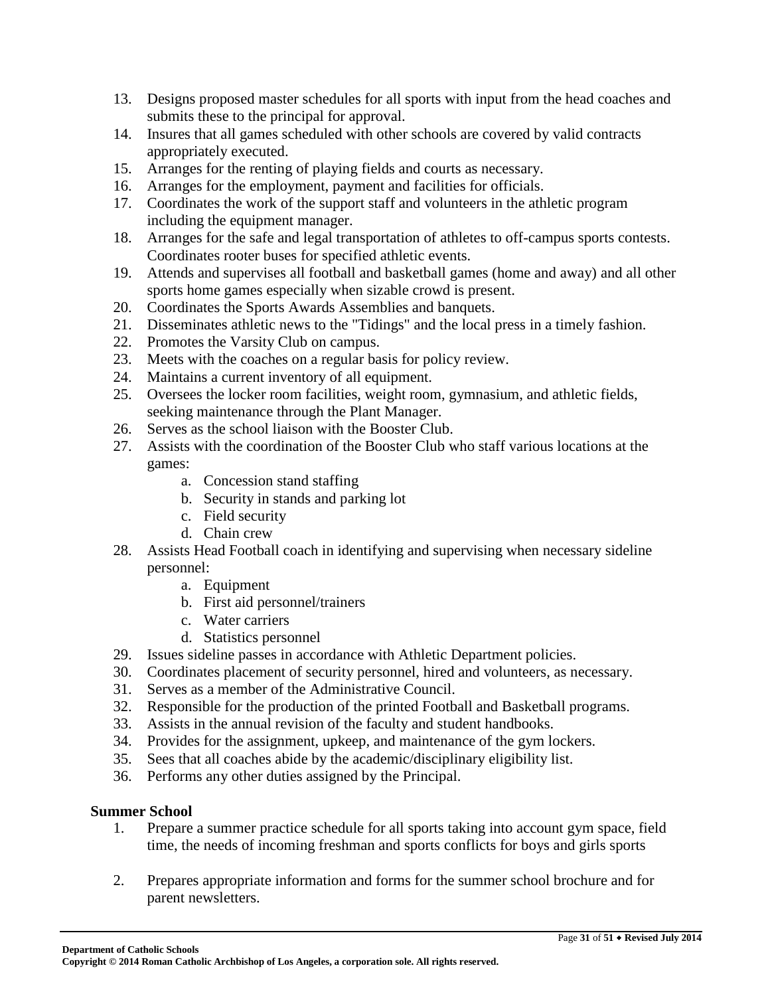- 13. Designs proposed master schedules for all sports with input from the head coaches and submits these to the principal for approval.
- 14. Insures that all games scheduled with other schools are covered by valid contracts appropriately executed.
- 15. Arranges for the renting of playing fields and courts as necessary.
- 16. Arranges for the employment, payment and facilities for officials.
- 17. Coordinates the work of the support staff and volunteers in the athletic program including the equipment manager.
- 18. Arranges for the safe and legal transportation of athletes to off-campus sports contests. Coordinates rooter buses for specified athletic events.
- 19. Attends and supervises all football and basketball games (home and away) and all other sports home games especially when sizable crowd is present.
- 20. Coordinates the Sports Awards Assemblies and banquets.
- 21. Disseminates athletic news to the "Tidings" and the local press in a timely fashion.
- 22. Promotes the Varsity Club on campus.
- 23. Meets with the coaches on a regular basis for policy review.
- 24. Maintains a current inventory of all equipment.
- 25. Oversees the locker room facilities, weight room, gymnasium, and athletic fields, seeking maintenance through the Plant Manager.
- 26. Serves as the school liaison with the Booster Club.
- 27. Assists with the coordination of the Booster Club who staff various locations at the games:
	- a. Concession stand staffing
	- b. Security in stands and parking lot
	- c. Field security
	- d. Chain crew
- 28. Assists Head Football coach in identifying and supervising when necessary sideline personnel:
	- a. Equipment
	- b. First aid personnel/trainers
	- c. Water carriers
	- d. Statistics personnel
- 29. Issues sideline passes in accordance with Athletic Department policies.
- 30. Coordinates placement of security personnel, hired and volunteers, as necessary.
- 31. Serves as a member of the Administrative Council.
- 32. Responsible for the production of the printed Football and Basketball programs.
- 33. Assists in the annual revision of the faculty and student handbooks.
- 34. Provides for the assignment, upkeep, and maintenance of the gym lockers.
- 35. Sees that all coaches abide by the academic/disciplinary eligibility list.
- 36. Performs any other duties assigned by the Principal.

### **Summer School**

- 1. Prepare a summer practice schedule for all sports taking into account gym space, field time, the needs of incoming freshman and sports conflicts for boys and girls sports
- 2. Prepares appropriate information and forms for the summer school brochure and for parent newsletters.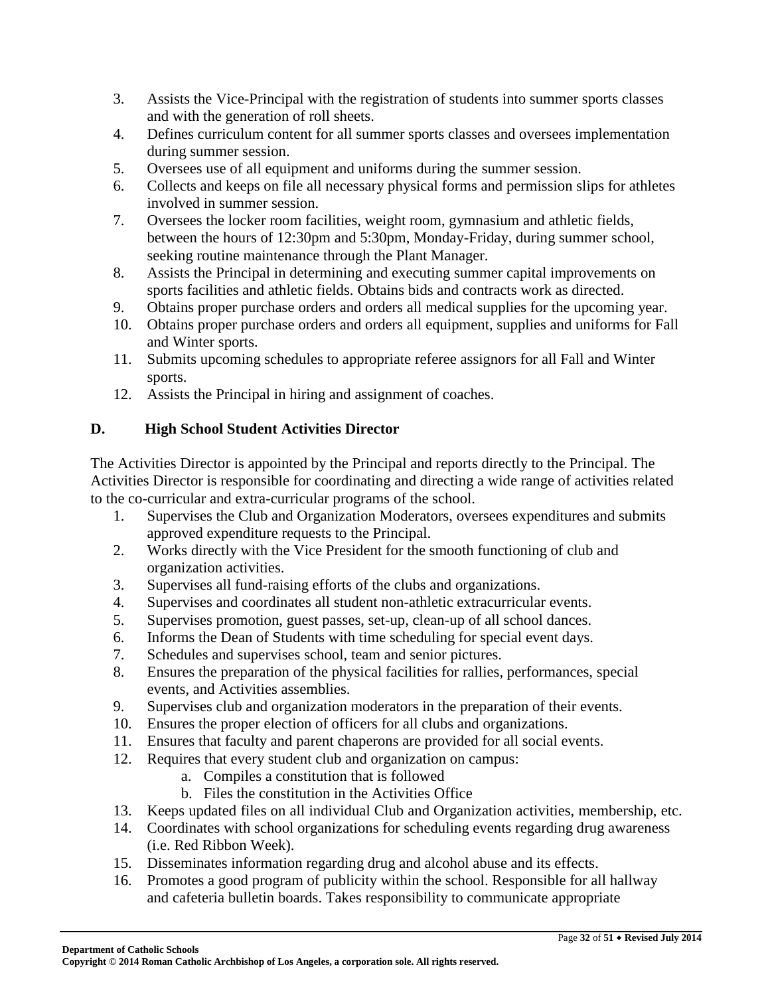- 3. Assists the Vice-Principal with the registration of students into summer sports classes and with the generation of roll sheets.
- 4. Defines curriculum content for all summer sports classes and oversees implementation during summer session.
- 5. Oversees use of all equipment and uniforms during the summer session.
- 6. Collects and keeps on file all necessary physical forms and permission slips for athletes involved in summer session.
- 7. Oversees the locker room facilities, weight room, gymnasium and athletic fields, between the hours of 12:30pm and 5:30pm, Monday-Friday, during summer school, seeking routine maintenance through the Plant Manager.
- 8. Assists the Principal in determining and executing summer capital improvements on sports facilities and athletic fields. Obtains bids and contracts work as directed.
- 9. Obtains proper purchase orders and orders all medical supplies for the upcoming year.
- 10. Obtains proper purchase orders and orders all equipment, supplies and uniforms for Fall and Winter sports.
- 11. Submits upcoming schedules to appropriate referee assignors for all Fall and Winter sports.
- 12. Assists the Principal in hiring and assignment of coaches.

# **D. High School Student Activities Director**

The Activities Director is appointed by the Principal and reports directly to the Principal. The Activities Director is responsible for coordinating and directing a wide range of activities related to the co-curricular and extra-curricular programs of the school.

- 1. Supervises the Club and Organization Moderators, oversees expenditures and submits approved expenditure requests to the Principal.
- 2. Works directly with the Vice President for the smooth functioning of club and organization activities.
- 3. Supervises all fund-raising efforts of the clubs and organizations.
- 4. Supervises and coordinates all student non-athletic extracurricular events.
- 5. Supervises promotion, guest passes, set-up, clean-up of all school dances.
- 6. Informs the Dean of Students with time scheduling for special event days.
- 7. Schedules and supervises school, team and senior pictures.
- 8. Ensures the preparation of the physical facilities for rallies, performances, special events, and Activities assemblies.
- 9. Supervises club and organization moderators in the preparation of their events.
- 10. Ensures the proper election of officers for all clubs and organizations.
- 11. Ensures that faculty and parent chaperons are provided for all social events.
- 12. Requires that every student club and organization on campus:
	- a. Compiles a constitution that is followed
	- b. Files the constitution in the Activities Office
- 13. Keeps updated files on all individual Club and Organization activities, membership, etc.
- 14. Coordinates with school organizations for scheduling events regarding drug awareness (i.e. Red Ribbon Week).
- 15. Disseminates information regarding drug and alcohol abuse and its effects.
- 16. Promotes a good program of publicity within the school. Responsible for all hallway and cafeteria bulletin boards. Takes responsibility to communicate appropriate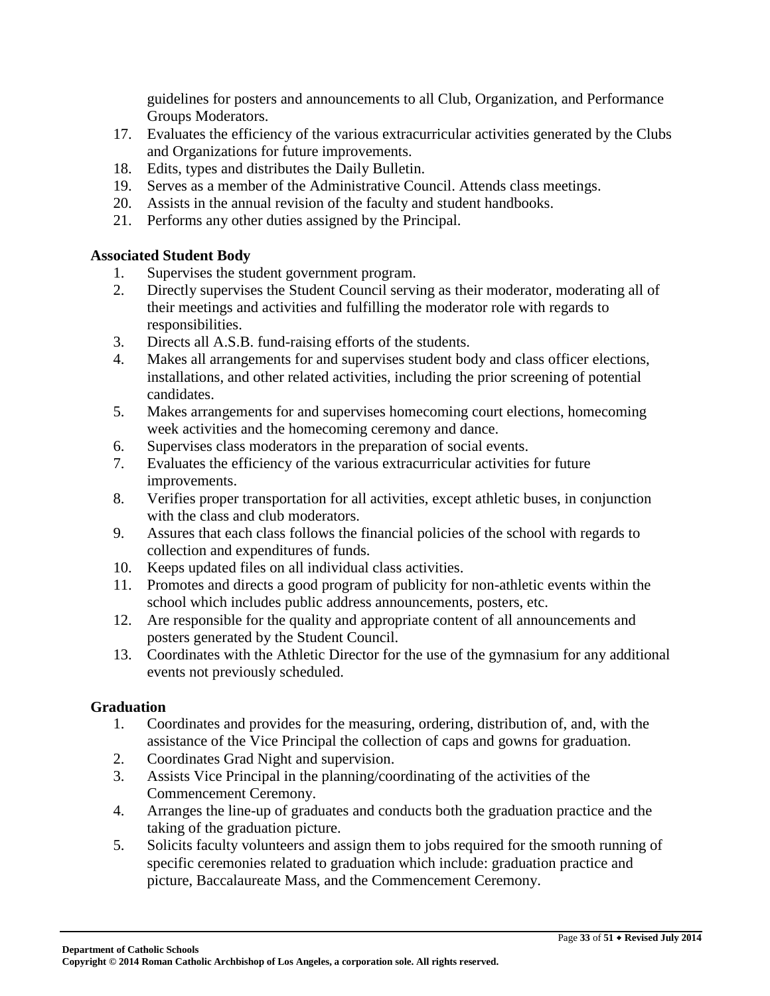guidelines for posters and announcements to all Club, Organization, and Performance Groups Moderators.

- 17. Evaluates the efficiency of the various extracurricular activities generated by the Clubs and Organizations for future improvements.
- 18. Edits, types and distributes the Daily Bulletin.
- 19. Serves as a member of the Administrative Council. Attends class meetings.
- 20. Assists in the annual revision of the faculty and student handbooks.
- 21. Performs any other duties assigned by the Principal.

### **Associated Student Body**

- 1. Supervises the student government program.
- 2. Directly supervises the Student Council serving as their moderator, moderating all of their meetings and activities and fulfilling the moderator role with regards to responsibilities.
- 3. Directs all A.S.B. fund-raising efforts of the students.
- 4. Makes all arrangements for and supervises student body and class officer elections, installations, and other related activities, including the prior screening of potential candidates.
- 5. Makes arrangements for and supervises homecoming court elections, homecoming week activities and the homecoming ceremony and dance.
- 6. Supervises class moderators in the preparation of social events.
- 7. Evaluates the efficiency of the various extracurricular activities for future improvements.
- 8. Verifies proper transportation for all activities, except athletic buses, in conjunction with the class and club moderators.
- 9. Assures that each class follows the financial policies of the school with regards to collection and expenditures of funds.
- 10. Keeps updated files on all individual class activities.
- 11. Promotes and directs a good program of publicity for non-athletic events within the school which includes public address announcements, posters, etc.
- 12. Are responsible for the quality and appropriate content of all announcements and posters generated by the Student Council.
- 13. Coordinates with the Athletic Director for the use of the gymnasium for any additional events not previously scheduled.

### **Graduation**

- 1. Coordinates and provides for the measuring, ordering, distribution of, and, with the assistance of the Vice Principal the collection of caps and gowns for graduation.
- 2. Coordinates Grad Night and supervision.
- 3. Assists Vice Principal in the planning/coordinating of the activities of the Commencement Ceremony.
- 4. Arranges the line-up of graduates and conducts both the graduation practice and the taking of the graduation picture.
- 5. Solicits faculty volunteers and assign them to jobs required for the smooth running of specific ceremonies related to graduation which include: graduation practice and picture, Baccalaureate Mass, and the Commencement Ceremony.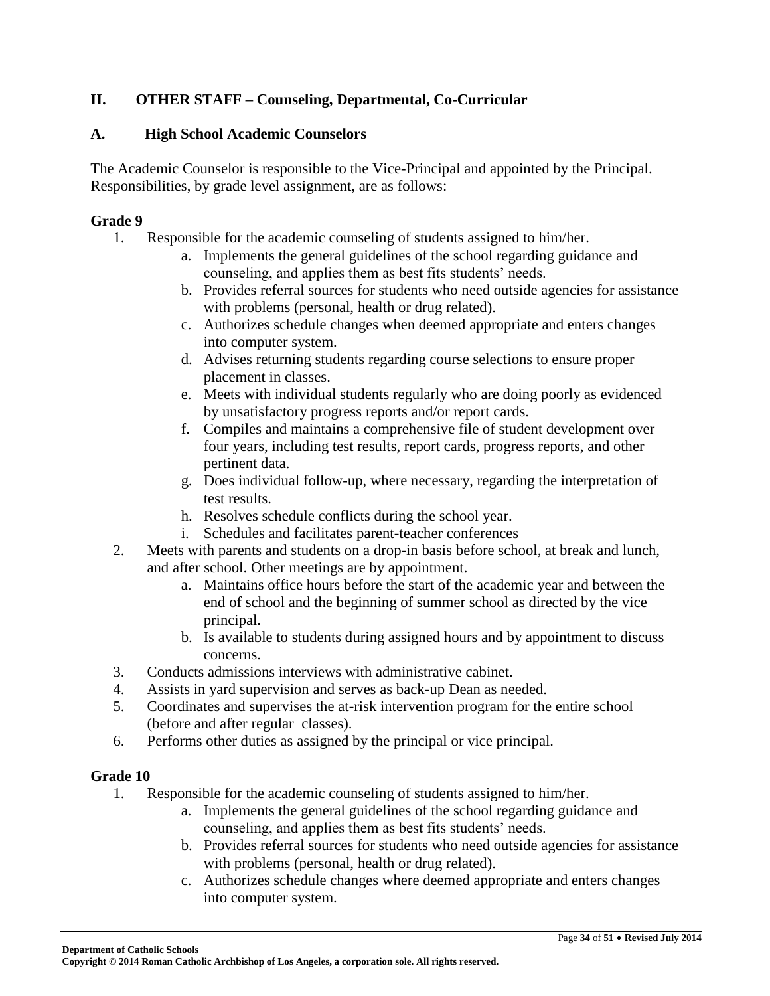# **II. OTHER STAFF – Counseling, Departmental, Co-Curricular**

#### **A. High School Academic Counselors**

The Academic Counselor is responsible to the Vice-Principal and appointed by the Principal. Responsibilities, by grade level assignment, are as follows:

#### **Grade 9**

- 1. Responsible for the academic counseling of students assigned to him/her.
	- a. Implements the general guidelines of the school regarding guidance and counseling, and applies them as best fits students' needs.
	- b. Provides referral sources for students who need outside agencies for assistance with problems (personal, health or drug related).
	- c. Authorizes schedule changes when deemed appropriate and enters changes into computer system.
	- d. Advises returning students regarding course selections to ensure proper placement in classes.
	- e. Meets with individual students regularly who are doing poorly as evidenced by unsatisfactory progress reports and/or report cards.
	- f. Compiles and maintains a comprehensive file of student development over four years, including test results, report cards, progress reports, and other pertinent data.
	- g. Does individual follow-up, where necessary, regarding the interpretation of test results.
	- h. Resolves schedule conflicts during the school year.
	- i. Schedules and facilitates parent-teacher conferences
- 2. Meets with parents and students on a drop-in basis before school, at break and lunch, and after school. Other meetings are by appointment.
	- a. Maintains office hours before the start of the academic year and between the end of school and the beginning of summer school as directed by the vice principal.
	- b. Is available to students during assigned hours and by appointment to discuss concerns.
- 3. Conducts admissions interviews with administrative cabinet.
- 4. Assists in yard supervision and serves as back-up Dean as needed.
- 5. Coordinates and supervises the at-risk intervention program for the entire school (before and after regular classes).
- 6. Performs other duties as assigned by the principal or vice principal.

#### **Grade 10**

- 1. Responsible for the academic counseling of students assigned to him/her.
	- a. Implements the general guidelines of the school regarding guidance and counseling, and applies them as best fits students' needs.
	- b. Provides referral sources for students who need outside agencies for assistance with problems (personal, health or drug related).
	- c. Authorizes schedule changes where deemed appropriate and enters changes into computer system.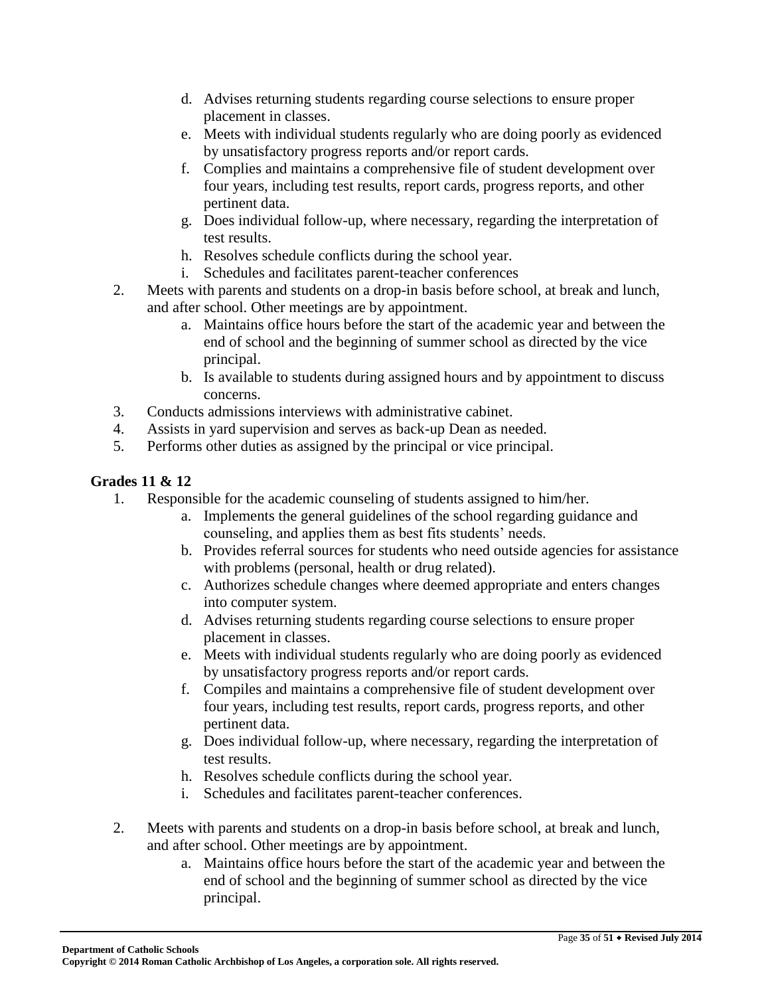- d. Advises returning students regarding course selections to ensure proper placement in classes.
- e. Meets with individual students regularly who are doing poorly as evidenced by unsatisfactory progress reports and/or report cards.
- f. Complies and maintains a comprehensive file of student development over four years, including test results, report cards, progress reports, and other pertinent data.
- g. Does individual follow-up, where necessary, regarding the interpretation of test results.
- h. Resolves schedule conflicts during the school year.
- i. Schedules and facilitates parent-teacher conferences
- 2. Meets with parents and students on a drop-in basis before school, at break and lunch, and after school. Other meetings are by appointment.
	- a. Maintains office hours before the start of the academic year and between the end of school and the beginning of summer school as directed by the vice principal.
	- b. Is available to students during assigned hours and by appointment to discuss concerns.
- 3. Conducts admissions interviews with administrative cabinet.
- 4. Assists in yard supervision and serves as back-up Dean as needed.
- 5. Performs other duties as assigned by the principal or vice principal.

### **Grades 11 & 12**

- 1. Responsible for the academic counseling of students assigned to him/her.
	- a. Implements the general guidelines of the school regarding guidance and counseling, and applies them as best fits students' needs.
	- b. Provides referral sources for students who need outside agencies for assistance with problems (personal, health or drug related).
	- c. Authorizes schedule changes where deemed appropriate and enters changes into computer system.
	- d. Advises returning students regarding course selections to ensure proper placement in classes.
	- e. Meets with individual students regularly who are doing poorly as evidenced by unsatisfactory progress reports and/or report cards.
	- f. Compiles and maintains a comprehensive file of student development over four years, including test results, report cards, progress reports, and other pertinent data.
	- g. Does individual follow-up, where necessary, regarding the interpretation of test results.
	- h. Resolves schedule conflicts during the school year.
	- i. Schedules and facilitates parent-teacher conferences.
- 2. Meets with parents and students on a drop-in basis before school, at break and lunch, and after school. Other meetings are by appointment.
	- a. Maintains office hours before the start of the academic year and between the end of school and the beginning of summer school as directed by the vice principal.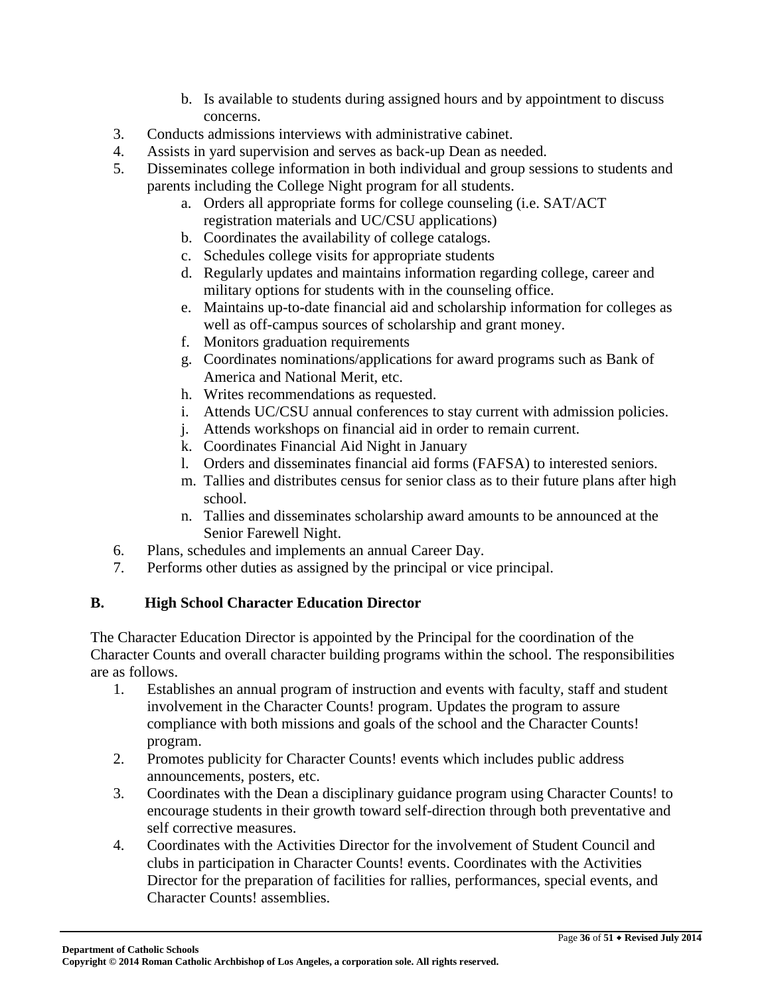- b. Is available to students during assigned hours and by appointment to discuss concerns.
- 3. Conducts admissions interviews with administrative cabinet.
- 4. Assists in yard supervision and serves as back-up Dean as needed.
- 5. Disseminates college information in both individual and group sessions to students and parents including the College Night program for all students.
	- a. Orders all appropriate forms for college counseling (i.e. SAT/ACT registration materials and UC/CSU applications)
	- b. Coordinates the availability of college catalogs.
	- c. Schedules college visits for appropriate students
	- d. Regularly updates and maintains information regarding college, career and military options for students with in the counseling office.
	- e. Maintains up-to-date financial aid and scholarship information for colleges as well as off-campus sources of scholarship and grant money.
	- f. Monitors graduation requirements
	- g. Coordinates nominations/applications for award programs such as Bank of America and National Merit, etc.
	- h. Writes recommendations as requested.
	- i. Attends UC/CSU annual conferences to stay current with admission policies.
	- j. Attends workshops on financial aid in order to remain current.
	- k. Coordinates Financial Aid Night in January
	- l. Orders and disseminates financial aid forms (FAFSA) to interested seniors.
	- m. Tallies and distributes census for senior class as to their future plans after high school.
	- n. Tallies and disseminates scholarship award amounts to be announced at the Senior Farewell Night.
- 6. Plans, schedules and implements an annual Career Day.
- 7. Performs other duties as assigned by the principal or vice principal.

# **B. High School Character Education Director**

The Character Education Director is appointed by the Principal for the coordination of the Character Counts and overall character building programs within the school. The responsibilities are as follows.

- 1. Establishes an annual program of instruction and events with faculty, staff and student involvement in the Character Counts! program. Updates the program to assure compliance with both missions and goals of the school and the Character Counts! program.
- 2. Promotes publicity for Character Counts! events which includes public address announcements, posters, etc.
- 3. Coordinates with the Dean a disciplinary guidance program using Character Counts! to encourage students in their growth toward self-direction through both preventative and self corrective measures.
- 4. Coordinates with the Activities Director for the involvement of Student Council and clubs in participation in Character Counts! events. Coordinates with the Activities Director for the preparation of facilities for rallies, performances, special events, and Character Counts! assemblies.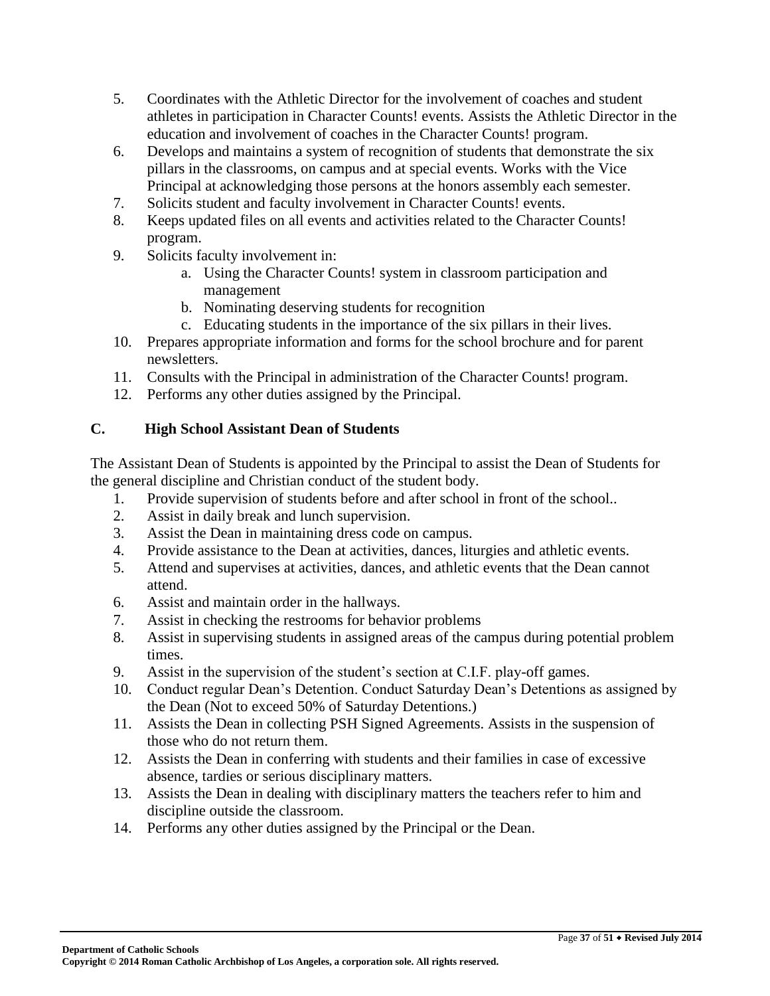- 5. Coordinates with the Athletic Director for the involvement of coaches and student athletes in participation in Character Counts! events. Assists the Athletic Director in the education and involvement of coaches in the Character Counts! program.
- 6. Develops and maintains a system of recognition of students that demonstrate the six pillars in the classrooms, on campus and at special events. Works with the Vice Principal at acknowledging those persons at the honors assembly each semester.
- 7. Solicits student and faculty involvement in Character Counts! events.
- 8. Keeps updated files on all events and activities related to the Character Counts! program.
- 9. Solicits faculty involvement in:
	- a. Using the Character Counts! system in classroom participation and management
	- b. Nominating deserving students for recognition
	- c. Educating students in the importance of the six pillars in their lives.
- 10. Prepares appropriate information and forms for the school brochure and for parent newsletters.
- 11. Consults with the Principal in administration of the Character Counts! program.
- 12. Performs any other duties assigned by the Principal.

# **C. High School Assistant Dean of Students**

The Assistant Dean of Students is appointed by the Principal to assist the Dean of Students for the general discipline and Christian conduct of the student body.

- 1. Provide supervision of students before and after school in front of the school..
- 2. Assist in daily break and lunch supervision.
- 3. Assist the Dean in maintaining dress code on campus.
- 4. Provide assistance to the Dean at activities, dances, liturgies and athletic events.
- 5. Attend and supervises at activities, dances, and athletic events that the Dean cannot attend.
- 6. Assist and maintain order in the hallways.
- 7. Assist in checking the restrooms for behavior problems
- 8. Assist in supervising students in assigned areas of the campus during potential problem times.
- 9. Assist in the supervision of the student's section at C.I.F. play-off games.
- 10. Conduct regular Dean's Detention. Conduct Saturday Dean's Detentions as assigned by the Dean (Not to exceed 50% of Saturday Detentions.)
- 11. Assists the Dean in collecting PSH Signed Agreements. Assists in the suspension of those who do not return them.
- 12. Assists the Dean in conferring with students and their families in case of excessive absence, tardies or serious disciplinary matters.
- 13. Assists the Dean in dealing with disciplinary matters the teachers refer to him and discipline outside the classroom.
- 14. Performs any other duties assigned by the Principal or the Dean.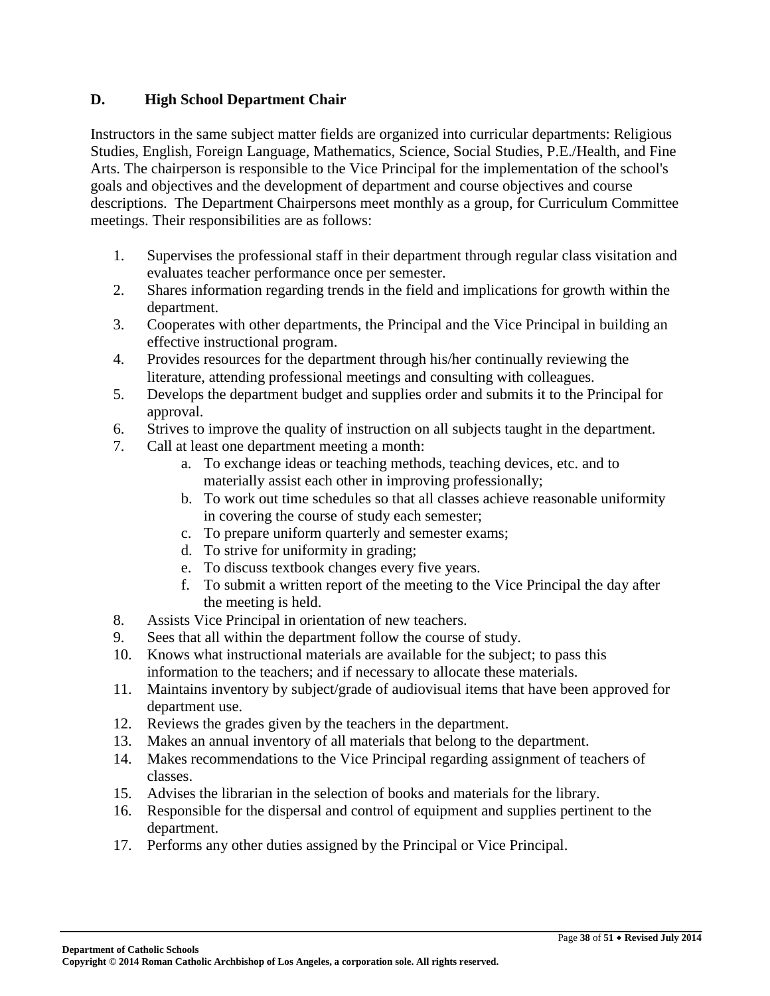### **D. High School Department Chair**

Instructors in the same subject matter fields are organized into curricular departments: Religious Studies, English, Foreign Language, Mathematics, Science, Social Studies, P.E./Health, and Fine Arts. The chairperson is responsible to the Vice Principal for the implementation of the school's goals and objectives and the development of department and course objectives and course descriptions. The Department Chairpersons meet monthly as a group, for Curriculum Committee meetings. Their responsibilities are as follows:

- 1. Supervises the professional staff in their department through regular class visitation and evaluates teacher performance once per semester.
- 2. Shares information regarding trends in the field and implications for growth within the department.
- 3. Cooperates with other departments, the Principal and the Vice Principal in building an effective instructional program.
- 4. Provides resources for the department through his/her continually reviewing the literature, attending professional meetings and consulting with colleagues.
- 5. Develops the department budget and supplies order and submits it to the Principal for approval.
- 6. Strives to improve the quality of instruction on all subjects taught in the department.
- 7. Call at least one department meeting a month:
	- a. To exchange ideas or teaching methods, teaching devices, etc. and to materially assist each other in improving professionally;
	- b. To work out time schedules so that all classes achieve reasonable uniformity in covering the course of study each semester;
	- c. To prepare uniform quarterly and semester exams;
	- d. To strive for uniformity in grading;
	- e. To discuss textbook changes every five years.
	- f. To submit a written report of the meeting to the Vice Principal the day after the meeting is held.
- 8. Assists Vice Principal in orientation of new teachers.
- 9. Sees that all within the department follow the course of study.
- 10. Knows what instructional materials are available for the subject; to pass this information to the teachers; and if necessary to allocate these materials.
- 11. Maintains inventory by subject/grade of audiovisual items that have been approved for department use.
- 12. Reviews the grades given by the teachers in the department.
- 13. Makes an annual inventory of all materials that belong to the department.
- 14. Makes recommendations to the Vice Principal regarding assignment of teachers of classes.
- 15. Advises the librarian in the selection of books and materials for the library.
- 16. Responsible for the dispersal and control of equipment and supplies pertinent to the department.
- 17. Performs any other duties assigned by the Principal or Vice Principal.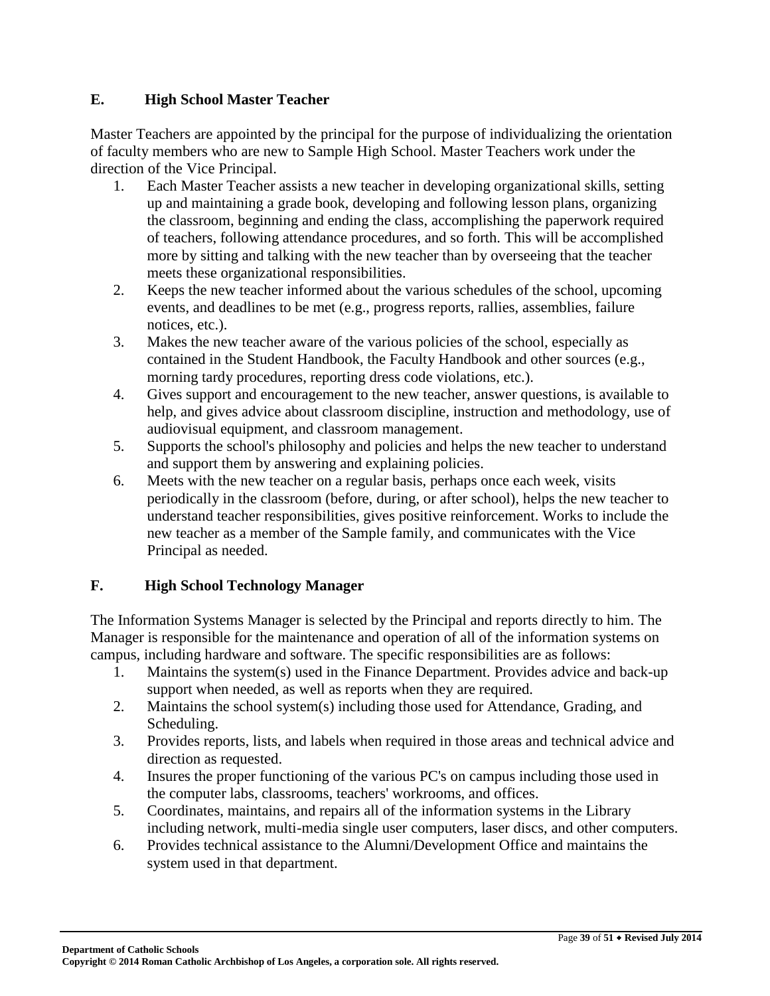### **E. High School Master Teacher**

Master Teachers are appointed by the principal for the purpose of individualizing the orientation of faculty members who are new to Sample High School. Master Teachers work under the direction of the Vice Principal.

- 1. Each Master Teacher assists a new teacher in developing organizational skills, setting up and maintaining a grade book, developing and following lesson plans, organizing the classroom, beginning and ending the class, accomplishing the paperwork required of teachers, following attendance procedures, and so forth. This will be accomplished more by sitting and talking with the new teacher than by overseeing that the teacher meets these organizational responsibilities.
- 2. Keeps the new teacher informed about the various schedules of the school, upcoming events, and deadlines to be met (e.g., progress reports, rallies, assemblies, failure notices, etc.).
- 3. Makes the new teacher aware of the various policies of the school, especially as contained in the Student Handbook, the Faculty Handbook and other sources (e.g., morning tardy procedures, reporting dress code violations, etc.).
- 4. Gives support and encouragement to the new teacher, answer questions, is available to help, and gives advice about classroom discipline, instruction and methodology, use of audiovisual equipment, and classroom management.
- 5. Supports the school's philosophy and policies and helps the new teacher to understand and support them by answering and explaining policies.
- 6. Meets with the new teacher on a regular basis, perhaps once each week, visits periodically in the classroom (before, during, or after school), helps the new teacher to understand teacher responsibilities, gives positive reinforcement. Works to include the new teacher as a member of the Sample family, and communicates with the Vice Principal as needed.

# **F. High School Technology Manager**

The Information Systems Manager is selected by the Principal and reports directly to him. The Manager is responsible for the maintenance and operation of all of the information systems on campus, including hardware and software. The specific responsibilities are as follows:

- 1. Maintains the system(s) used in the Finance Department. Provides advice and back-up support when needed, as well as reports when they are required.
- 2. Maintains the school system(s) including those used for Attendance, Grading, and Scheduling.
- 3. Provides reports, lists, and labels when required in those areas and technical advice and direction as requested.
- 4. Insures the proper functioning of the various PC's on campus including those used in the computer labs, classrooms, teachers' workrooms, and offices.
- 5. Coordinates, maintains, and repairs all of the information systems in the Library including network, multi-media single user computers, laser discs, and other computers.
- 6. Provides technical assistance to the Alumni/Development Office and maintains the system used in that department.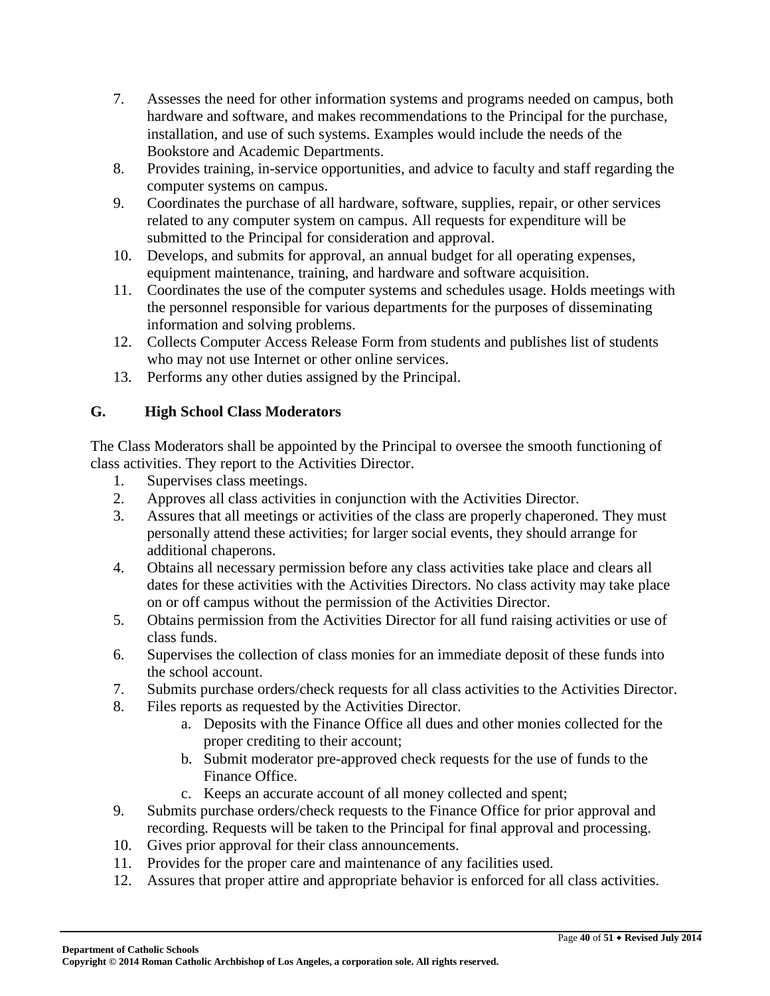- 7. Assesses the need for other information systems and programs needed on campus, both hardware and software, and makes recommendations to the Principal for the purchase, installation, and use of such systems. Examples would include the needs of the Bookstore and Academic Departments.
- 8. Provides training, in-service opportunities, and advice to faculty and staff regarding the computer systems on campus.
- 9. Coordinates the purchase of all hardware, software, supplies, repair, or other services related to any computer system on campus. All requests for expenditure will be submitted to the Principal for consideration and approval.
- 10. Develops, and submits for approval, an annual budget for all operating expenses, equipment maintenance, training, and hardware and software acquisition.
- 11. Coordinates the use of the computer systems and schedules usage. Holds meetings with the personnel responsible for various departments for the purposes of disseminating information and solving problems.
- 12. Collects Computer Access Release Form from students and publishes list of students who may not use Internet or other online services.
- 13. Performs any other duties assigned by the Principal.

### **G. High School Class Moderators**

The Class Moderators shall be appointed by the Principal to oversee the smooth functioning of class activities. They report to the Activities Director.

- 1. Supervises class meetings.
- 2. Approves all class activities in conjunction with the Activities Director.
- 3. Assures that all meetings or activities of the class are properly chaperoned. They must personally attend these activities; for larger social events, they should arrange for additional chaperons.
- 4. Obtains all necessary permission before any class activities take place and clears all dates for these activities with the Activities Directors. No class activity may take place on or off campus without the permission of the Activities Director.
- 5. Obtains permission from the Activities Director for all fund raising activities or use of class funds.
- 6. Supervises the collection of class monies for an immediate deposit of these funds into the school account.
- 7. Submits purchase orders/check requests for all class activities to the Activities Director.
- 8. Files reports as requested by the Activities Director.
	- a. Deposits with the Finance Office all dues and other monies collected for the proper crediting to their account;
	- b. Submit moderator pre-approved check requests for the use of funds to the Finance Office.
	- c. Keeps an accurate account of all money collected and spent;
- 9. Submits purchase orders/check requests to the Finance Office for prior approval and recording. Requests will be taken to the Principal for final approval and processing.
- 10. Gives prior approval for their class announcements.
- 11. Provides for the proper care and maintenance of any facilities used.
- 12. Assures that proper attire and appropriate behavior is enforced for all class activities.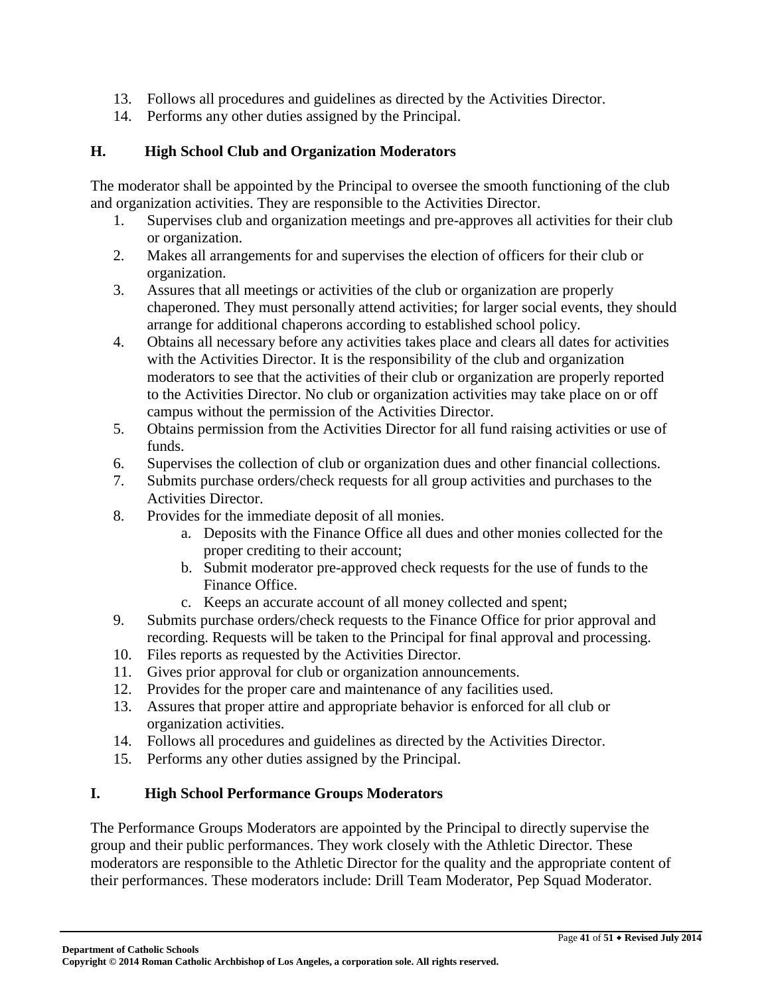- 13. Follows all procedures and guidelines as directed by the Activities Director.
- 14. Performs any other duties assigned by the Principal.

### **H. High School Club and Organization Moderators**

The moderator shall be appointed by the Principal to oversee the smooth functioning of the club and organization activities. They are responsible to the Activities Director.

- 1. Supervises club and organization meetings and pre-approves all activities for their club or organization.
- 2. Makes all arrangements for and supervises the election of officers for their club or organization.
- 3. Assures that all meetings or activities of the club or organization are properly chaperoned. They must personally attend activities; for larger social events, they should arrange for additional chaperons according to established school policy.
- 4. Obtains all necessary before any activities takes place and clears all dates for activities with the Activities Director. It is the responsibility of the club and organization moderators to see that the activities of their club or organization are properly reported to the Activities Director. No club or organization activities may take place on or off campus without the permission of the Activities Director.
- 5. Obtains permission from the Activities Director for all fund raising activities or use of funds.
- 6. Supervises the collection of club or organization dues and other financial collections.
- 7. Submits purchase orders/check requests for all group activities and purchases to the Activities Director.
- 8. Provides for the immediate deposit of all monies.
	- a. Deposits with the Finance Office all dues and other monies collected for the proper crediting to their account;
	- b. Submit moderator pre-approved check requests for the use of funds to the Finance Office.
	- c. Keeps an accurate account of all money collected and spent;
- 9. Submits purchase orders/check requests to the Finance Office for prior approval and recording. Requests will be taken to the Principal for final approval and processing.
- 10. Files reports as requested by the Activities Director.
- 11. Gives prior approval for club or organization announcements.
- 12. Provides for the proper care and maintenance of any facilities used.
- 13. Assures that proper attire and appropriate behavior is enforced for all club or organization activities.
- 14. Follows all procedures and guidelines as directed by the Activities Director.
- 15. Performs any other duties assigned by the Principal.

### **I. High School Performance Groups Moderators**

The Performance Groups Moderators are appointed by the Principal to directly supervise the group and their public performances. They work closely with the Athletic Director. These moderators are responsible to the Athletic Director for the quality and the appropriate content of their performances. These moderators include: Drill Team Moderator, Pep Squad Moderator.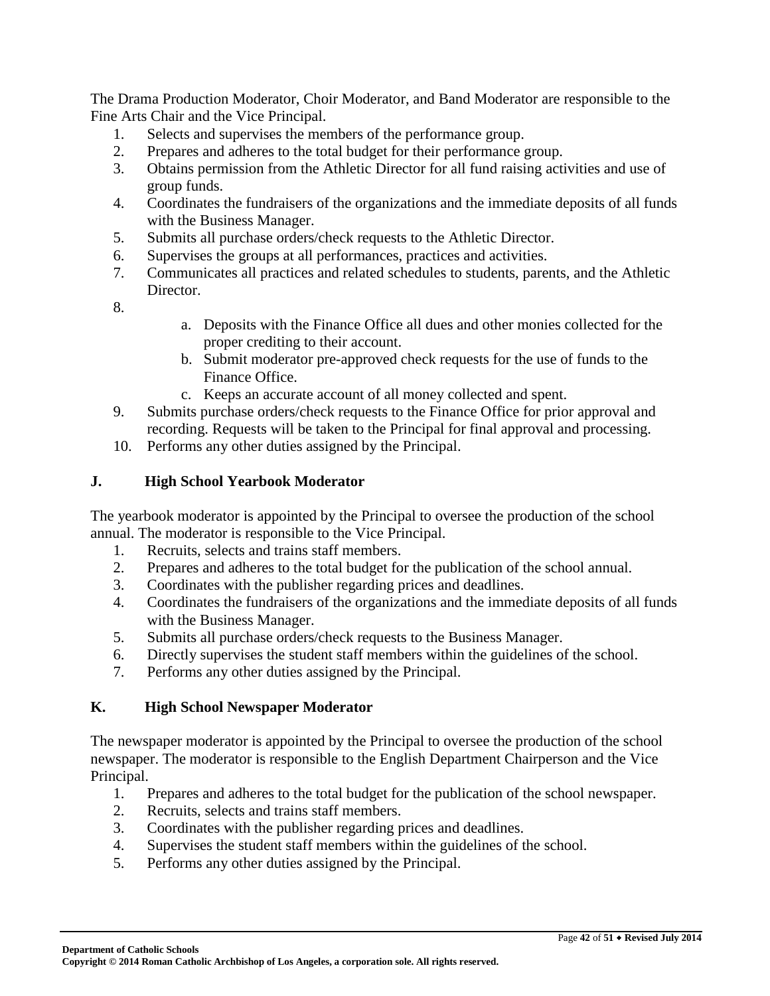The Drama Production Moderator, Choir Moderator, and Band Moderator are responsible to the Fine Arts Chair and the Vice Principal.

- 1. Selects and supervises the members of the performance group.
- 2. Prepares and adheres to the total budget for their performance group.
- 3. Obtains permission from the Athletic Director for all fund raising activities and use of group funds.
- 4. Coordinates the fundraisers of the organizations and the immediate deposits of all funds with the Business Manager.
- 5. Submits all purchase orders/check requests to the Athletic Director.
- 6. Supervises the groups at all performances, practices and activities.
- 7. Communicates all practices and related schedules to students, parents, and the Athletic Director.
- 8.
- a. Deposits with the Finance Office all dues and other monies collected for the proper crediting to their account.
- b. Submit moderator pre-approved check requests for the use of funds to the Finance Office.
- c. Keeps an accurate account of all money collected and spent.
- 9. Submits purchase orders/check requests to the Finance Office for prior approval and recording. Requests will be taken to the Principal for final approval and processing.
- 10. Performs any other duties assigned by the Principal.

### **J. High School Yearbook Moderator**

The yearbook moderator is appointed by the Principal to oversee the production of the school annual. The moderator is responsible to the Vice Principal.

- 1. Recruits, selects and trains staff members.
- 2. Prepares and adheres to the total budget for the publication of the school annual.
- 3. Coordinates with the publisher regarding prices and deadlines.
- 4. Coordinates the fundraisers of the organizations and the immediate deposits of all funds with the Business Manager.
- 5. Submits all purchase orders/check requests to the Business Manager.
- 6. Directly supervises the student staff members within the guidelines of the school.
- 7. Performs any other duties assigned by the Principal.

# **K. High School Newspaper Moderator**

The newspaper moderator is appointed by the Principal to oversee the production of the school newspaper. The moderator is responsible to the English Department Chairperson and the Vice Principal.

- 1. Prepares and adheres to the total budget for the publication of the school newspaper.
- 2. Recruits, selects and trains staff members.
- 3. Coordinates with the publisher regarding prices and deadlines.
- 4. Supervises the student staff members within the guidelines of the school.
- 5. Performs any other duties assigned by the Principal.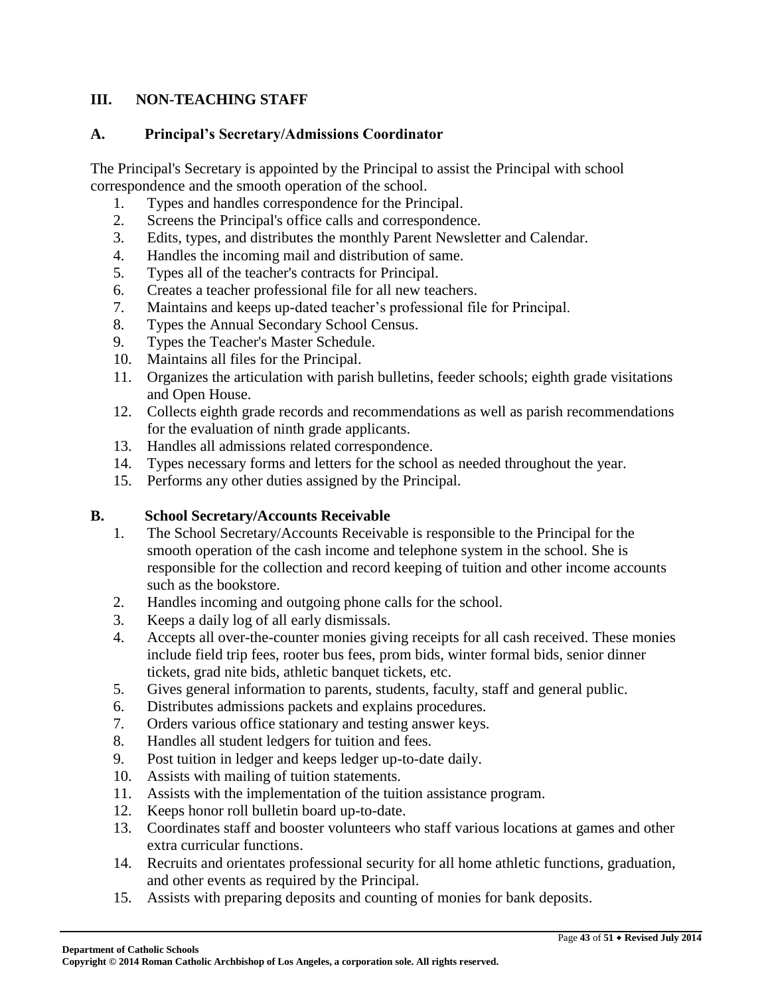### **III. NON-TEACHING STAFF**

#### **A. Principal's Secretary/Admissions Coordinator**

The Principal's Secretary is appointed by the Principal to assist the Principal with school correspondence and the smooth operation of the school.

- 1. Types and handles correspondence for the Principal.
- 2. Screens the Principal's office calls and correspondence.
- 3. Edits, types, and distributes the monthly Parent Newsletter and Calendar.
- 4. Handles the incoming mail and distribution of same.
- 5. Types all of the teacher's contracts for Principal.
- 6. Creates a teacher professional file for all new teachers.
- 7. Maintains and keeps up-dated teacher's professional file for Principal.
- 8. Types the Annual Secondary School Census.
- 9. Types the Teacher's Master Schedule.
- 10. Maintains all files for the Principal.
- 11. Organizes the articulation with parish bulletins, feeder schools; eighth grade visitations and Open House.
- 12. Collects eighth grade records and recommendations as well as parish recommendations for the evaluation of ninth grade applicants.
- 13. Handles all admissions related correspondence.
- 14. Types necessary forms and letters for the school as needed throughout the year.
- 15. Performs any other duties assigned by the Principal.

### **B. School Secretary/Accounts Receivable**

- 1. The School Secretary/Accounts Receivable is responsible to the Principal for the smooth operation of the cash income and telephone system in the school. She is responsible for the collection and record keeping of tuition and other income accounts such as the bookstore.
- 2. Handles incoming and outgoing phone calls for the school.
- 3. Keeps a daily log of all early dismissals.
- 4. Accepts all over-the-counter monies giving receipts for all cash received. These monies include field trip fees, rooter bus fees, prom bids, winter formal bids, senior dinner tickets, grad nite bids, athletic banquet tickets, etc.
- 5. Gives general information to parents, students, faculty, staff and general public.
- 6. Distributes admissions packets and explains procedures.
- 7. Orders various office stationary and testing answer keys.
- 8. Handles all student ledgers for tuition and fees.
- 9. Post tuition in ledger and keeps ledger up-to-date daily.
- 10. Assists with mailing of tuition statements.
- 11. Assists with the implementation of the tuition assistance program.
- 12. Keeps honor roll bulletin board up-to-date.
- 13. Coordinates staff and booster volunteers who staff various locations at games and other extra curricular functions.
- 14. Recruits and orientates professional security for all home athletic functions, graduation, and other events as required by the Principal.
- 15. Assists with preparing deposits and counting of monies for bank deposits.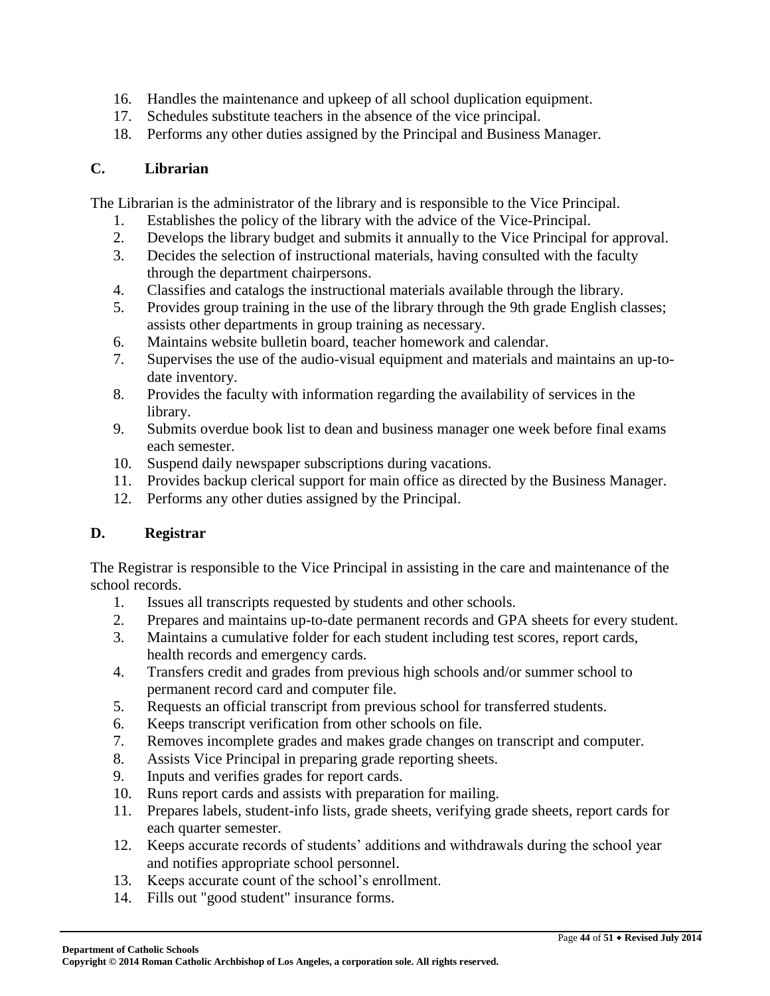- 16. Handles the maintenance and upkeep of all school duplication equipment.
- 17. Schedules substitute teachers in the absence of the vice principal.
- 18. Performs any other duties assigned by the Principal and Business Manager.

### **C. Librarian**

The Librarian is the administrator of the library and is responsible to the Vice Principal.

- 1. Establishes the policy of the library with the advice of the Vice-Principal.
- 2. Develops the library budget and submits it annually to the Vice Principal for approval.
- 3. Decides the selection of instructional materials, having consulted with the faculty through the department chairpersons.
- 4. Classifies and catalogs the instructional materials available through the library.
- 5. Provides group training in the use of the library through the 9th grade English classes; assists other departments in group training as necessary.
- 6. Maintains website bulletin board, teacher homework and calendar.
- 7. Supervises the use of the audio-visual equipment and materials and maintains an up-todate inventory.
- 8. Provides the faculty with information regarding the availability of services in the library.
- 9. Submits overdue book list to dean and business manager one week before final exams each semester.
- 10. Suspend daily newspaper subscriptions during vacations.
- 11. Provides backup clerical support for main office as directed by the Business Manager.
- 12. Performs any other duties assigned by the Principal.

# **D. Registrar**

The Registrar is responsible to the Vice Principal in assisting in the care and maintenance of the school records.

- 1. Issues all transcripts requested by students and other schools.
- 2. Prepares and maintains up-to-date permanent records and GPA sheets for every student.
- 3. Maintains a cumulative folder for each student including test scores, report cards, health records and emergency cards.
- 4. Transfers credit and grades from previous high schools and/or summer school to permanent record card and computer file.
- 5. Requests an official transcript from previous school for transferred students.
- 6. Keeps transcript verification from other schools on file.
- 7. Removes incomplete grades and makes grade changes on transcript and computer.
- 8. Assists Vice Principal in preparing grade reporting sheets.
- 9. Inputs and verifies grades for report cards.
- 10. Runs report cards and assists with preparation for mailing.
- 11. Prepares labels, student-info lists, grade sheets, verifying grade sheets, report cards for each quarter semester.
- 12. Keeps accurate records of students' additions and withdrawals during the school year and notifies appropriate school personnel.
- 13. Keeps accurate count of the school's enrollment.
- 14. Fills out "good student" insurance forms.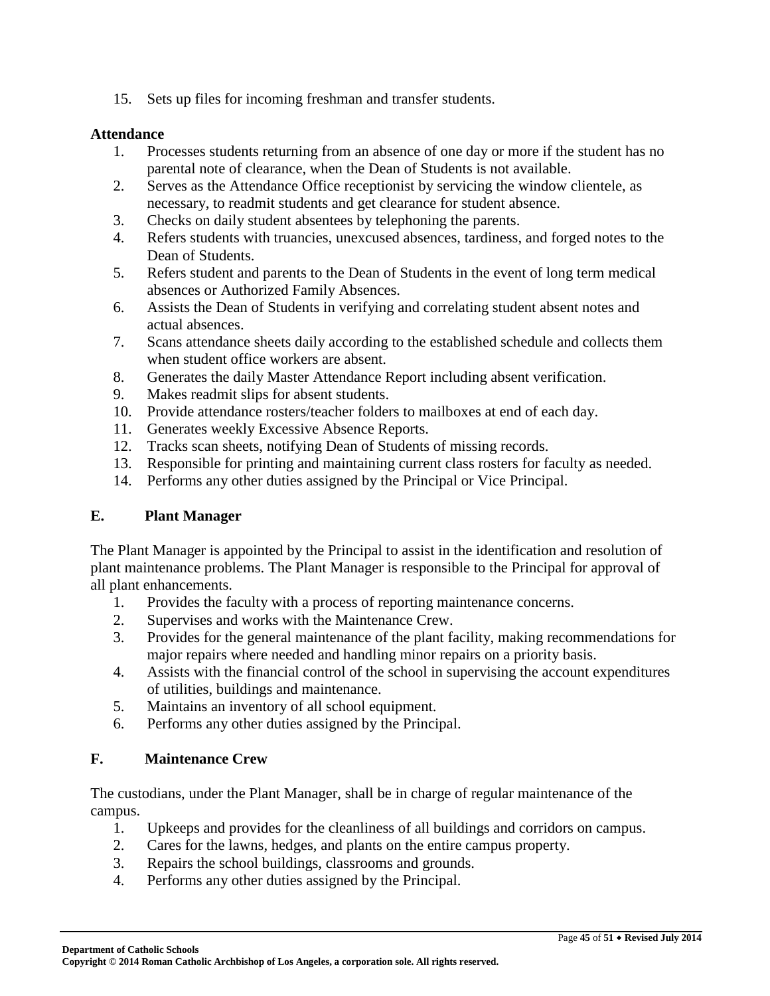15. Sets up files for incoming freshman and transfer students.

#### **Attendance**

- 1. Processes students returning from an absence of one day or more if the student has no parental note of clearance, when the Dean of Students is not available.
- 2. Serves as the Attendance Office receptionist by servicing the window clientele, as necessary, to readmit students and get clearance for student absence.
- 3. Checks on daily student absentees by telephoning the parents.
- 4. Refers students with truancies, unexcused absences, tardiness, and forged notes to the Dean of Students.
- 5. Refers student and parents to the Dean of Students in the event of long term medical absences or Authorized Family Absences.
- 6. Assists the Dean of Students in verifying and correlating student absent notes and actual absences.
- 7. Scans attendance sheets daily according to the established schedule and collects them when student office workers are absent.
- 8. Generates the daily Master Attendance Report including absent verification.
- 9. Makes readmit slips for absent students.
- 10. Provide attendance rosters/teacher folders to mailboxes at end of each day.
- 11. Generates weekly Excessive Absence Reports.
- 12. Tracks scan sheets, notifying Dean of Students of missing records.
- 13. Responsible for printing and maintaining current class rosters for faculty as needed.
- 14. Performs any other duties assigned by the Principal or Vice Principal.

### **E. Plant Manager**

The Plant Manager is appointed by the Principal to assist in the identification and resolution of plant maintenance problems. The Plant Manager is responsible to the Principal for approval of all plant enhancements.

- 1. Provides the faculty with a process of reporting maintenance concerns.
- 2. Supervises and works with the Maintenance Crew.
- 3. Provides for the general maintenance of the plant facility, making recommendations for major repairs where needed and handling minor repairs on a priority basis.
- 4. Assists with the financial control of the school in supervising the account expenditures of utilities, buildings and maintenance.
- 5. Maintains an inventory of all school equipment.
- 6. Performs any other duties assigned by the Principal.

### **F. Maintenance Crew**

The custodians, under the Plant Manager, shall be in charge of regular maintenance of the campus.

- 1. Upkeeps and provides for the cleanliness of all buildings and corridors on campus.
- 2. Cares for the lawns, hedges, and plants on the entire campus property.
- 3. Repairs the school buildings, classrooms and grounds.
- 4. Performs any other duties assigned by the Principal.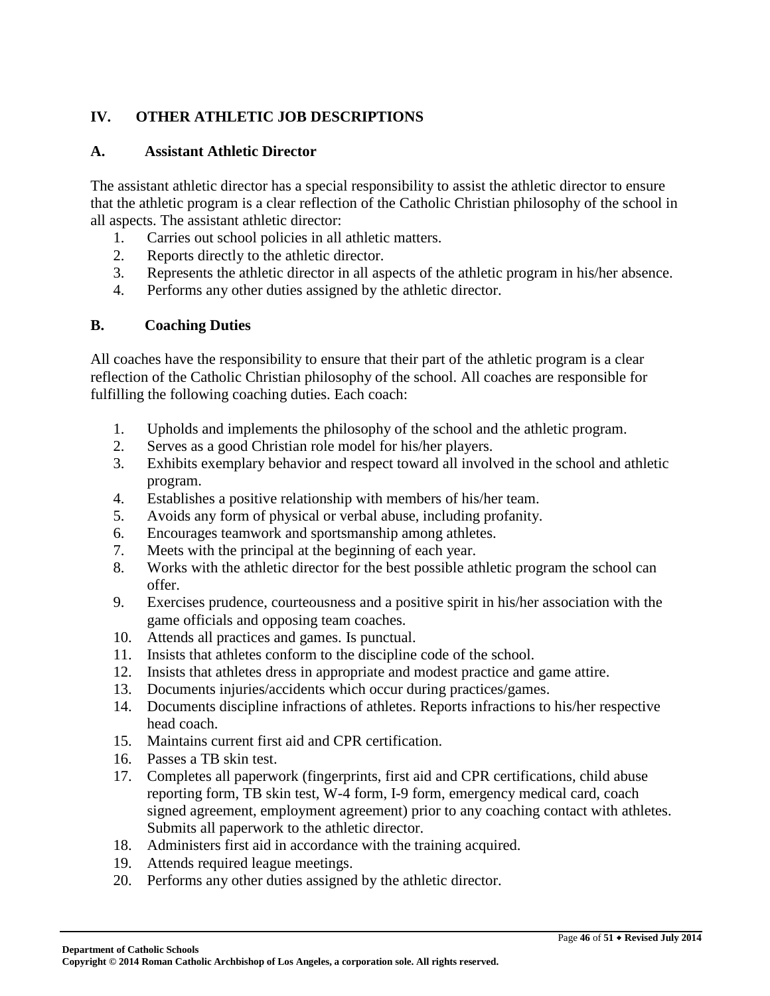# **IV. OTHER ATHLETIC JOB DESCRIPTIONS**

### **A. Assistant Athletic Director**

The assistant athletic director has a special responsibility to assist the athletic director to ensure that the athletic program is a clear reflection of the Catholic Christian philosophy of the school in all aspects. The assistant athletic director:

- 1. Carries out school policies in all athletic matters.
- 2. Reports directly to the athletic director.
- 3. Represents the athletic director in all aspects of the athletic program in his/her absence.
- 4. Performs any other duties assigned by the athletic director.

### **B. Coaching Duties**

All coaches have the responsibility to ensure that their part of the athletic program is a clear reflection of the Catholic Christian philosophy of the school. All coaches are responsible for fulfilling the following coaching duties. Each coach:

- 1. Upholds and implements the philosophy of the school and the athletic program.
- 2. Serves as a good Christian role model for his/her players.
- 3. Exhibits exemplary behavior and respect toward all involved in the school and athletic program.
- 4. Establishes a positive relationship with members of his/her team.
- 5. Avoids any form of physical or verbal abuse, including profanity.
- 6. Encourages teamwork and sportsmanship among athletes.
- 7. Meets with the principal at the beginning of each year.
- 8. Works with the athletic director for the best possible athletic program the school can offer.
- 9. Exercises prudence, courteousness and a positive spirit in his/her association with the game officials and opposing team coaches.
- 10. Attends all practices and games. Is punctual.
- 11. Insists that athletes conform to the discipline code of the school.
- 12. Insists that athletes dress in appropriate and modest practice and game attire.
- 13. Documents injuries/accidents which occur during practices/games.
- 14. Documents discipline infractions of athletes. Reports infractions to his/her respective head coach.
- 15. Maintains current first aid and CPR certification.
- 16. Passes a TB skin test.
- 17. Completes all paperwork (fingerprints, first aid and CPR certifications, child abuse reporting form, TB skin test, W-4 form, I-9 form, emergency medical card, coach signed agreement, employment agreement) prior to any coaching contact with athletes. Submits all paperwork to the athletic director.
- 18. Administers first aid in accordance with the training acquired.
- 19. Attends required league meetings.
- 20. Performs any other duties assigned by the athletic director.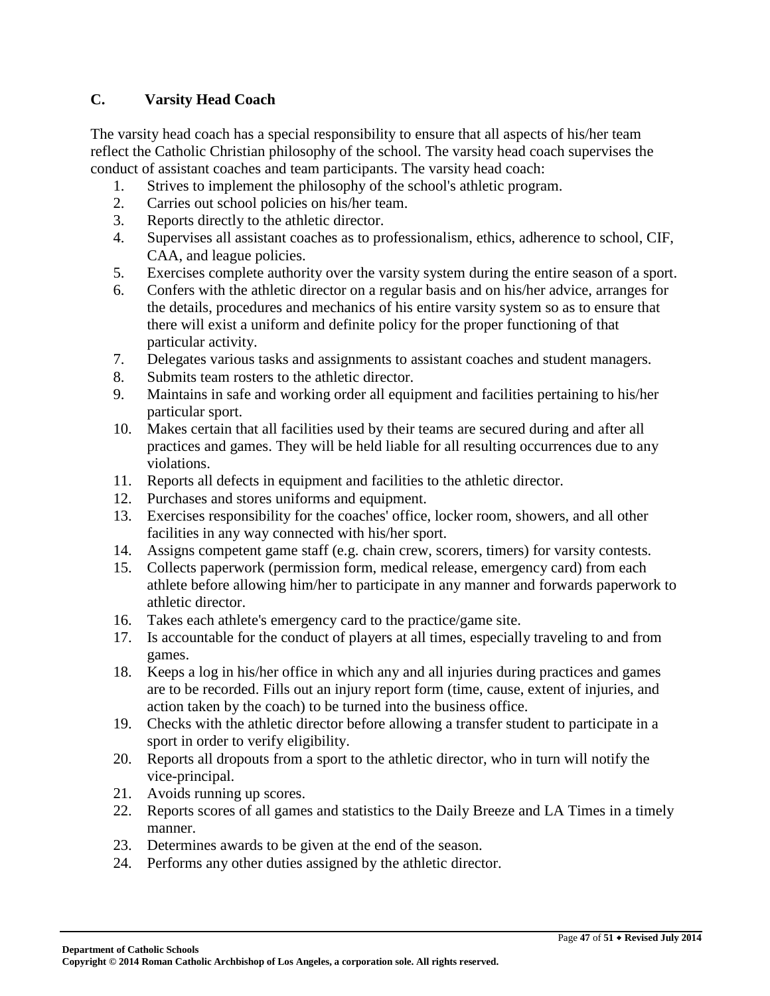### **C. Varsity Head Coach**

The varsity head coach has a special responsibility to ensure that all aspects of his/her team reflect the Catholic Christian philosophy of the school. The varsity head coach supervises the conduct of assistant coaches and team participants. The varsity head coach:

- 1. Strives to implement the philosophy of the school's athletic program.
- 2. Carries out school policies on his/her team.
- 3. Reports directly to the athletic director.
- 4. Supervises all assistant coaches as to professionalism, ethics, adherence to school, CIF, CAA, and league policies.
- 5. Exercises complete authority over the varsity system during the entire season of a sport.
- 6. Confers with the athletic director on a regular basis and on his/her advice, arranges for the details, procedures and mechanics of his entire varsity system so as to ensure that there will exist a uniform and definite policy for the proper functioning of that particular activity.
- 7. Delegates various tasks and assignments to assistant coaches and student managers.
- 8. Submits team rosters to the athletic director.
- 9. Maintains in safe and working order all equipment and facilities pertaining to his/her particular sport.
- 10. Makes certain that all facilities used by their teams are secured during and after all practices and games. They will be held liable for all resulting occurrences due to any violations.
- 11. Reports all defects in equipment and facilities to the athletic director.
- 12. Purchases and stores uniforms and equipment.
- 13. Exercises responsibility for the coaches' office, locker room, showers, and all other facilities in any way connected with his/her sport.
- 14. Assigns competent game staff (e.g. chain crew, scorers, timers) for varsity contests.
- 15. Collects paperwork (permission form, medical release, emergency card) from each athlete before allowing him/her to participate in any manner and forwards paperwork to athletic director.
- 16. Takes each athlete's emergency card to the practice/game site.
- 17. Is accountable for the conduct of players at all times, especially traveling to and from games.
- 18. Keeps a log in his/her office in which any and all injuries during practices and games are to be recorded. Fills out an injury report form (time, cause, extent of injuries, and action taken by the coach) to be turned into the business office.
- 19. Checks with the athletic director before allowing a transfer student to participate in a sport in order to verify eligibility.
- 20. Reports all dropouts from a sport to the athletic director, who in turn will notify the vice-principal.
- 21. Avoids running up scores.
- 22. Reports scores of all games and statistics to the Daily Breeze and LA Times in a timely manner.
- 23. Determines awards to be given at the end of the season.
- 24. Performs any other duties assigned by the athletic director.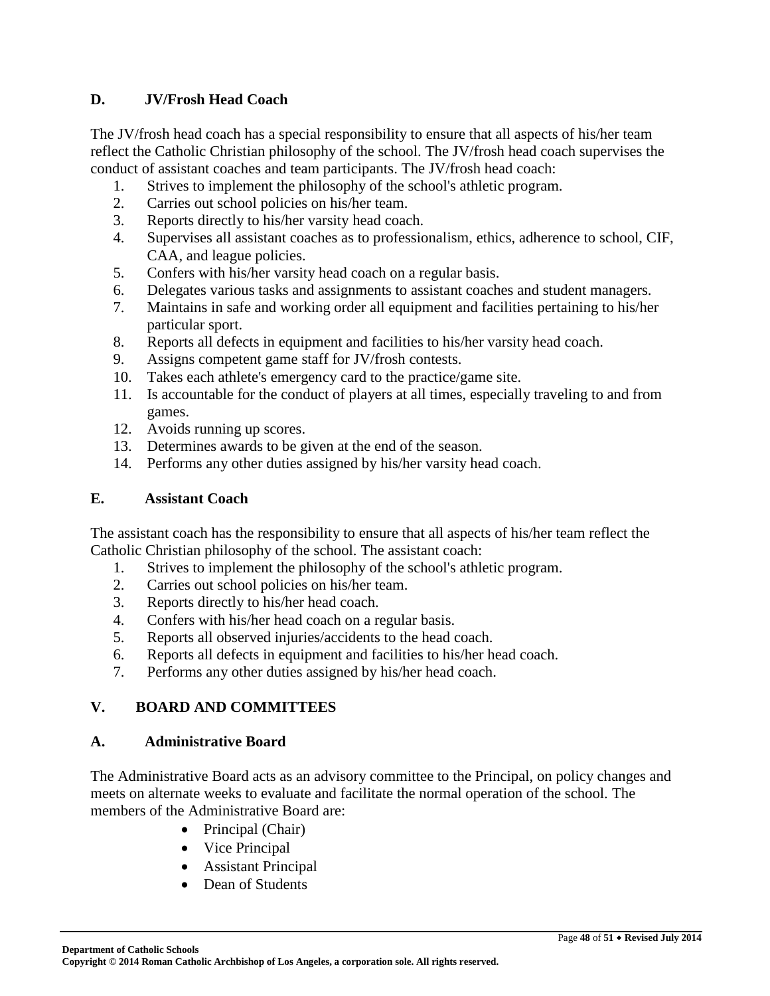### **D. JV/Frosh Head Coach**

The JV/frosh head coach has a special responsibility to ensure that all aspects of his/her team reflect the Catholic Christian philosophy of the school. The JV/frosh head coach supervises the conduct of assistant coaches and team participants. The JV/frosh head coach:

- 1. Strives to implement the philosophy of the school's athletic program.
- 2. Carries out school policies on his/her team.
- 3. Reports directly to his/her varsity head coach.
- 4. Supervises all assistant coaches as to professionalism, ethics, adherence to school, CIF, CAA, and league policies.
- 5. Confers with his/her varsity head coach on a regular basis.
- 6. Delegates various tasks and assignments to assistant coaches and student managers.
- 7. Maintains in safe and working order all equipment and facilities pertaining to his/her particular sport.
- 8. Reports all defects in equipment and facilities to his/her varsity head coach.
- 9. Assigns competent game staff for JV/frosh contests.
- 10. Takes each athlete's emergency card to the practice/game site.
- 11. Is accountable for the conduct of players at all times, especially traveling to and from games.
- 12. Avoids running up scores.
- 13. Determines awards to be given at the end of the season.
- 14. Performs any other duties assigned by his/her varsity head coach.

### **E. Assistant Coach**

The assistant coach has the responsibility to ensure that all aspects of his/her team reflect the Catholic Christian philosophy of the school. The assistant coach:

- 1. Strives to implement the philosophy of the school's athletic program.
- 2. Carries out school policies on his/her team.
- 3. Reports directly to his/her head coach.
- 4. Confers with his/her head coach on a regular basis.
- 5. Reports all observed injuries/accidents to the head coach.
- 6. Reports all defects in equipment and facilities to his/her head coach.
- 7. Performs any other duties assigned by his/her head coach.

# **V. BOARD AND COMMITTEES**

### **A. Administrative Board**

The Administrative Board acts as an advisory committee to the Principal, on policy changes and meets on alternate weeks to evaluate and facilitate the normal operation of the school. The members of the Administrative Board are:

- Principal (Chair)
- Vice Principal
- Assistant Principal
- Dean of Students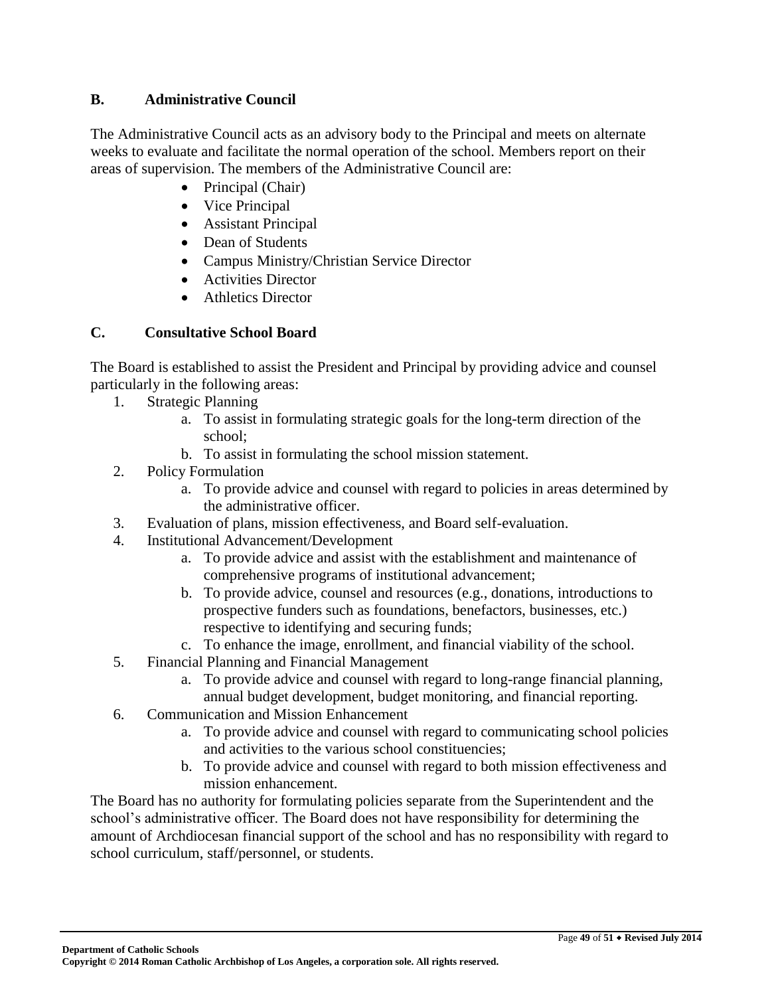### **B. Administrative Council**

The Administrative Council acts as an advisory body to the Principal and meets on alternate weeks to evaluate and facilitate the normal operation of the school. Members report on their areas of supervision. The members of the Administrative Council are:

- $\bullet$  Principal (Chair)
- Vice Principal
- Assistant Principal
- Dean of Students
- Campus Ministry/Christian Service Director
- Activities Director
- Athletics Director

# **C. Consultative School Board**

The Board is established to assist the President and Principal by providing advice and counsel particularly in the following areas:

- 1. Strategic Planning
	- a. To assist in formulating strategic goals for the long-term direction of the school;
	- b. To assist in formulating the school mission statement.
- 2. Policy Formulation
	- a. To provide advice and counsel with regard to policies in areas determined by the administrative officer.
- 3. Evaluation of plans, mission effectiveness, and Board self-evaluation.
- 4. Institutional Advancement/Development
	- a. To provide advice and assist with the establishment and maintenance of comprehensive programs of institutional advancement;
	- b. To provide advice, counsel and resources (e.g., donations, introductions to prospective funders such as foundations, benefactors, businesses, etc.) respective to identifying and securing funds;
	- c. To enhance the image, enrollment, and financial viability of the school.
- 5. Financial Planning and Financial Management
	- a. To provide advice and counsel with regard to long-range financial planning, annual budget development, budget monitoring, and financial reporting.
- 6. Communication and Mission Enhancement
	- a. To provide advice and counsel with regard to communicating school policies and activities to the various school constituencies;
	- b. To provide advice and counsel with regard to both mission effectiveness and mission enhancement.

The Board has no authority for formulating policies separate from the Superintendent and the school's administrative officer. The Board does not have responsibility for determining the amount of Archdiocesan financial support of the school and has no responsibility with regard to school curriculum, staff/personnel, or students.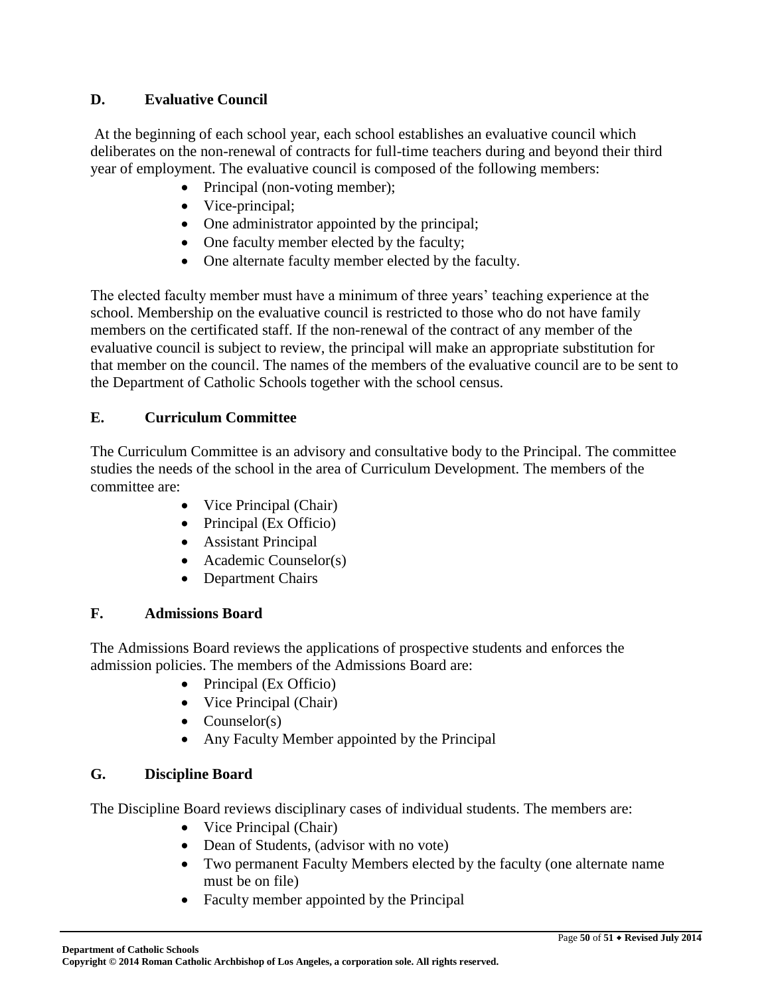### **D. Evaluative Council**

At the beginning of each school year, each school establishes an evaluative council which deliberates on the non-renewal of contracts for full-time teachers during and beyond their third year of employment. The evaluative council is composed of the following members:

- Principal (non-voting member);
- Vice-principal;
- One administrator appointed by the principal;
- One faculty member elected by the faculty;
- One alternate faculty member elected by the faculty.

The elected faculty member must have a minimum of three years' teaching experience at the school. Membership on the evaluative council is restricted to those who do not have family members on the certificated staff. If the non-renewal of the contract of any member of the evaluative council is subject to review, the principal will make an appropriate substitution for that member on the council. The names of the members of the evaluative council are to be sent to the Department of Catholic Schools together with the school census.

### **E. Curriculum Committee**

The Curriculum Committee is an advisory and consultative body to the Principal. The committee studies the needs of the school in the area of Curriculum Development. The members of the committee are:

- Vice Principal (Chair)
- Principal (Ex Officio)
- Assistant Principal
- Academic Counselor(s)
- Department Chairs

### **F. Admissions Board**

The Admissions Board reviews the applications of prospective students and enforces the admission policies. The members of the Admissions Board are:

- Principal (Ex Officio)
- Vice Principal (Chair)
- Counselor $(s)$
- Any Faculty Member appointed by the Principal

# **G. Discipline Board**

The Discipline Board reviews disciplinary cases of individual students. The members are:

- Vice Principal (Chair)
- Dean of Students, (advisor with no vote)
- Two permanent Faculty Members elected by the faculty (one alternate name must be on file)
- Faculty member appointed by the Principal